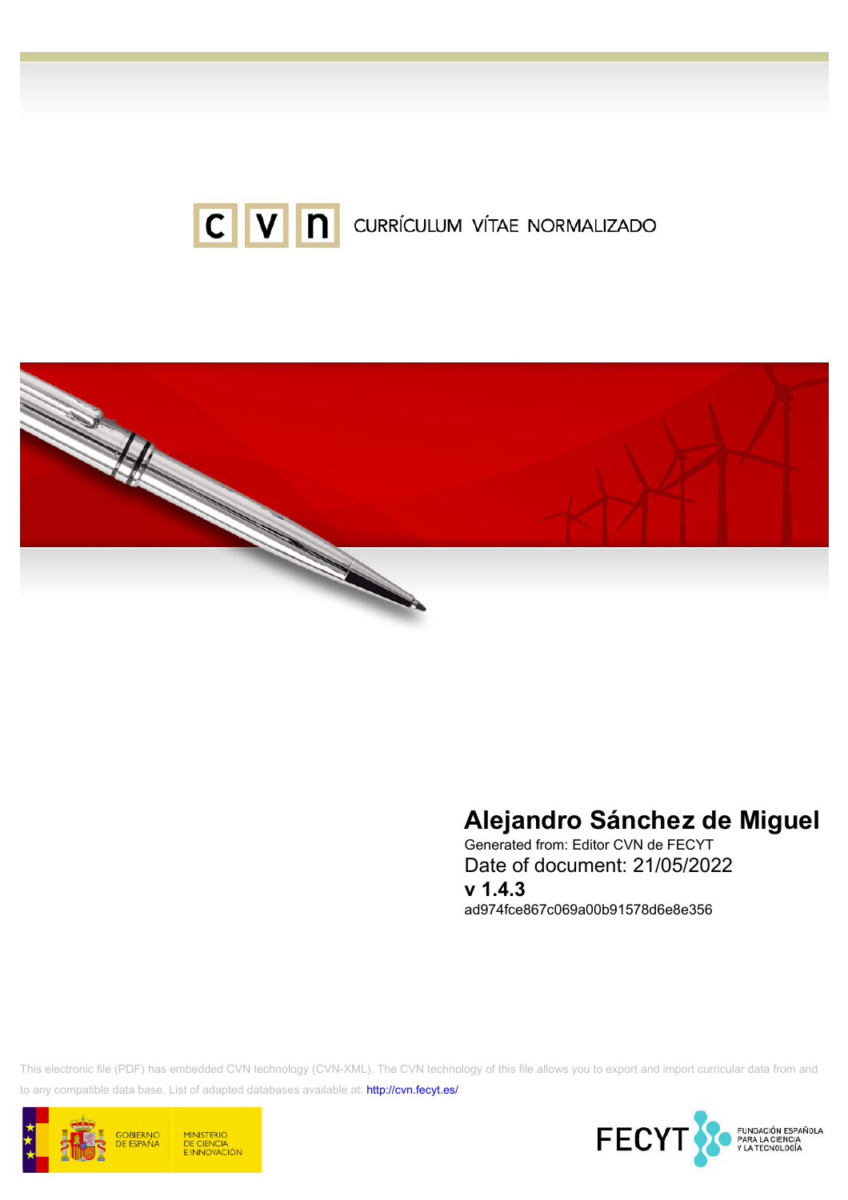



# Alejandro Sánchez de Miguel

Generated from: Editor CVN de FECYT Date of document: 21/05/2022 v 1.4.3

ad974fce867c069a00b91578d6e8e356

This electronic file (PDF) has embedded CVN technology (CVN-XML). The CVN technology of this file allows you to export and import curricular data from and to any compatible data base. List of adapted databases available at:<http://cvn.fecyt.es/>



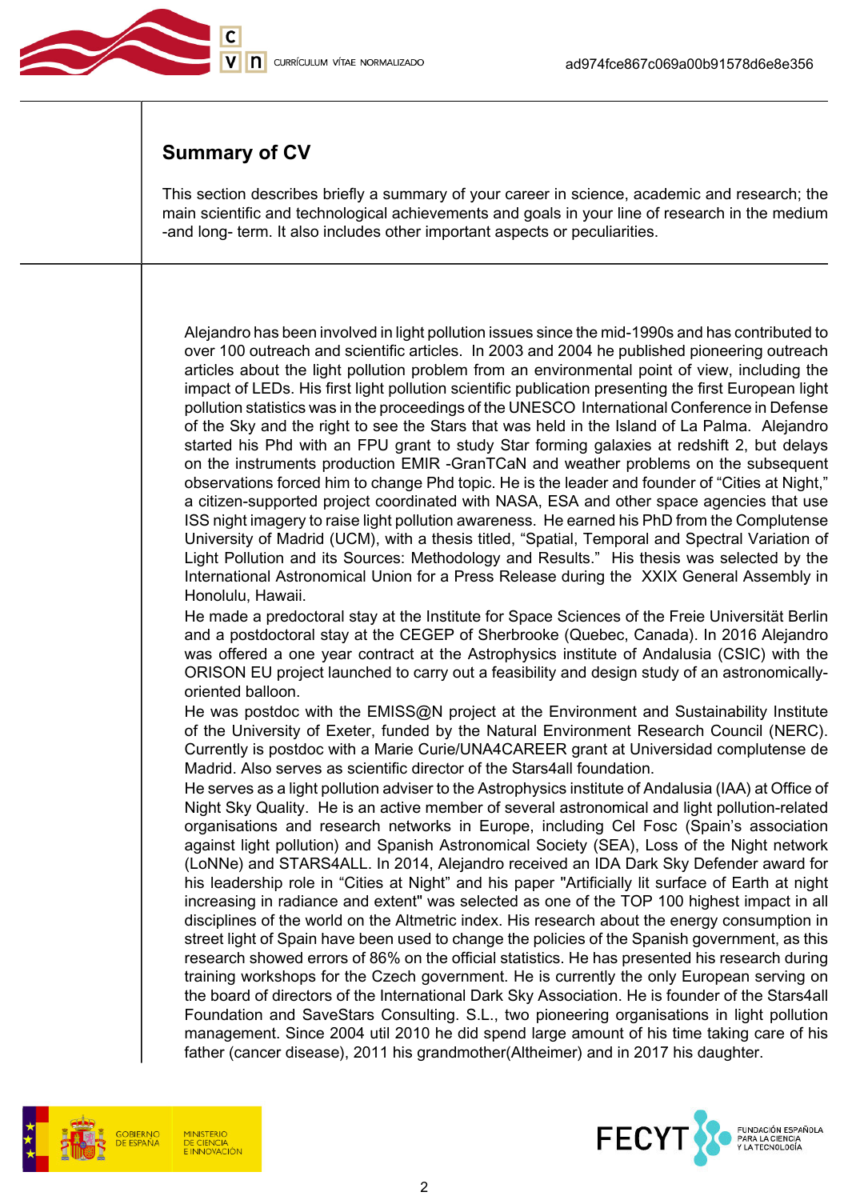

## Summary of CV

This section describes briefly a summary of your career in science, academic and research; the main scientific and technological achievements and goals in your line of research in the medium -and long- term. It also includes other important aspects or peculiarities.

Alejandro has been involved in light pollution issues since the mid-1990s and has contributed to over 100 outreach and scientific articles. In 2003 and 2004 he published pioneering outreach articles about the light pollution problem from an environmental point of view, including the impact of LEDs. His first light pollution scientific publication presenting the first European light pollution statistics was in the proceedings of the UNESCO International Conference in Defense of the Sky and the right to see the Stars that was held in the Island of La Palma. Alejandro started his Phd with an FPU grant to study Star forming galaxies at redshift 2, but delays on the instruments production EMIR -GranTCaN and weather problems on the subsequent observations forced him to change Phd topic. He is the leader and founder of "Cities at Night," a citizen-supported project coordinated with NASA, ESA and other space agencies that use ISS night imagery to raise light pollution awareness. He earned his PhD from the Complutense University of Madrid (UCM), with a thesis titled, "Spatial, Temporal and Spectral Variation of Light Pollution and its Sources: Methodology and Results." His thesis was selected by the International Astronomical Union for a Press Release during the XXIX General Assembly in Honolulu, Hawaii.

He made a predoctoral stay at the Institute for Space Sciences of the Freie Universität Berlin and a postdoctoral stay at the CEGEP of Sherbrooke (Quebec, Canada). In 2016 Alejandro was offered a one year contract at the Astrophysics institute of Andalusia (CSIC) with the ORISON EU project launched to carry out a feasibility and design study of an astronomicallyoriented balloon.

He was postdoc with the EMISS@N project at the Environment and Sustainability Institute of the University of Exeter, funded by the Natural Environment Research Council (NERC). Currently is postdoc with a Marie Curie/UNA4CAREER grant at Universidad complutense de Madrid. Also serves as scientific director of the Stars4all foundation.

He serves as a light pollution adviser to the Astrophysics institute of Andalusia (IAA) at Office of Night Sky Quality. He is an active member of several astronomical and light pollution-related organisations and research networks in Europe, including Cel Fosc (Spain's association against light pollution) and Spanish Astronomical Society (SEA), Loss of the Night network (LoNNe) and STARS4ALL. In 2014, Alejandro received an IDA Dark Sky Defender award for his leadership role in "Cities at Night" and his paper "Artificially lit surface of Earth at night increasing in radiance and extent" was selected as one of the TOP 100 highest impact in all disciplines of the world on the Altmetric index. His research about the energy consumption in street light of Spain have been used to change the policies of the Spanish government, as this research showed errors of 86% on the official statistics. He has presented his research during training workshops for the Czech government. He is currently the only European serving on the board of directors of the International Dark Sky Association. He is founder of the Stars4all Foundation and SaveStars Consulting. S.L., two pioneering organisations in light pollution management. Since 2004 util 2010 he did spend large amount of his time taking care of his father (cancer disease), 2011 his grandmother(Altheimer) and in 2017 his daughter.



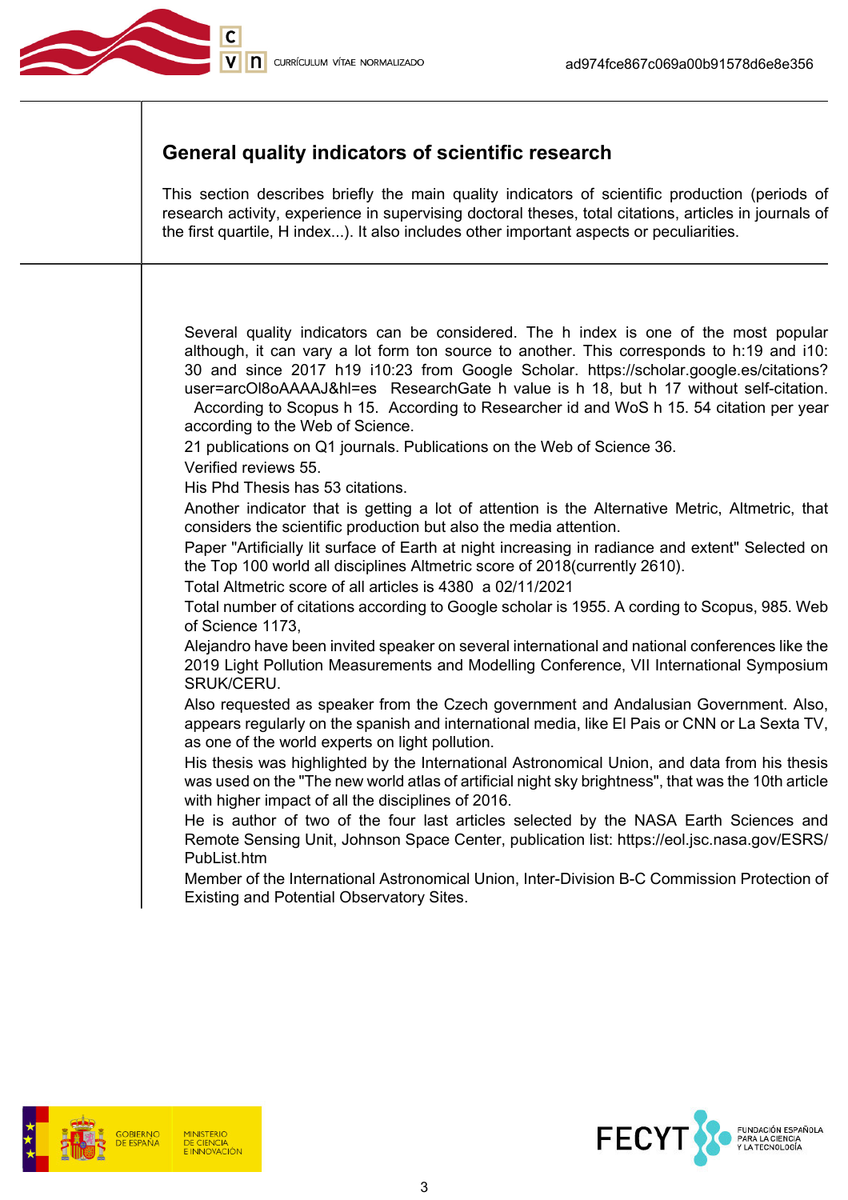

## General quality indicators of scientific research

This section describes briefly the main quality indicators of scientific production (periods of research activity, experience in supervising doctoral theses, total citations, articles in journals of the first quartile, H index...). It also includes other important aspects or peculiarities.

Several quality indicators can be considered. The h index is one of the most popular although, it can vary a lot form ton source to another. This corresponds to h:19 and i10: 30 and since 2017 h19 i10:23 from Google Scholar. https://scholar.google.es/citations? user=arcOl8oAAAAJ&hl=es ResearchGate h value is h 18, but h 17 without self-citation.

 According to Scopus h 15. According to Researcher id and WoS h 15. 54 citation per year according to the Web of Science.

21 publications on Q1 journals. Publications on the Web of Science 36.

Verified reviews 55.

His Phd Thesis has 53 citations.

Another indicator that is getting a lot of attention is the Alternative Metric, Altmetric, that considers the scientific production but also the media attention.

Paper "Artificially lit surface of Earth at night increasing in radiance and extent" Selected on the Top 100 world all disciplines Altmetric score of 2018(currently 2610).

Total Altmetric score of all articles is 4380 a 02/11/2021

Total number of citations according to Google scholar is 1955. A cording to Scopus, 985. Web of Science 1173,

Alejandro have been invited speaker on several international and national conferences like the 2019 Light Pollution Measurements and Modelling Conference, VII International Symposium SRUK/CERU.

Also requested as speaker from the Czech government and Andalusian Government. Also, appears regularly on the spanish and international media, like El Pais or CNN or La Sexta TV, as one of the world experts on light pollution.

His thesis was highlighted by the International Astronomical Union, and data from his thesis was used on the "The new world atlas of artificial night sky brightness", that was the 10th article with higher impact of all the disciplines of 2016.

He is author of two of the four last articles selected by the NASA Earth Sciences and Remote Sensing Unit, Johnson Space Center, publication list: https://eol.jsc.nasa.gov/ESRS/ PubList.htm

Member of the International Astronomical Union, Inter-Division B-C Commission Protection of Existing and Potential Observatory Sites.



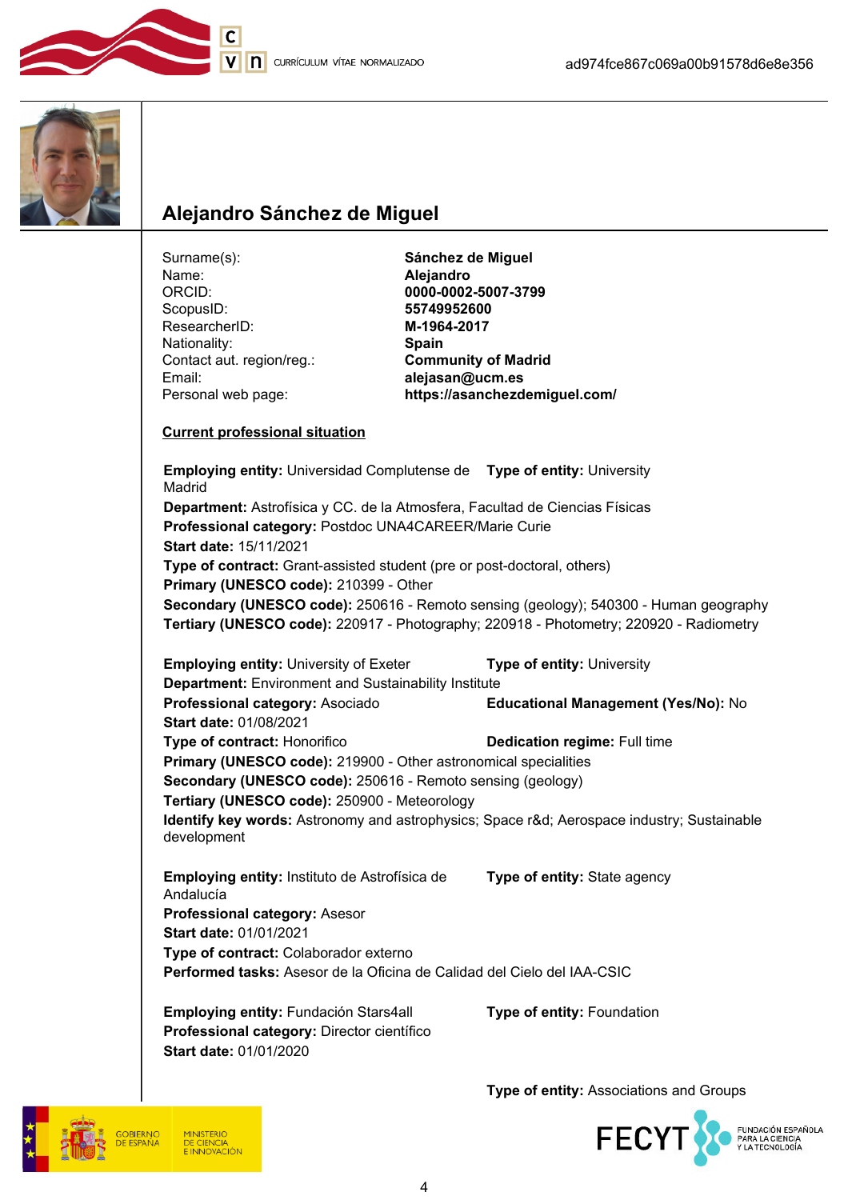





## Alejandro Sánchez de Miguel

| Surname(s):<br>Name:<br>ORCID:<br>ScopusID:<br>ResearcherID:<br>Nationality:<br>Contact aut. region/reg.:<br>Email:<br>Personal web page:                                                                                                                                                                                                                                                                                                                            | Sánchez de Miguel<br>Alejandro<br>0000-0002-5007-3799<br>55749952600<br>M-1964-2017<br>Spain<br><b>Community of Madrid</b><br>alejasan@ucm.es<br>https://asanchezdemiguel.com/ |  |
|----------------------------------------------------------------------------------------------------------------------------------------------------------------------------------------------------------------------------------------------------------------------------------------------------------------------------------------------------------------------------------------------------------------------------------------------------------------------|--------------------------------------------------------------------------------------------------------------------------------------------------------------------------------|--|
| <b>Current professional situation</b>                                                                                                                                                                                                                                                                                                                                                                                                                                |                                                                                                                                                                                |  |
| Madrid                                                                                                                                                                                                                                                                                                                                                                                                                                                               | <b>Employing entity: Universidad Complutense de</b> Type of entity: University                                                                                                 |  |
| Department: Astrofísica y CC. de la Atmosfera, Facultad de Ciencias Físicas<br>Professional category: Postdoc UNA4CAREER/Marie Curie<br>Start date: 15/11/2021<br>Type of contract: Grant-assisted student (pre or post-doctoral, others)<br>Primary (UNESCO code): 210399 - Other<br>Secondary (UNESCO code): 250616 - Remoto sensing (geology); 540300 - Human geography<br>Tertiary (UNESCO code): 220917 - Photography; 220918 - Photometry; 220920 - Radiometry |                                                                                                                                                                                |  |
| <b>Employing entity: University of Exeter</b>                                                                                                                                                                                                                                                                                                                                                                                                                        | Type of entity: University                                                                                                                                                     |  |
| Department: Environment and Sustainability Institute<br>Professional category: Asociado                                                                                                                                                                                                                                                                                                                                                                              | Educational Management (Yes/No): No                                                                                                                                            |  |
| <b>Start date: 01/08/2021</b>                                                                                                                                                                                                                                                                                                                                                                                                                                        |                                                                                                                                                                                |  |
| Type of contract: Honorifico                                                                                                                                                                                                                                                                                                                                                                                                                                         | Dedication regime: Full time                                                                                                                                                   |  |
| Primary (UNESCO code): 219900 - Other astronomical specialities                                                                                                                                                                                                                                                                                                                                                                                                      |                                                                                                                                                                                |  |
| Secondary (UNESCO code): 250616 - Remoto sensing (geology)<br>Tertiary (UNESCO code): 250900 - Meteorology                                                                                                                                                                                                                                                                                                                                                           |                                                                                                                                                                                |  |
| development                                                                                                                                                                                                                                                                                                                                                                                                                                                          | Identify key words: Astronomy and astrophysics; Space r&d Aerospace industry; Sustainable                                                                                      |  |
| Employing entity: Instituto de Astrofísica de<br>Andalucía                                                                                                                                                                                                                                                                                                                                                                                                           | Type of entity: State agency                                                                                                                                                   |  |
| Professional category: Asesor<br><b>Start date: 01/01/2021</b>                                                                                                                                                                                                                                                                                                                                                                                                       |                                                                                                                                                                                |  |
| Type of contract: Colaborador externo                                                                                                                                                                                                                                                                                                                                                                                                                                |                                                                                                                                                                                |  |
| Performed tasks: Asesor de la Oficina de Calidad del Cielo del IAA-CSIC                                                                                                                                                                                                                                                                                                                                                                                              |                                                                                                                                                                                |  |
| Employing entity: Fundación Stars4all<br>Professional category: Director científico<br>Start date: 01/01/2020                                                                                                                                                                                                                                                                                                                                                        | Type of entity: Foundation                                                                                                                                                     |  |
|                                                                                                                                                                                                                                                                                                                                                                                                                                                                      | Type of entity: Associations and Groups                                                                                                                                        |  |

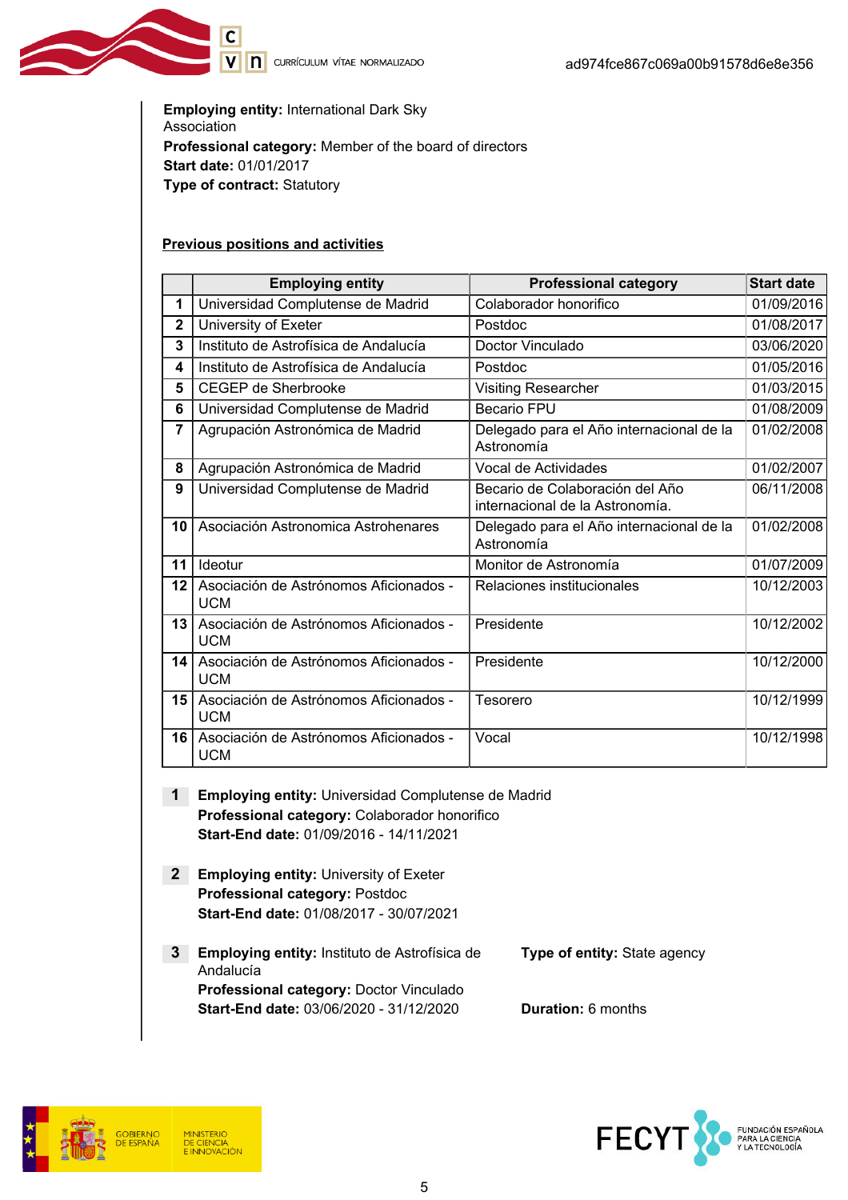V n currículum vítae normalizado

Employing entity: International Dark Sky Association Professional category: Member of the board of directors Start date: 01/01/2017 Type of contract: Statutory

#### Previous positions and activities

 $\overline{\mathsf{c}}$ 

|                | <b>Employing entity</b>                              | <b>Professional category</b>                                       | <b>Start date</b> |
|----------------|------------------------------------------------------|--------------------------------------------------------------------|-------------------|
| 1              | Universidad Complutense de Madrid                    | Colaborador honorifico                                             | 01/09/2016        |
| $\mathbf{2}$   | University of Exeter                                 | Postdoc                                                            | 01/08/2017        |
| 3              | Instituto de Astrofísica de Andalucía                | Doctor Vinculado                                                   | 03/06/2020        |
| 4              | Instituto de Astrofísica de Andalucía                | Postdoc                                                            | 01/05/2016        |
| 5              | <b>CEGEP de Sherbrooke</b>                           | <b>Visiting Researcher</b>                                         | 01/03/2015        |
| 6              | Universidad Complutense de Madrid                    | <b>Becario FPU</b>                                                 | 01/08/2009        |
| $\overline{7}$ | Agrupación Astronómica de Madrid                     | Delegado para el Año internacional de la<br>Astronomía             | 01/02/2008        |
| 8              | Agrupación Astronómica de Madrid                     | Vocal de Actividades                                               | 01/02/2007        |
| 9              | Universidad Complutense de Madrid                    | Becario de Colaboración del Año<br>internacional de la Astronomía. | 06/11/2008        |
| 10             | Asociación Astronomica Astrohenares                  | Delegado para el Año internacional de la<br>Astronomía             | 01/02/2008        |
| 11             | Ideotur                                              | Monitor de Astronomía                                              | 01/07/2009        |
| 12             | Asociación de Astrónomos Aficionados -<br><b>UCM</b> | Relaciones institucionales                                         | 10/12/2003        |
| 13             | Asociación de Astrónomos Aficionados -<br><b>UCM</b> | Presidente                                                         | 10/12/2002        |
| 14             | Asociación de Astrónomos Aficionados -<br><b>UCM</b> | Presidente                                                         | 10/12/2000        |
| 15             | Asociación de Astrónomos Aficionados -<br><b>UCM</b> | Tesorero                                                           | 10/12/1999        |
| 16             | Asociación de Astrónomos Aficionados -<br><b>UCM</b> | Vocal                                                              | 10/12/1998        |

- 1 Employing entity: Universidad Complutense de Madrid Professional category: Colaborador honorifico Start-End date: 01/09/2016 - 14/11/2021
- **2** Employing entity: University of Exeter Professional category: Postdoc Start-End date: 01/08/2017 - 30/07/2021
- 3 Employing entity: Instituto de Astrofísica de Andalucía Type of entity: State agency Professional category: Doctor Vinculado Start-End date: 03/06/2020 - 31/12/2020 Duration: 6 months



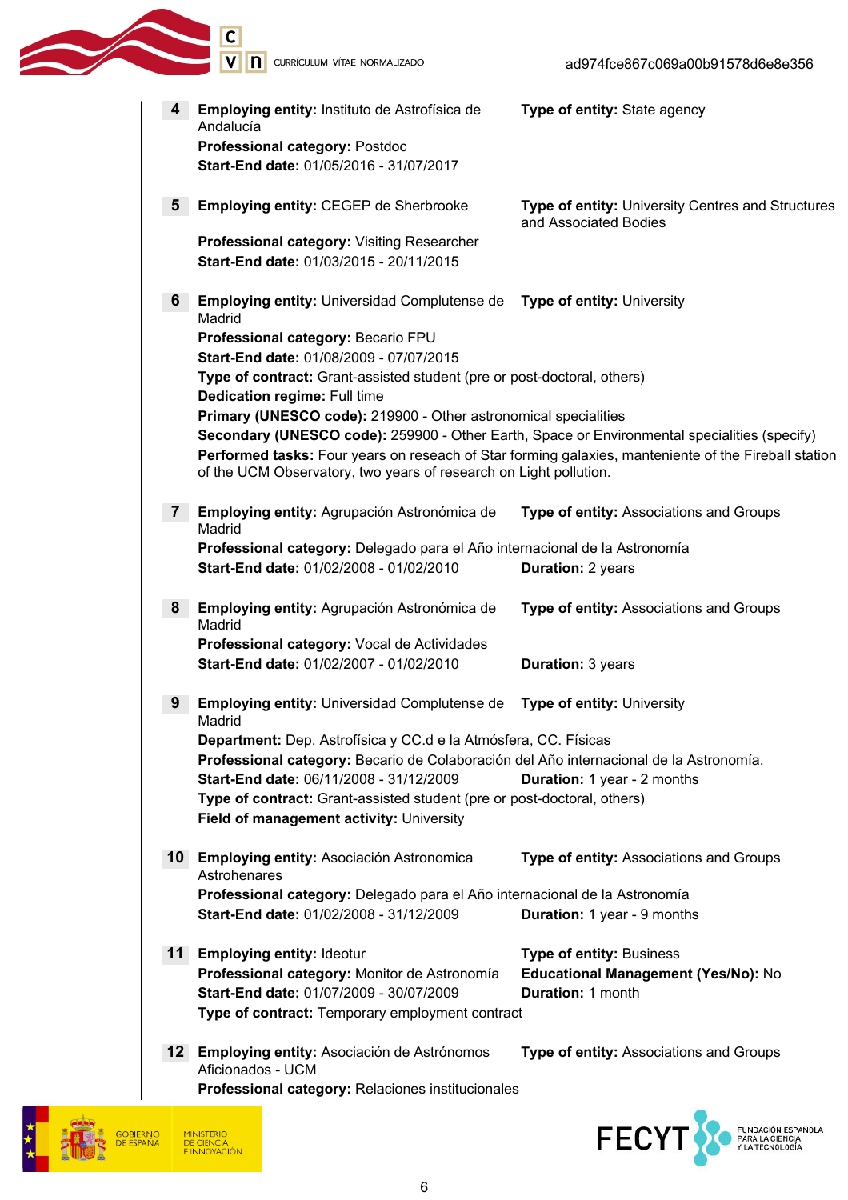| 4              | Employing entity: Instituto de Astrofísica de<br>Andalucía<br>Professional category: Postdoc                                                                                                                                                                                                                                | Type of entity: State agency                                                                         |
|----------------|-----------------------------------------------------------------------------------------------------------------------------------------------------------------------------------------------------------------------------------------------------------------------------------------------------------------------------|------------------------------------------------------------------------------------------------------|
|                | Start-End date: 01/05/2016 - 31/07/2017                                                                                                                                                                                                                                                                                     |                                                                                                      |
| 5              | <b>Employing entity: CEGEP de Sherbrooke</b>                                                                                                                                                                                                                                                                                | Type of entity: University Centres and Structures<br>and Associated Bodies                           |
|                | Professional category: Visiting Researcher<br>Start-End date: 01/03/2015 - 20/11/2015                                                                                                                                                                                                                                       |                                                                                                      |
| 6              | <b>Employing entity: Universidad Complutense de</b><br>Madrid                                                                                                                                                                                                                                                               | <b>Type of entity: University</b>                                                                    |
|                | Professional category: Becario FPU<br>Start-End date: 01/08/2009 - 07/07/2015<br>Type of contract: Grant-assisted student (pre or post-doctoral, others)<br>Dedication regime: Full time                                                                                                                                    |                                                                                                      |
|                | Primary (UNESCO code): 219900 - Other astronomical specialities<br>Secondary (UNESCO code): 259900 - Other Earth, Space or Environmental specialities (specify)<br>of the UCM Observatory, two years of research on Light pollution.                                                                                        | Performed tasks: Four years on reseach of Star forming galaxies, manteniente of the Fireball station |
| 7 <sup>1</sup> | Employing entity: Agrupación Astronómica de<br>Madrid                                                                                                                                                                                                                                                                       | Type of entity: Associations and Groups                                                              |
|                | Professional category: Delegado para el Año internacional de la Astronomía<br>Start-End date: 01/02/2008 - 01/02/2010                                                                                                                                                                                                       | <b>Duration: 2 years</b>                                                                             |
| 8              | Employing entity: Agrupación Astronómica de<br>Madrid                                                                                                                                                                                                                                                                       | Type of entity: Associations and Groups                                                              |
|                | Professional category: Vocal de Actividades<br>Start-End date: 01/02/2007 - 01/02/2010                                                                                                                                                                                                                                      | <b>Duration: 3 years</b>                                                                             |
| 9              | <b>Employing entity: Universidad Complutense de</b><br>Madrid                                                                                                                                                                                                                                                               | Type of entity: University                                                                           |
|                | Department: Dep. Astrofísica y CC.d e la Atmósfera, CC. Físicas<br>Professional category: Becario de Colaboración del Año internacional de la Astronomía.<br>Start-End date: 06/11/2008 - 31/12/2009<br>Type of contract: Grant-assisted student (pre or post-doctoral, others)<br>Field of management activity: University | <b>Duration:</b> 1 year - 2 months                                                                   |
|                | 10 Employing entity: Asociación Astronomica<br>Astrohenares                                                                                                                                                                                                                                                                 | Type of entity: Associations and Groups                                                              |
|                | Professional category: Delegado para el Año internacional de la Astronomía<br>Start-End date: 01/02/2008 - 31/12/2009                                                                                                                                                                                                       | Duration: 1 year - 9 months                                                                          |
|                | 11 Employing entity: Ideotur<br>Professional category: Monitor de Astronomía<br>Start-End date: 01/07/2009 - 30/07/2009<br>Type of contract: Temporary employment contract                                                                                                                                                  | Type of entity: Business<br>Educational Management (Yes/No): No<br><b>Duration: 1 month</b>          |
| 12.            | Employing entity: Asociación de Astrónomos<br>Aficionados - UCM<br>Professional category: Relaciones institucionales                                                                                                                                                                                                        | Type of entity: Associations and Groups                                                              |
|                |                                                                                                                                                                                                                                                                                                                             |                                                                                                      |



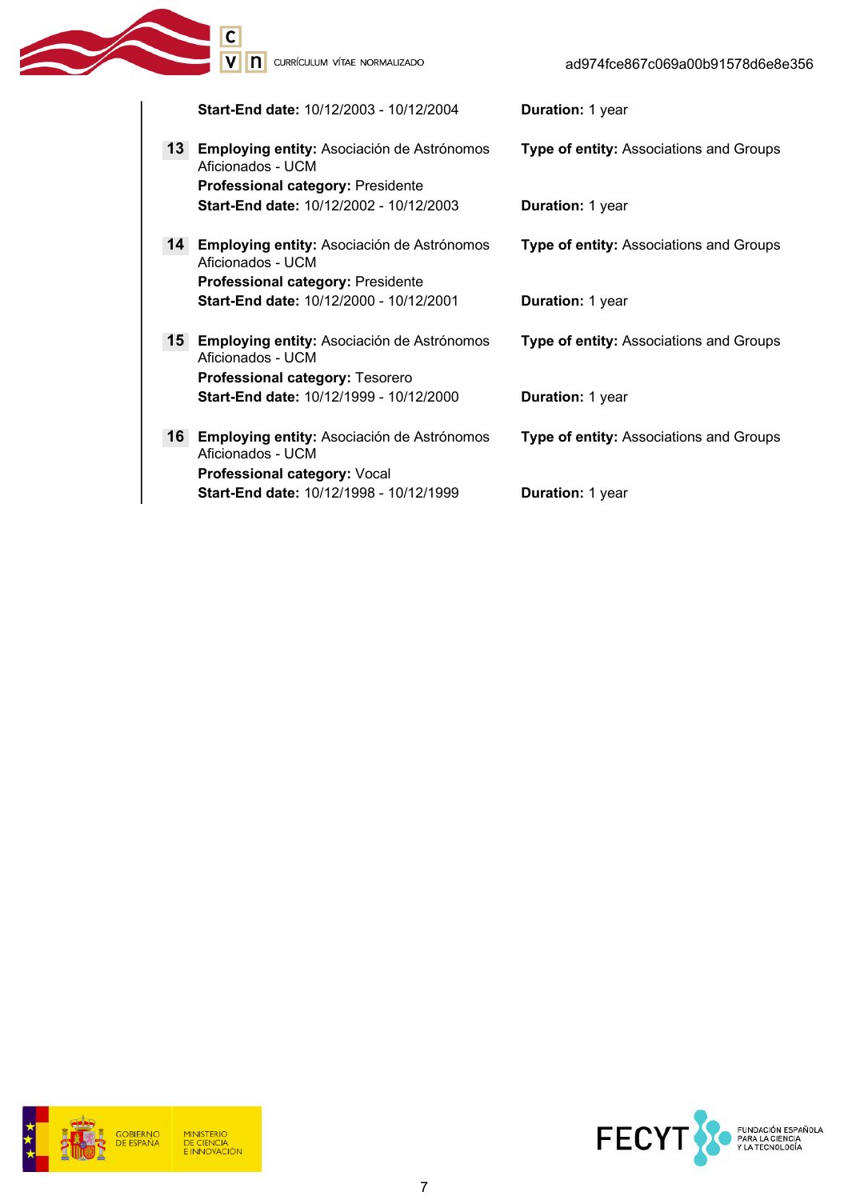Type of entity: Associations and Groups

Type of entity: Associations and Groups

V n currículum vítae normalizado

Ć

Start-End date: 10/12/2003 - 10/12/2004 Duration: 1 year

- 13 Employing entity: Asociación de Astrónomos Aficionados - UCM Professional category: Presidente Start-End date: 10/12/2002 - 10/12/2003 Duration: 1 year
- 14 Employing entity: Asociación de Astrónomos Aficionados - UCM Professional category: Presidente Start-End date: 10/12/2000 - 10/12/2001 Duration: 1 year
- 15 Employing entity: Asociación de Astrónomos Aficionados - UCM Type of entity: Associations and Groups Professional category: Tesorero Start-End date: 10/12/1999 - 10/12/2000 Duration: 1 year
- 16 Employing entity: Asociación de Astrónomos Aficionados - UCM Type of entity: Associations and Groups Professional category: Vocal Start-End date: 10/12/1998 - 10/12/1999 Duration: 1 year

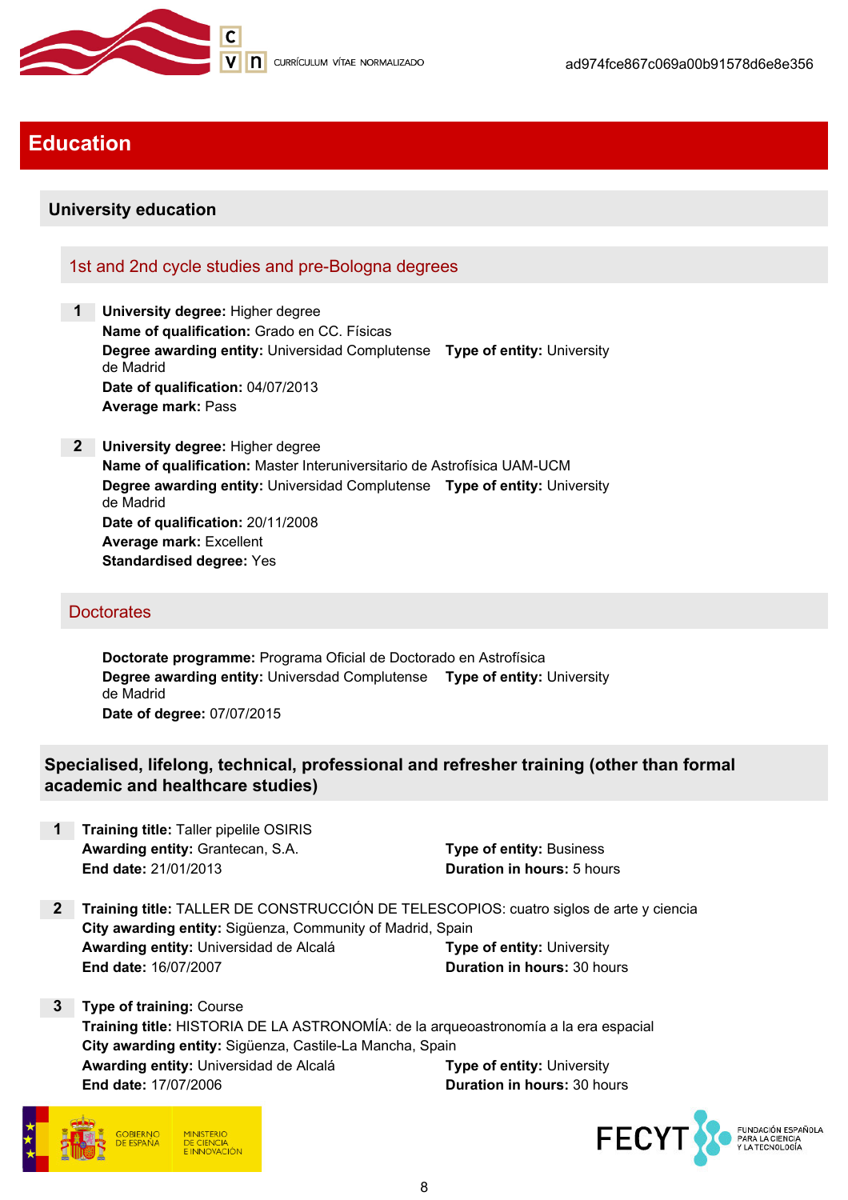

## Education

## University education

## 1st and 2nd cycle studies and pre-Bologna degrees

- 1 University dearee: Higher degree Name of qualification: Grado en CC. Físicas Degree awarding entity: Universidad Complutense Type of entity: University de Madrid Date of qualification: 04/07/2013 Average mark: Pass
- 2 University degree: Higher degree Name of qualification: Master Interuniversitario de Astrofísica UAM-UCM Degree awarding entity: Universidad Complutense Type of entity: University de Madrid Date of qualification: 20/11/2008 Average mark: Excellent Standardised degree: Yes

#### **Doctorates**

Doctorate programme: Programa Oficial de Doctorado en Astrofísica Degree awarding entity: Universdad Complutense Type of entity: University de Madrid Date of degree: 07/07/2015

## Specialised, lifelong, technical, professional and refresher training (other than formal academic and healthcare studies)

**Training title: Taller pipelile OSIRIS** Awarding entity: Grantecan, S.A. The Contemporary Prope of entity: Business End date: 21/01/2013 Duration in hours: 5 hours

- 2 Training title: TALLER DE CONSTRUCCIÓN DE TELESCOPIOS: cuatro siglos de arte y ciencia City awarding entity: Sigüenza, Community of Madrid, Spain Awarding entity: Universidad de Alcalá Type of entity: University End date: 16/07/2007 Duration in hours: 30 hours
- 3 Type of training: Course Training title: HISTORIA DE LA ASTRONOMÍA: de la arqueoastronomía a la era espacial City awarding entity: Sigüenza, Castile-La Mancha, Spain Awarding entity: Universidad de Alcalá Type of entity: University End date: 17/07/2006 Duration in hours: 30 hours



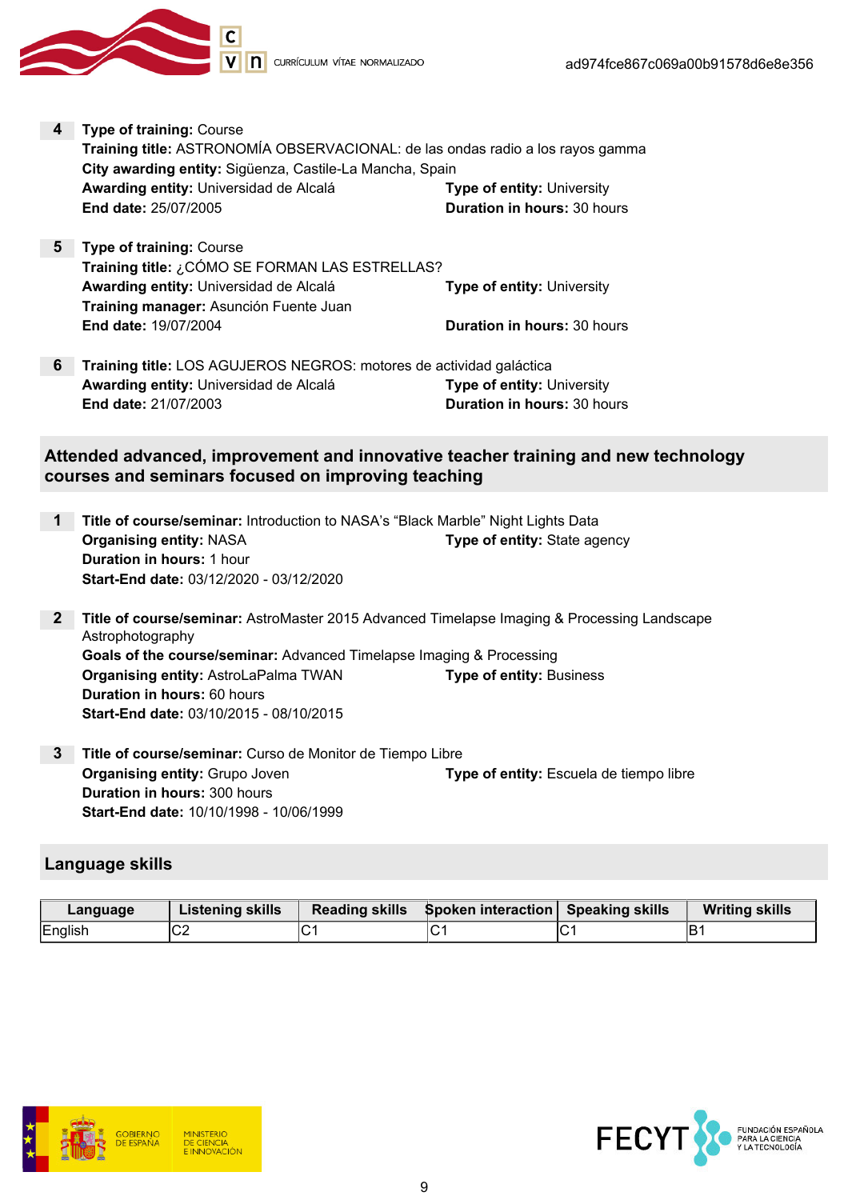

- 4 Type of training: Course Training title: ASTRONOMÍA OBSERVACIONAL: de las ondas radio a los rayos gamma City awarding entity: Sigüenza, Castile-La Mancha, Spain Awarding entity: Universidad de Alcalá Type of entity: University End date: 25/07/2005 Duration in hours: 30 hours
- 5 Type of training: Course Training title: ¿CÓMO SE FORMAN LAS ESTRELLAS? Awarding entity: Universidad de Alcalá **Type of entity: University** Training manager: Asunción Fuente Juan End date: 19/07/2004 **Duration in hours: 30 hours**
- 6 Training title: LOS AGUJEROS NEGROS: motores de actividad galáctica Awarding entity: Universidad de Alcalá Type of entity: University End date: 21/07/2003 Duration in hours: 30 hours

Attended advanced, improvement and innovative teacher training and new technology courses and seminars focused on improving teaching

- 1 Title of course/seminar: Introduction to NASA's "Black Marble" Night Lights Data **Organising entity: NASA Type of entity: State agency** Duration in hours: 1 hour Start-End date: 03/12/2020 - 03/12/2020
- 2 Title of course/seminar: AstroMaster 2015 Advanced Timelapse Imaging & Processing Landscape Astrophotography Goals of the course/seminar: Advanced Timelapse Imaging & Processing **Organising entity:** AstroLaPalma TWAN Type of entity: Business Duration in hours: 60 hours Start-End date: 03/10/2015 - 08/10/2015
- 3 Title of course/seminar: Curso de Monitor de Tiempo Libre Organising entity: Grupo Joven Type of entity: Escuela de tiempo libre Duration in hours: 300 hours Start-End date: 10/10/1998 - 10/06/1999

### Language skills

| Language | <b>Listening skills</b> | Reading skills Spoken interaction Speaking skills |   | <b>Writing skills</b> |
|----------|-------------------------|---------------------------------------------------|---|-----------------------|
| English  | ◡∠                      |                                                   | ັ |                       |



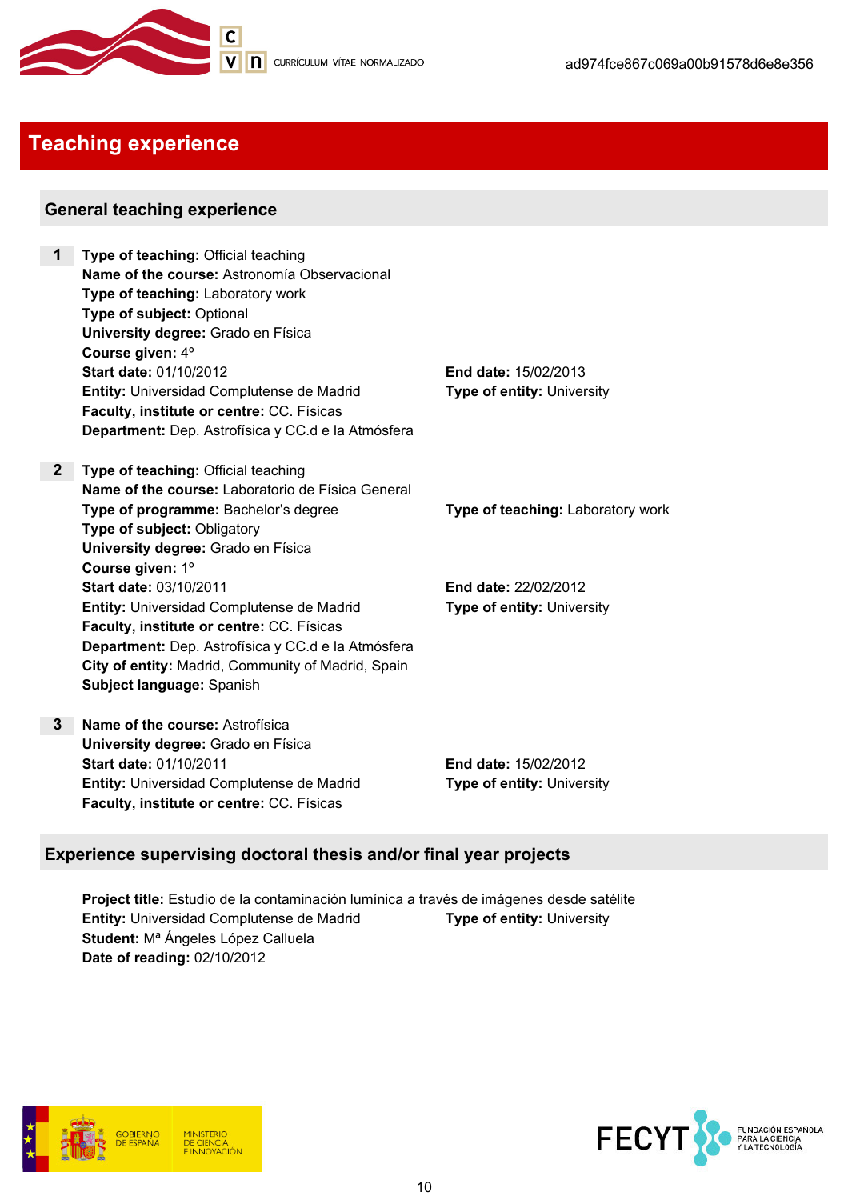

## Teaching experience

### General teaching experience

- 1 Type of teaching: Official teaching Name of the course: Astronomía Observacional Type of teaching: Laboratory work Type of subject: Optional University degree: Grado en Física Course given: 4º Start date: 01/10/2012 End date: 15/02/2013 **Entity:** Universidad Complutense de Madrid Type of entity: University Faculty, institute or centre: CC. Físicas Department: Dep. Astrofísica y CC.d e la Atmósfera
- 2 Type of teaching: Official teaching Name of the course: Laboratorio de Física General Type of programme: Bachelor's degree Type of teaching: Laboratory work Type of subject: Obligatory University degree: Grado en Física Course given: 1º Start date: 03/10/2011 End date: 22/02/2012 **Entity:** Universidad Complutense de Madrid Type of entity: University Faculty, institute or centre: CC. Físicas Department: Dep. Astrofísica y CC.d e la Atmósfera City of entity: Madrid, Community of Madrid, Spain Subject language: Spanish
- 3 Name of the course: Astrofísica University degree: Grado en Física Start date: 01/10/2011 End date: 15/02/2012 **Entity:** Universidad Complutense de Madrid Type of entity: University Faculty, institute or centre: CC. Físicas

## Experience supervising doctoral thesis and/or final year projects

Project title: Estudio de la contaminación lumínica a través de imágenes desde satélite **Entity:** Universidad Complutense de Madrid Type of entity: University Student: M<sup>ª</sup> Ángeles López Calluela Date of reading: 02/10/2012



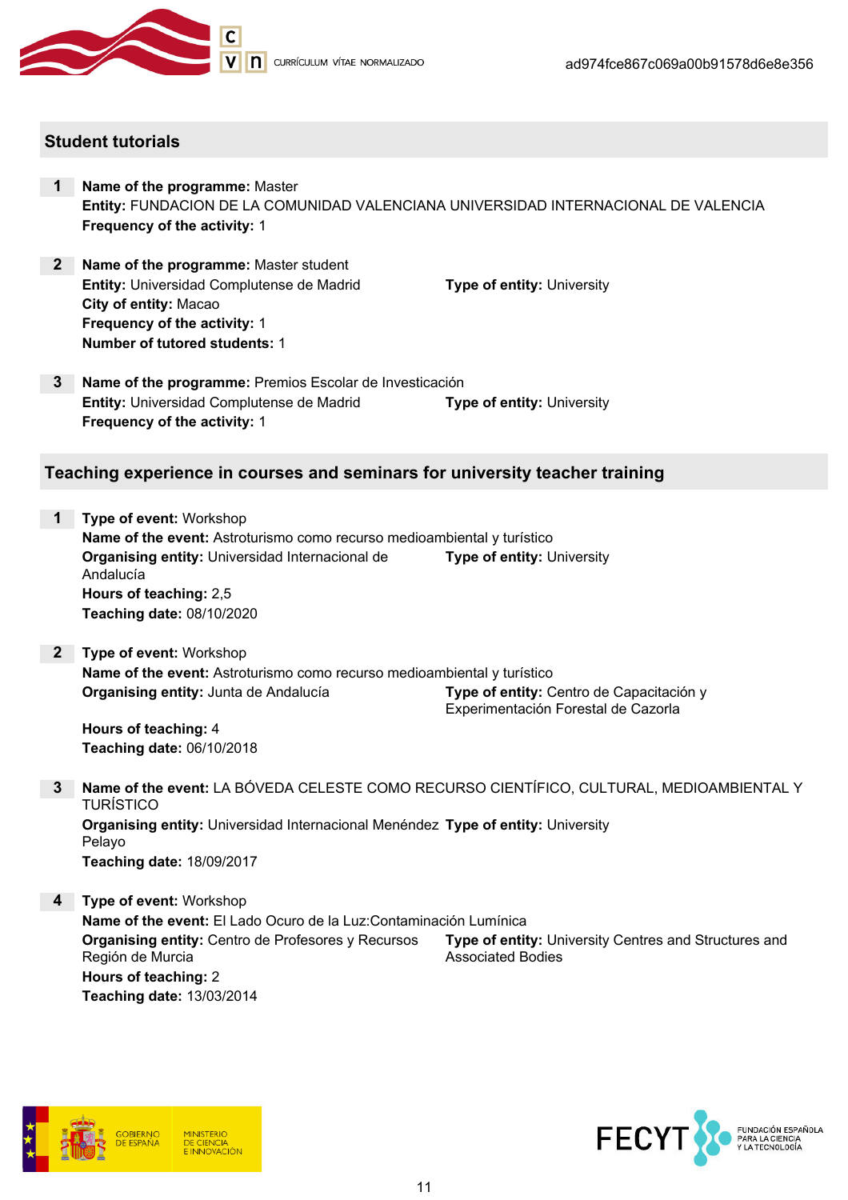

#### Student tutorials

- 1 Name of the programme: Master Entity: FUNDACION DE LA COMUNIDAD VALENCIANA UNIVERSIDAD INTERNACIONAL DE VALENCIA Frequency of the activity: 1
- 2 Name of the programme: Master student **Entity:** Universidad Complutense de Madrid Type of entity: University City of entity: Macao Frequency of the activity: 1 Number of tutored students: 1

3 Name of the programme: Premios Escolar de Investicación **Entity:** Universidad Complutense de Madrid Type of entity: University Frequency of the activity: 1

#### Teaching experience in courses and seminars for university teacher training

- 1 Type of event: Workshop Name of the event: Astroturismo como recurso medioambiental y turístico Organising entity: Universidad Internacional de Andalucía Type of entity: University Hours of teaching: 2,5 Teaching date: 08/10/2020
- 2 Type of event: Workshop Name of the event: Astroturismo como recurso medioambiental y turístico Organising entity: Junta de Andalucía Type of entity: Centro de Capacitación y Experimentación Forestal de Cazorla

Hours of teaching: 4 Teaching date: 06/10/2018

- 3 Name of the event: LA BÓVEDA CELESTE COMO RECURSO CIENTÍFICO, CULTURAL, MEDIOAMBIENTAL Y TURÍSTICO **Organising entity:** Universidad Internacional Menéndez Type of entity: University Pelayo Teaching date: 18/09/2017
- 4 Type of event: Workshop Name of the event: El Lado Ocuro de la Luz:Contaminación Lumínica Organising entity: Centro de Profesores y Recursos Región de Murcia Type of entity: University Centres and Structures and Associated Bodies Hours of teaching: 2 Teaching date: 13/03/2014



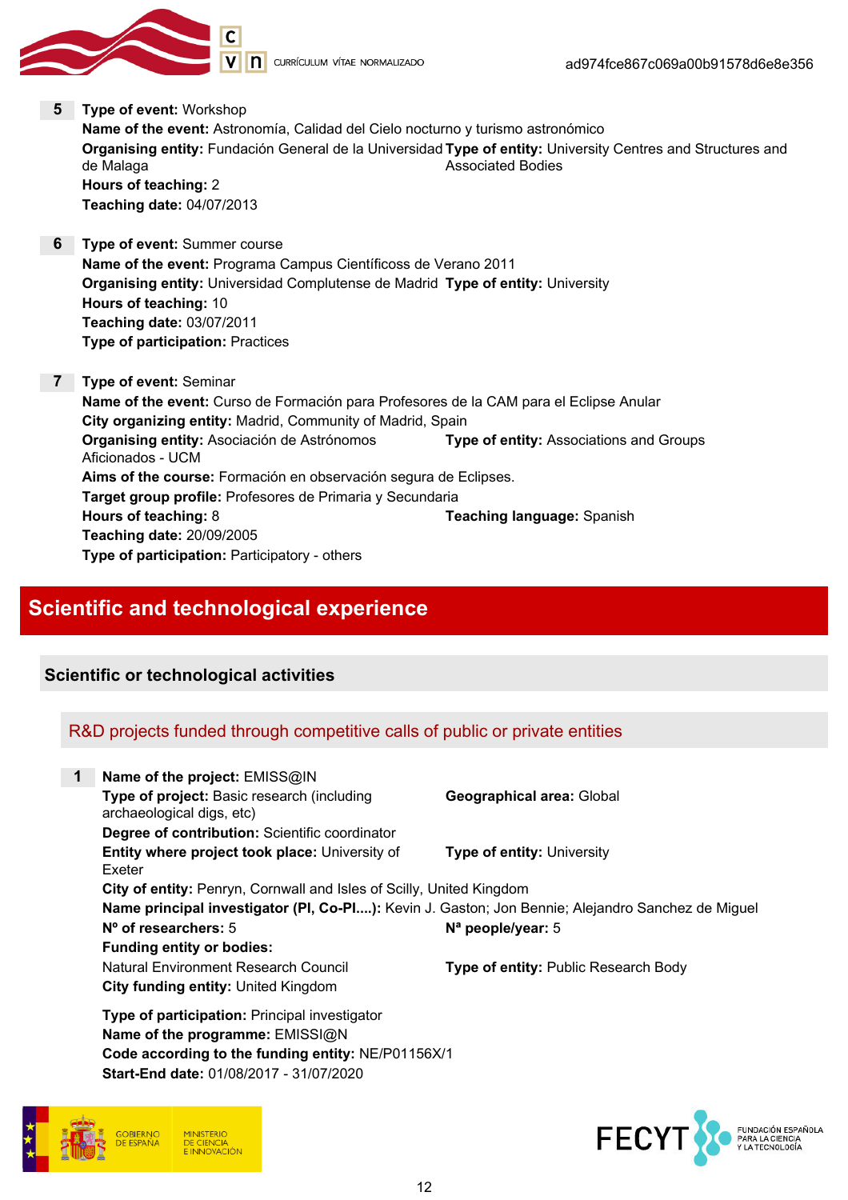

5 Type of event: Workshop Name of the event: Astronomía, Calidad del Cielo nocturno y turismo astronómico **Organising entity:** Fundación General de la Universidad **Type of entity:** University Centres and Structures and de Malaga Associated Bodies Hours of teaching: 2 Teaching date: 04/07/2013

- 6 Type of event: Summer course Name of the event: Programa Campus Científicoss de Verano 2011 Organising entity: Universidad Complutense de Madrid Type of entity: University Hours of teaching: 10 Teaching date: 03/07/2011 Type of participation: Practices
- 7 Type of event: Seminar Name of the event: Curso de Formación para Profesores de la CAM para el Eclipse Anular City organizing entity: Madrid, Community of Madrid, Spain Organising entity: Asociación de Astrónomos Aficionados - UCM Type of entity: Associations and Groups Aims of the course: Formación en observación segura de Eclipses. Target group profile: Profesores de Primaria y Secundaria Hours of teaching: 8 Teaching language: Spanish Teaching date: 20/09/2005 Type of participation: Participatory - others

## Scientific and technological experience

### Scientific or technological activities

## R&D projects funded through competitive calls of public or private entities

| $\mathbf 1$ | Name of the project: EMISS@IN                                                                     |                                             |
|-------------|---------------------------------------------------------------------------------------------------|---------------------------------------------|
|             | Type of project: Basic research (including<br>archaeological digs, etc)                           | <b>Geographical area: Global</b>            |
|             | Degree of contribution: Scientific coordinator                                                    |                                             |
|             | Entity where project took place: University of<br>Exeter                                          | <b>Type of entity: University</b>           |
|             | City of entity: Penryn, Cornwall and Isles of Scilly, United Kingdom                              |                                             |
|             | Name principal investigator (PI, Co-PI): Kevin J. Gaston; Jon Bennie; Alejandro Sanchez de Miguel |                                             |
|             | $N^{\circ}$ of researchers: 5                                                                     | $N^a$ people/year: 5                        |
|             | <b>Funding entity or bodies:</b>                                                                  |                                             |
|             | Natural Environment Research Council                                                              | <b>Type of entity: Public Research Body</b> |
|             | City funding entity: United Kingdom                                                               |                                             |
|             | <b>Type of participation: Principal investigator</b>                                              |                                             |
|             | Name of the programme: EMISSI@N                                                                   |                                             |
|             | Code according to the funding entity: NE/P01156X/1                                                |                                             |

Start-End date: 01/08/2017 - 31/07/2020



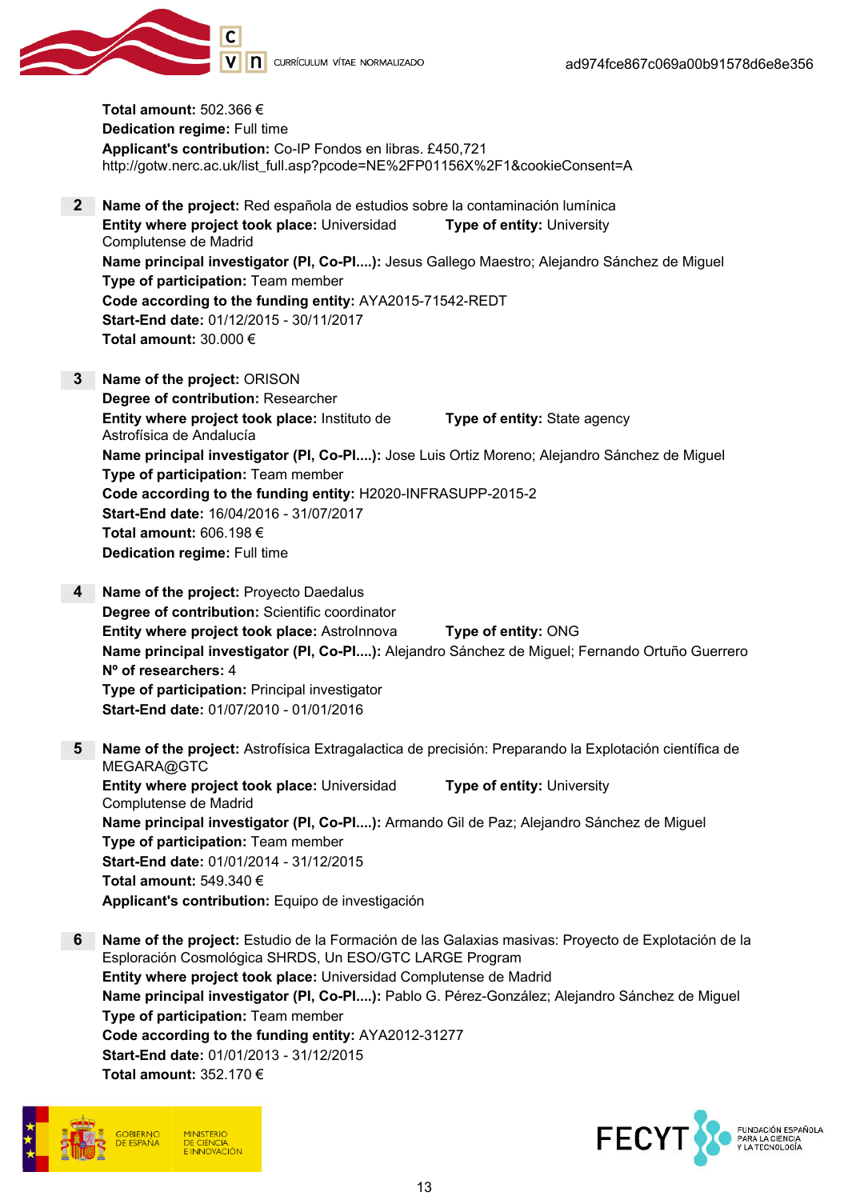

Total amount: 502.366 € Dedication regime: Full time Applicant's contribution: Co-IP Fondos en libras. £450,721 http://gotw.nerc.ac.uk/list\_full.asp?pcode=NE%2FP01156X%2F1&cookieConsent=A

- 2 Name of the project: Red española de estudios sobre la contaminación lumínica Entity where project took place: Universidad Complutense de Madrid Type of entity: University Name principal investigator (PI, Co-PI....): Jesus Gallego Maestro; Alejandro Sánchez de Miguel Type of participation: Team member Code according to the funding entity: AYA2015-71542-REDT Start-End date: 01/12/2015 - 30/11/2017 Total amount: 30.000 €
- 3 Name of the project: ORISON Degree of contribution: Researcher Entity where project took place: Instituto de Astrofísica de Andalucía Type of entity: State agency Name principal investigator (PI, Co-PI....): Jose Luis Ortiz Moreno; Alejandro Sánchez de Miguel Type of participation: Team member Code according to the funding entity: H2020-INFRASUPP-2015-2 Start-End date: 16/04/2016 - 31/07/2017 Total amount: 606.198 € Dedication regime: Full time
- 4 Name of the project: Proyecto Daedalus Degree of contribution: Scientific coordinator Entity where project took place: AstroInnova Type of entity: ONG Name principal investigator (PI, Co-PI....): Alejandro Sánchez de Miguel; Fernando Ortuño Guerrero Nº of researchers: 4 Type of participation: Principal investigator Start-End date: 01/07/2010 - 01/01/2016
- 5 Name of the project: Astrofísica Extragalactica de precisión: Preparando la Explotación científica de MEGARA@GTC Entity where project took place: Universidad Complutense de Madrid Type of entity: University Name principal investigator (PI, Co-PI....): Armando Gil de Paz; Alejandro Sánchez de Miguel Type of participation: Team member Start-End date: 01/01/2014 - 31/12/2015 Total amount: 549.340 € Applicant's contribution: Equipo de investigación
- 6 Name of the project: Estudio de la Formación de las Galaxias masivas: Proyecto de Explotación de la Esploración Cosmológica SHRDS, Un ESO/GTC LARGE Program Entity where project took place: Universidad Complutense de Madrid Name principal investigator (PI, Co-PI....): Pablo G. Pérez-González; Alejandro Sánchez de Miguel Type of participation: Team member Code according to the funding entity: AYA2012-31277 Start-End date: 01/01/2013 - 31/12/2015 Total amount: 352.170 €



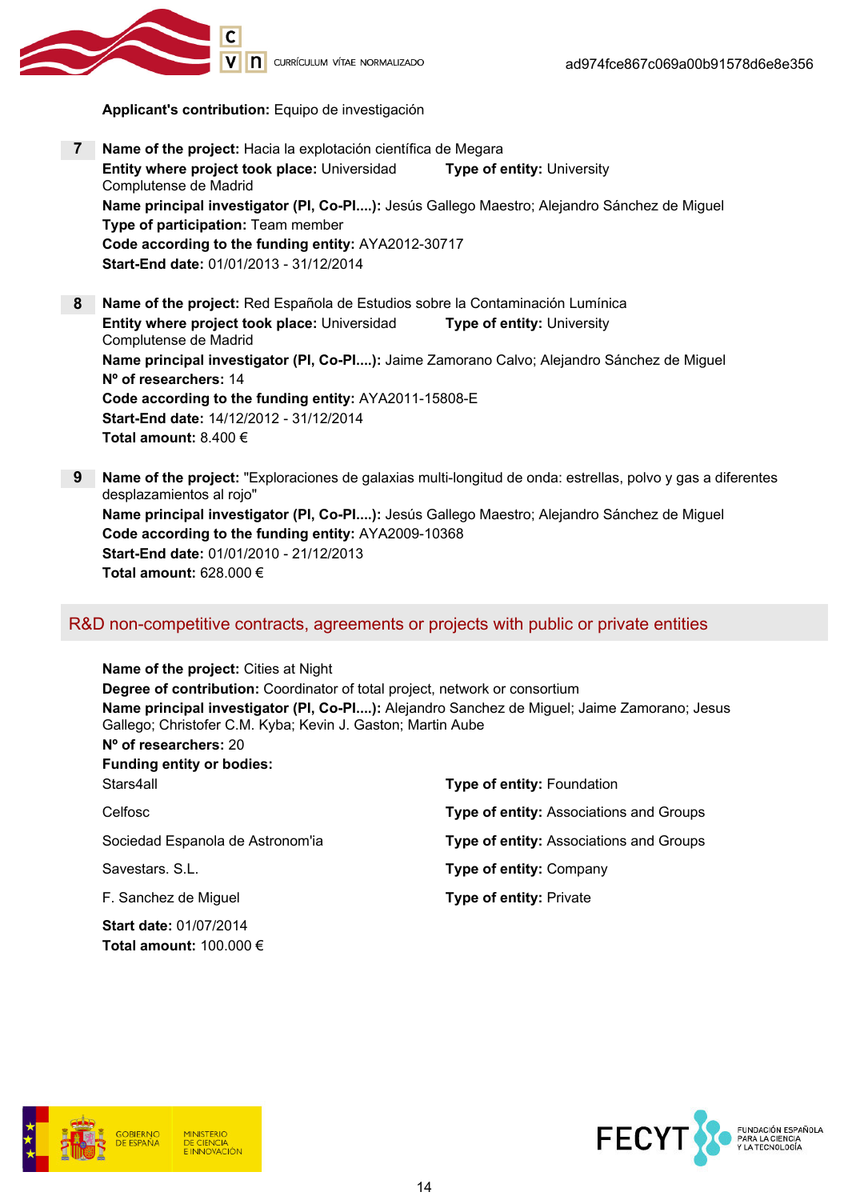

Applicant's contribution: Equipo de investigación

- 7 Name of the project: Hacia la explotación científica de Megara Entity where project took place: Universidad Complutense de Madrid Type of entity: University Name principal investigator (PI, Co-PI....): Jesús Gallego Maestro; Alejandro Sánchez de Miguel Type of participation: Team member Code according to the funding entity: AYA2012-30717 Start-End date: 01/01/2013 - 31/12/2014
- 8 Name of the project: Red Española de Estudios sobre la Contaminación Lumínica Entity where project took place: Universidad Complutense de Madrid Type of entity: University Name principal investigator (PI, Co-PI....): Jaime Zamorano Calvo; Alejandro Sánchez de Miguel Nº of researchers: 14 Code according to the funding entity: AYA2011-15808-E Start-End date: 14/12/2012 - 31/12/2014 Total amount: 8.400 €
- 9 Name of the project: "Exploraciones de galaxias multi-longitud de onda: estrellas, polvo y gas a diferentes desplazamientos al rojo" Name principal investigator (PI, Co-PI....): Jesús Gallego Maestro; Alejandro Sánchez de Miguel Code according to the funding entity: AYA2009-10368 Start-End date: 01/01/2010 - 21/12/2013 Total amount: 628.000 €

### R&D non-competitive contracts, agreements or projects with public or private entities

Name of the project: Cities at Night Degree of contribution: Coordinator of total project, network or consortium Name principal investigator (PI, Co-PI....): Alejandro Sanchez de Miguel; Jaime Zamorano; Jesus Gallego; Christofer C.M. Kyba; Kevin J. Gaston; Martin Aube Nº of researchers: 20 Funding entity or bodies: Stars4all Type of entity: Foundation Celfosc **Type of entity:** Associations and Groups Sociedad Espanola de Astronom'ia Type of entity: Associations and Groups Savestars. S.L. **Savestars.** S.L. **Type of entity: Company** F. Sanchez de Miguel **Type of entity:** Private Start date: 01/07/2014 Total amount: 100.000 €





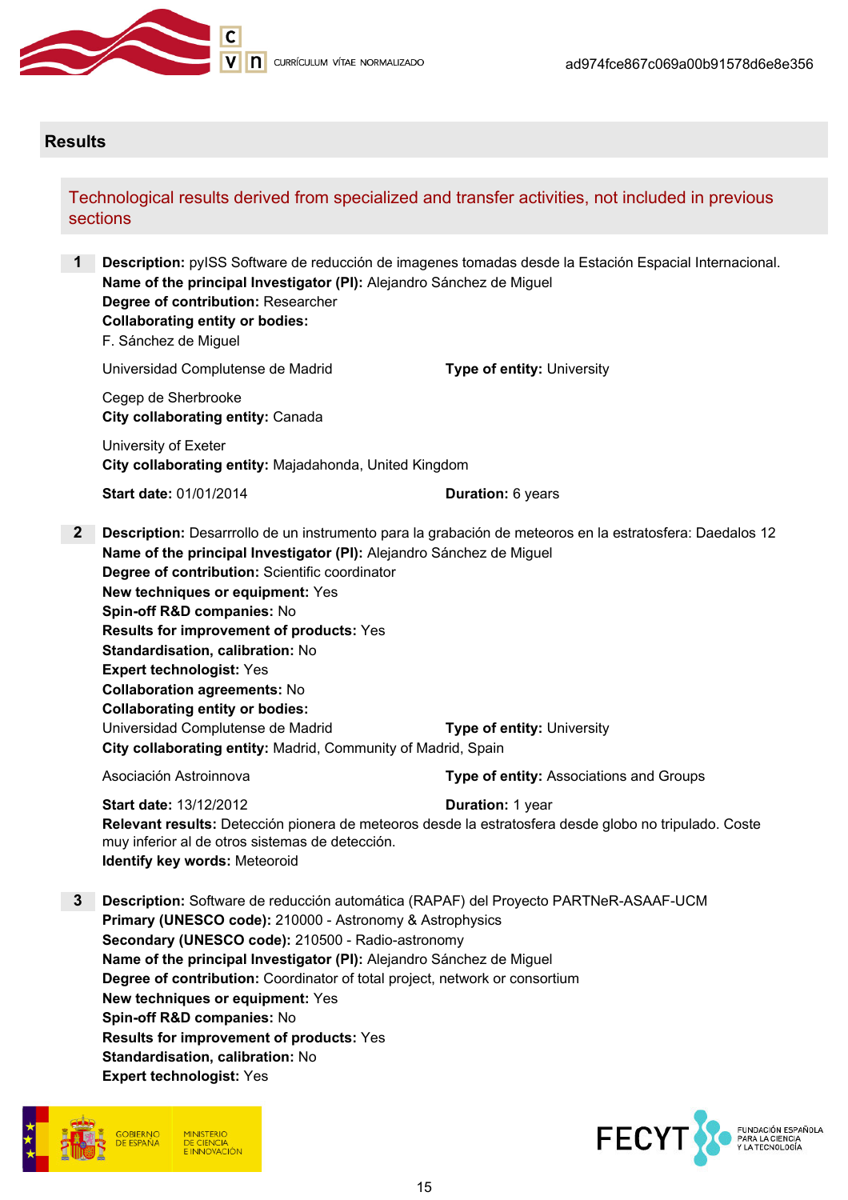

#### **Results**

#### Technological results derived from specialized and transfer activities, not included in previous sections

**Description:** pyISS Software de reducción de imagenes tomadas desde la Estación Espacial Internacional. Name of the principal Investigator (PI): Alejandro Sánchez de Miguel Degree of contribution: Researcher Collaborating entity or bodies: F. Sánchez de Miguel Universidad Complutense de Madrid Type of entity: University

Cegep de Sherbrooke City collaborating entity: Canada

University of Exeter City collaborating entity: Majadahonda, United Kingdom

Start date: 01/01/2014 Duration: 6 years

2 Description: Desarrrollo de un instrumento para la grabación de meteoros en la estratosfera: Daedalos 12 Name of the principal Investigator (PI): Alejandro Sánchez de Miguel Degree of contribution: Scientific coordinator New techniques or equipment: Yes Spin-off R&D companies: No Results for improvement of products: Yes Standardisation, calibration: No Expert technologist: Yes Collaboration agreements: No Collaborating entity or bodies: Universidad Complutense de Madrid Type of entity: University City collaborating entity: Madrid, Community of Madrid, Spain

Asociación Astroinnova **Type of entity:** Associations and Groups

Start date: 13/12/2012 Duration: 1 year Relevant results: Detección pionera de meteoros desde la estratosfera desde globo no tripulado. Coste muy inferior al de otros sistemas de detección. Identify key words: Meteoroid

3 Description: Software de reducción automática (RAPAF) del Proyecto PARTNeR-ASAAF-UCM Primary (UNESCO code): 210000 - Astronomy & Astrophysics Secondary (UNESCO code): 210500 - Radio-astronomy Name of the principal Investigator (PI): Alejandro Sánchez de Miguel Degree of contribution: Coordinator of total project, network or consortium New techniques or equipment: Yes Spin-off R&D companies: No Results for improvement of products: Yes Standardisation, calibration: No Expert technologist: Yes



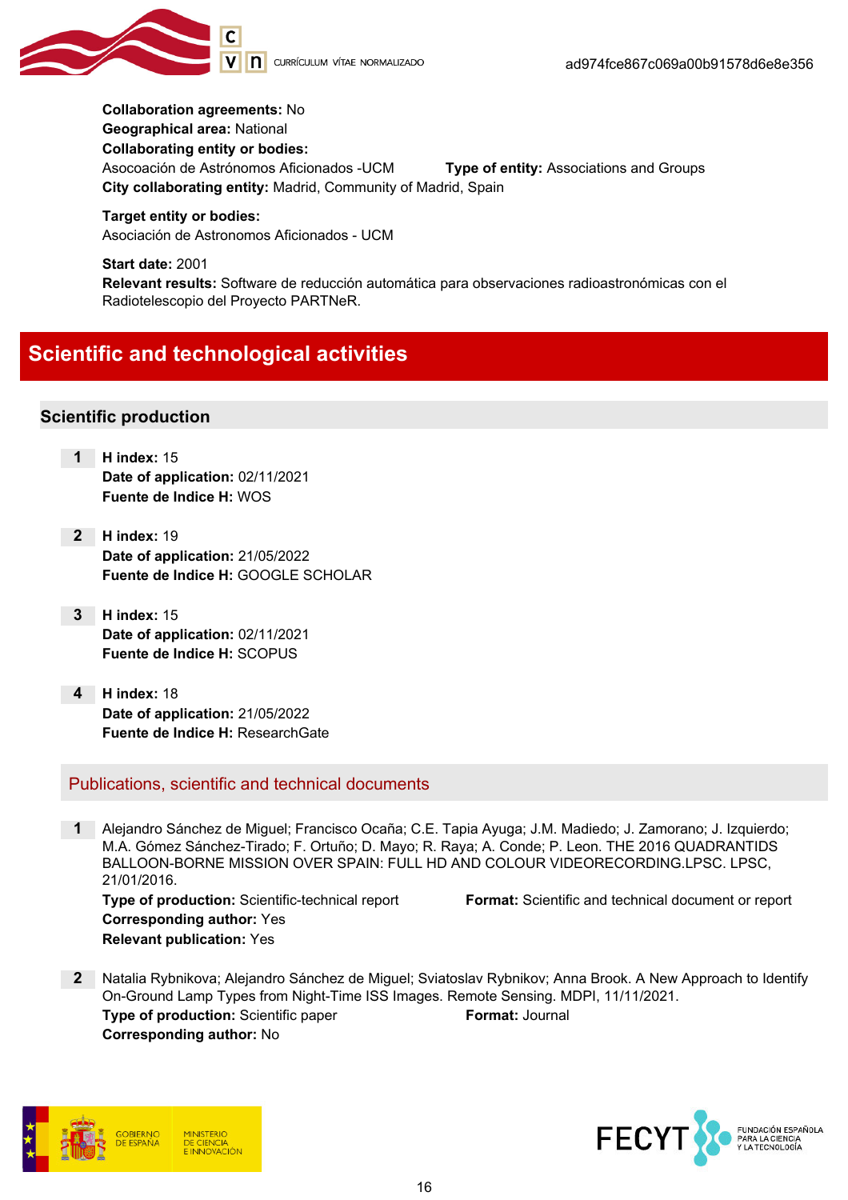

Collaboration agreements: No Geographical area: National Collaborating entity or bodies: Asocoación de Astrónomos Aficionados -UCM Type of entity: Associations and Groups City collaborating entity: Madrid, Community of Madrid, Spain

Target entity or bodies: Asociación de Astronomos Aficionados - UCM

Start date: 2001 Relevant results: Software de reducción automática para observaciones radioastronómicas con el Radiotelescopio del Proyecto PARTNeR.

## Scientific and technological activities

#### Scientific production

- 1 H index: 15 Date of application: 02/11/2021 Fuente de Indice H: WOS
- 2 H index: 19 Date of application: 21/05/2022 Fuente de Indice H: GOOGLE SCHOLAR
- 3 H index: 15 Date of application: 02/11/2021 Fuente de Indice H: SCOPUS
- 4 H index: 18 Date of application: 21/05/2022 Fuente de Indice H: ResearchGate

Publications, scientific and technical documents

- 1 Alejandro Sánchez de Miguel; Francisco Ocaña; C.E. Tapia Ayuga; J.M. Madiedo; J. Zamorano; J. Izquierdo; M.A. Gómez Sánchez-Tirado; F. Ortuño; D. Mayo; R. Raya; A. Conde; P. Leon. THE 2016 QUADRANTIDS BALLOON-BORNE MISSION OVER SPAIN: FULL HD AND COLOUR VIDEORECORDING.LPSC. LPSC, 21/01/2016. Type of production: Scientific-technical report Format: Scientific and technical document or report Corresponding author: Yes Relevant publication: Yes
- 2 Natalia Rybnikova; Alejandro Sánchez de Miguel; Sviatoslav Rybnikov; Anna Brook. A New Approach to Identify On-Ground Lamp Types from Night-Time ISS Images. Remote Sensing. MDPI, 11/11/2021. **Type of production:** Scientific paper Format: Journal Corresponding author: No



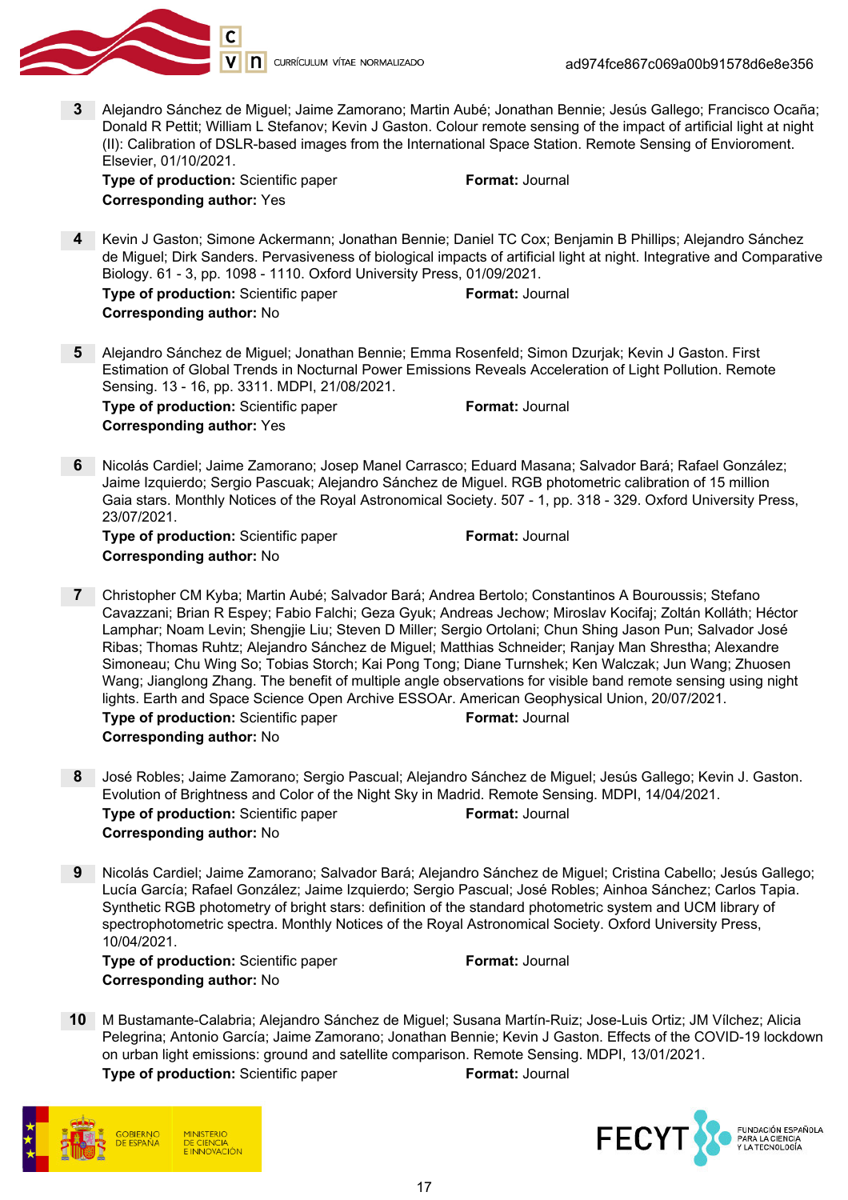

3 Alejandro Sánchez de Miguel; Jaime Zamorano; Martin Aubé; Jonathan Bennie; Jesús Gallego; Francisco Ocaña; Donald R Pettit; William L Stefanov; Kevin J Gaston. Colour remote sensing of the impact of artificial light at night (II): Calibration of DSLR-based images from the International Space Station. Remote Sensing of Envioroment. Elsevier, 01/10/2021.

**Type of production:** Scientific paper Format: Journal Corresponding author: Yes

4 Kevin J Gaston; Simone Ackermann; Jonathan Bennie; Daniel TC Cox; Benjamin B Phillips; Alejandro Sánchez de Miguel; Dirk Sanders. Pervasiveness of biological impacts of artificial light at night. Integrative and Comparative Biology. 61 - 3, pp. 1098 - 1110. Oxford University Press, 01/09/2021. **Type of production:** Scientific paper Format: Journal

| <b>Corresponding author: No</b> |  |  |
|---------------------------------|--|--|

- 5 Alejandro Sánchez de Miguel; Jonathan Bennie; Emma Rosenfeld; Simon Dzurjak; Kevin J Gaston. First Estimation of Global Trends in Nocturnal Power Emissions Reveals Acceleration of Light Pollution. Remote Sensing. 13 - 16, pp. 3311. MDPI, 21/08/2021. Type of production: Scientific paper Format: Journal Corresponding author: Yes
- 6 Nicolás Cardiel; Jaime Zamorano; Josep Manel Carrasco; Eduard Masana; Salvador Bará; Rafael González; Jaime Izquierdo; Sergio Pascuak; Alejandro Sánchez de Miguel. RGB photometric calibration of 15 million Gaia stars. Monthly Notices of the Royal Astronomical Society. 507 - 1, pp. 318 - 329. Oxford University Press, 23/07/2021.

Type of production: Scientific paper Format: Journal Corresponding author: No

- 7 Christopher CM Kyba; Martin Aubé; Salvador Bará; Andrea Bertolo; Constantinos A Bouroussis; Stefano Cavazzani; Brian R Espey; Fabio Falchi; Geza Gyuk; Andreas Jechow; Miroslav Kocifaj; Zoltán Kolláth; Héctor Lamphar; Noam Levin; Shengjie Liu; Steven D Miller; Sergio Ortolani; Chun Shing Jason Pun; Salvador José Ribas; Thomas Ruhtz; Alejandro Sánchez de Miguel; Matthias Schneider; Ranjay Man Shrestha; Alexandre Simoneau; Chu Wing So; Tobias Storch; Kai Pong Tong; Diane Turnshek; Ken Walczak; Jun Wang; Zhuosen Wang; Jianglong Zhang. The benefit of multiple angle observations for visible band remote sensing using night lights. Earth and Space Science Open Archive ESSOAr. American Geophysical Union, 20/07/2021. **Type of production:** Scientific paper Format: Journal Corresponding author: No
- 8 José Robles; Jaime Zamorano; Sergio Pascual; Alejandro Sánchez de Miguel; Jesús Gallego; Kevin J. Gaston. Evolution of Brightness and Color of the Night Sky in Madrid. Remote Sensing. MDPI, 14/04/2021. **Type of production:** Scientific paper Format: Journal Corresponding author: No
- 9 Nicolás Cardiel; Jaime Zamorano; Salvador Bará; Alejandro Sánchez de Miguel; Cristina Cabello; Jesús Gallego; Lucía García; Rafael González; Jaime Izquierdo; Sergio Pascual; José Robles; Ainhoa Sánchez; Carlos Tapia. Synthetic RGB photometry of bright stars: definition of the standard photometric system and UCM library of spectrophotometric spectra. Monthly Notices of the Royal Astronomical Society. Oxford University Press, 10/04/2021.

**Type of production:** Scientific paper Format: Journal Corresponding author: No

10 M Bustamante-Calabria; Alejandro Sánchez de Miguel; Susana Martín-Ruiz; Jose-Luis Ortiz; JM Vílchez; Alicia Pelegrina; Antonio García; Jaime Zamorano; Jonathan Bennie; Kevin J Gaston. Effects of the COVID-19 lockdown on urban light emissions: ground and satellite comparison. Remote Sensing. MDPI, 13/01/2021.



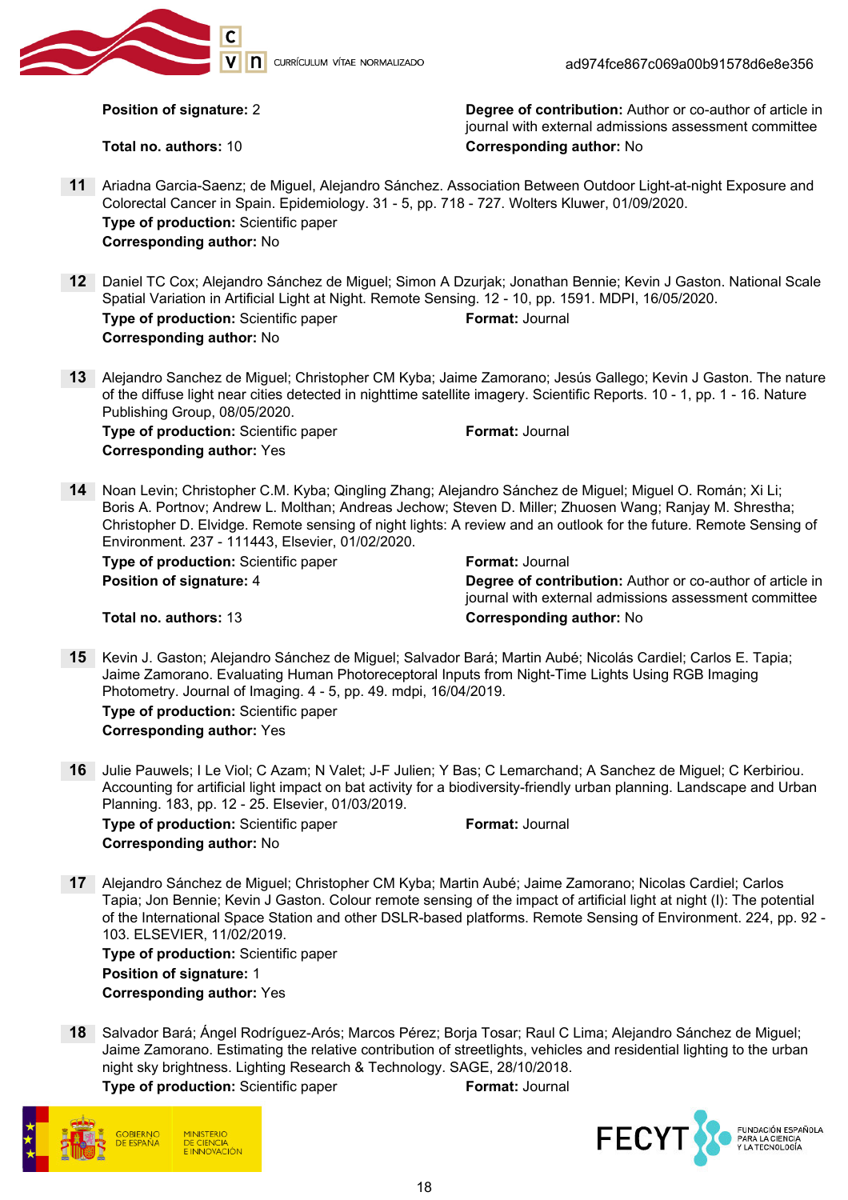

**n** currículum vítae Normalizado

**Position of signature: 2** Degree of contribution: Author or co-author of article in journal with external admissions assessment committee Total no. authors: 10 **Corresponding author:** No

- 11 Ariadna Garcia-Saenz; de Miguel, Alejandro Sánchez. Association Between Outdoor Light-at-night Exposure and Colorectal Cancer in Spain. Epidemiology. 31 - 5, pp. 718 - 727. Wolters Kluwer, 01/09/2020. Type of production: Scientific paper Corresponding author: No
- 12 Daniel TC Cox; Alejandro Sánchez de Miguel; Simon A Dzurjak; Jonathan Bennie; Kevin J Gaston. National Scale Spatial Variation in Artificial Light at Night. Remote Sensing. 12 - 10, pp. 1591. MDPI, 16/05/2020. Type of production: Scientific paper Format: Journal Corresponding author: No
- 13 Alejandro Sanchez de Miguel; Christopher CM Kyba; Jaime Zamorano; Jesús Gallego; Kevin J Gaston. The nature of the diffuse light near cities detected in nighttime satellite imagery. Scientific Reports. 10 - 1, pp. 1 - 16. Nature Publishing Group, 08/05/2020.

**Type of production:** Scientific paper Format: Journal Corresponding author: Yes

14 Noan Levin; Christopher C.M. Kyba; Qingling Zhang; Alejandro Sánchez de Miguel; Miguel O. Román; Xi Li; Boris A. Portnov; Andrew L. Molthan; Andreas Jechow; Steven D. Miller; Zhuosen Wang; Ranjay M. Shrestha; Christopher D. Elvidge. Remote sensing of night lights: A review and an outlook for the future. Remote Sensing of Environment. 237 - 111443, Elsevier, 01/02/2020.

| <b>Type of production:</b> Scientific paper |  |
|---------------------------------------------|--|
| <b>Position of signature: 4</b>             |  |

**Format: Journal** Degree of contribution: Author or co-author of article in journal with external admissions assessment committee

Total no. authors: 13 Corresponding author: No

- 15 Kevin J. Gaston; Alejandro Sánchez de Miguel; Salvador Bará; Martin Aubé; Nicolás Cardiel; Carlos E. Tapia; Jaime Zamorano. Evaluating Human Photoreceptoral Inputs from Night-Time Lights Using RGB Imaging Photometry. Journal of Imaging. 4 - 5, pp. 49. mdpi, 16/04/2019. Type of production: Scientific paper Corresponding author: Yes
- 16 Julie Pauwels; I Le Viol; C Azam; N Valet; J-F Julien; Y Bas; C Lemarchand; A Sanchez de Miguel; C Kerbiriou. Accounting for artificial light impact on bat activity for a biodiversity-friendly urban planning. Landscape and Urban Planning. 183, pp. 12 - 25. Elsevier, 01/03/2019.

**Type of production:** Scientific paper Format: Journal Corresponding author: No

17 Alejandro Sánchez de Miguel; Christopher CM Kyba; Martin Aubé; Jaime Zamorano; Nicolas Cardiel; Carlos Tapia; Jon Bennie; Kevin J Gaston. Colour remote sensing of the impact of artificial light at night (I): The potential of the International Space Station and other DSLR-based platforms. Remote Sensing of Environment. 224, pp. 92 - 103. ELSEVIER, 11/02/2019.

Type of production: Scientific paper Position of signature: 1 Corresponding author: Yes

18 Salvador Bará; Ángel Rodríguez-Arós; Marcos Pérez; Borja Tosar; Raul C Lima; Alejandro Sánchez de Miguel; Jaime Zamorano. Estimating the relative contribution of streetlights, vehicles and residential lighting to the urban night sky brightness. Lighting Research & Technology. SAGE, 28/10/2018.

**Type of production:** Scientific paper Format: Journal

DE CIENCIA **INNOVACIÓN** 

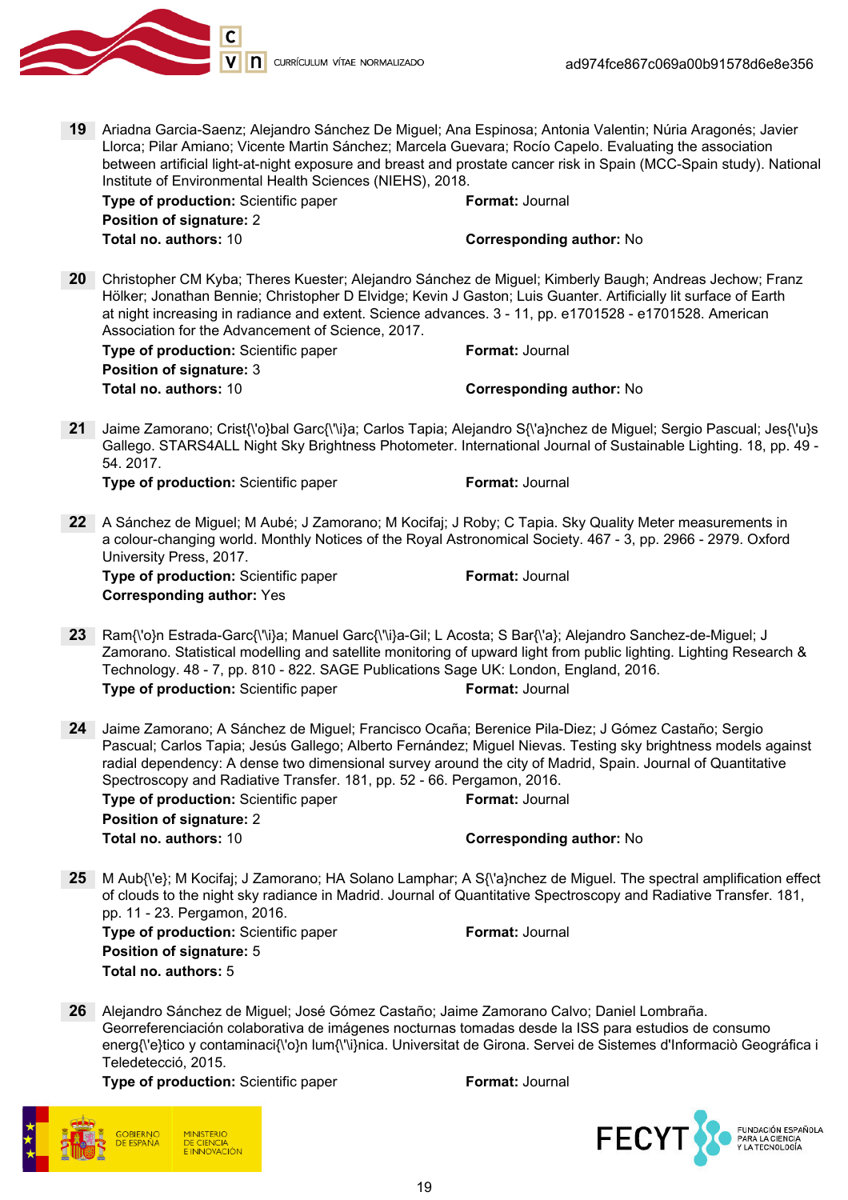

19 Ariadna Garcia-Saenz; Alejandro Sánchez De Miguel; Ana Espinosa; Antonia Valentin; Núria Aragonés; Javier Llorca; Pilar Amiano; Vicente Martin Sánchez; Marcela Guevara; Rocío Capelo. Evaluating the association between artificial light-at-night exposure and breast and prostate cancer risk in Spain (MCC-Spain study). National Institute of Environmental Health Sciences (NIEHS), 2018.

| <b>Type of production:</b> Scientific paper | <b>Format:</b> Journal          |
|---------------------------------------------|---------------------------------|
| <b>Position of signature: 2</b>             |                                 |
| Total no. authors: 10                       | <b>Corresponding author: No</b> |

20 Christopher CM Kyba; Theres Kuester; Alejandro Sánchez de Miguel; Kimberly Baugh; Andreas Jechow; Franz Hölker; Jonathan Bennie; Christopher D Elvidge; Kevin J Gaston; Luis Guanter. Artificially lit surface of Earth at night increasing in radiance and extent. Science advances. 3 - 11, pp. e1701528 - e1701528. American Association for the Advancement of Science, 2017.

| <b>Type of production:</b> Scientific paper | <b>Format:</b> Journal          |
|---------------------------------------------|---------------------------------|
| <b>Position of signature: 3</b>             |                                 |
| Total no. authors: 10                       | <b>Corresponding author: No</b> |

21 Jaime Zamorano; Crist{\'o}bal Garc{\'\i}a; Carlos Tapia; Alejandro S{\'a}nchez de Miguel; Sergio Pascual; Jes{\'u}s Gallego. STARS4ALL Night Sky Brightness Photometer. International Journal of Sustainable Lighting. 18, pp. 49 - 54. 2017.

**Type of production:** Scientific paper Format: Journal

22 A Sánchez de Miguel; M Aubé; J Zamorano; M Kocifaj; J Roby; C Tapia. Sky Quality Meter measurements in a colour-changing world. Monthly Notices of the Royal Astronomical Society. 467 - 3, pp. 2966 - 2979. Oxford University Press, 2017.

Type of production: Scientific paper Format: Journal Corresponding author: Yes

- 23 Ram{\'o}n Estrada-Garc{\'\i}a; Manuel Garc{\'\i}a-Gil; L Acosta; S Bar{\'a}; Alejandro Sanchez-de-Miguel; J Zamorano. Statistical modelling and satellite monitoring of upward light from public lighting. Lighting Research & Technology. 48 - 7, pp. 810 - 822. SAGE Publications Sage UK: London, England, 2016. Type of production: Scientific paper Format: Journal
- 24 Jaime Zamorano; A Sánchez de Miguel; Francisco Ocaña; Berenice Pila-Diez; J Gómez Castaño; Sergio Pascual; Carlos Tapia; Jesús Gallego; Alberto Fernández; Miguel Nievas. Testing sky brightness models against radial dependency: A dense two dimensional survey around the city of Madrid, Spain. Journal of Quantitative Spectroscopy and Radiative Transfer. 181, pp. 52 - 66. Pergamon, 2016. **Type of production:** Scientific paper Format: Journal Position of signature: 2 Total no. authors: 10 Corresponding author: No
- 25 M Aub{\'e}; M Kocifaj; J Zamorano; HA Solano Lamphar; A S{\'a}nchez de Miguel. The spectral amplification effect of clouds to the night sky radiance in Madrid. Journal of Quantitative Spectroscopy and Radiative Transfer. 181, pp. 11 - 23. Pergamon, 2016.

**Type of production:** Scientific paper Format: Journal Position of signature: 5 Total no. authors: 5

26 Alejandro Sánchez de Miguel; José Gómez Castaño; Jaime Zamorano Calvo; Daniel Lombraña. Georreferenciación colaborativa de imágenes nocturnas tomadas desde la ISS para estudios de consumo energ{\'e}tico y contaminaci{\'o}n lum{\'\i}nica. Universitat de Girona. Servei de Sistemes d'Informaciò Geográfica i Teledetecció, 2015.

Type of production: Scientific paper Format: Journal

DE CIENCIA **EINNOVACIÓN** 

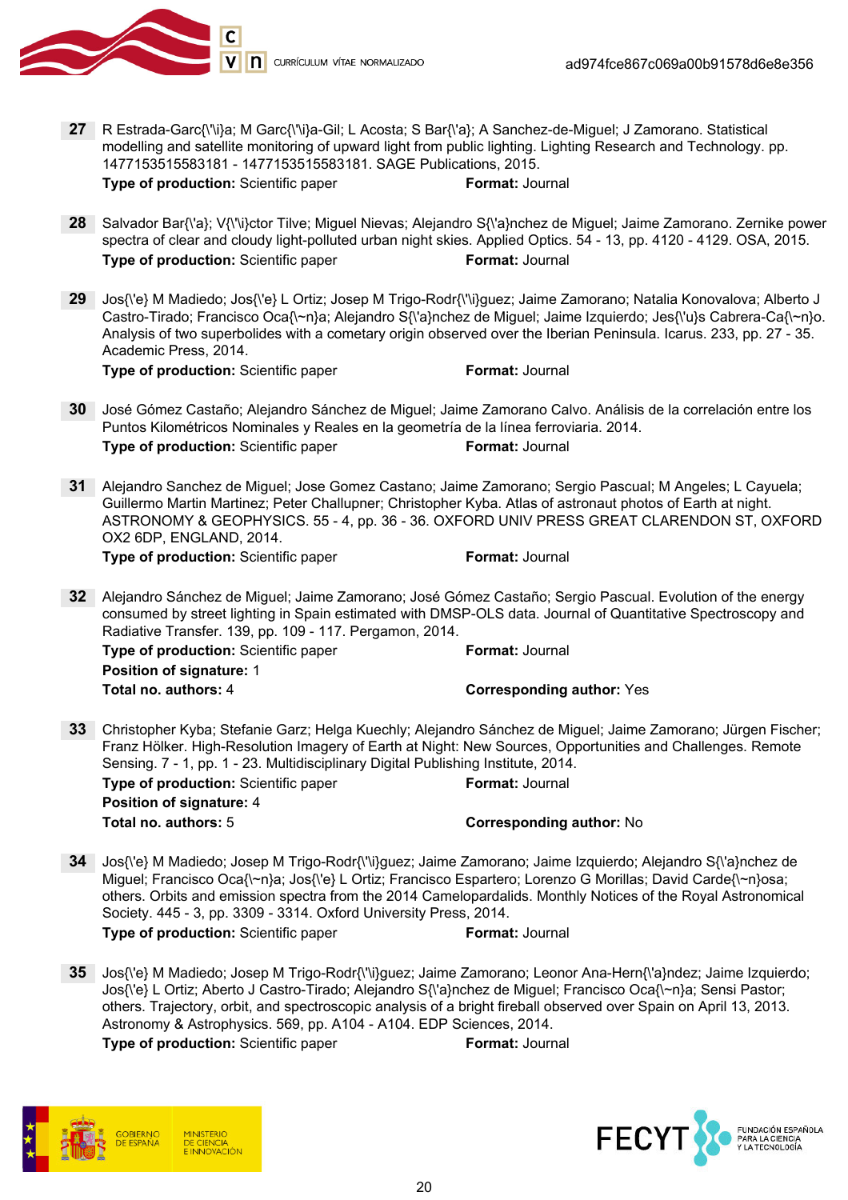

- 27 R Estrada-Garc{\'\i}a; M Garc{\'\i}a-Gil; L Acosta; S Bar{\'a}; A Sanchez-de-Miguel; J Zamorano. Statistical modelling and satellite monitoring of upward light from public lighting. Lighting Research and Technology. pp. 1477153515583181 - 1477153515583181. SAGE Publications, 2015. **Type of production:** Scientific paper Format: Journal
- 28 Salvador Bar{\'a}; V{\'\i}ctor Tilve; Miguel Nievas; Alejandro S{\'a}nchez de Miguel; Jaime Zamorano. Zernike power spectra of clear and cloudy light-polluted urban night skies. Applied Optics. 54 - 13, pp. 4120 - 4129. OSA, 2015. **Type of production:** Scientific paper Format: Journal
- 29 Jos{\'e} M Madiedo; Jos{\'e} L Ortiz; Josep M Trigo-Rodr{\'\i}guez; Jaime Zamorano; Natalia Konovalova; Alberto J Castro-Tirado; Francisco Oca{\~n}a; Alejandro S{\'a}nchez de Miguel; Jaime Izquierdo; Jes{\'u}s Cabrera-Ca{\~n}o. Analysis of two superbolides with a cometary origin observed over the Iberian Peninsula. Icarus. 233, pp. 27 - 35. Academic Press, 2014.

**Type of production:** Scientific paper Format: Journal

- 30 José Gómez Castaño; Alejandro Sánchez de Miguel; Jaime Zamorano Calvo. Análisis de la correlación entre los Puntos Kilométricos Nominales y Reales en la geometría de la línea ferroviaria. 2014. **Type of production:** Scientific paper Format: Journal
- 31 Alejandro Sanchez de Miguel; Jose Gomez Castano; Jaime Zamorano; Sergio Pascual; M Angeles; L Cayuela; Guillermo Martin Martinez; Peter Challupner; Christopher Kyba. Atlas of astronaut photos of Earth at night. ASTRONOMY & GEOPHYSICS. 55 - 4, pp. 36 - 36. OXFORD UNIV PRESS GREAT CLARENDON ST, OXFORD OX2 6DP, ENGLAND, 2014.

Type of production: Scientific paper Format: Journal

32 Alejandro Sánchez de Miguel; Jaime Zamorano; José Gómez Castaño; Sergio Pascual. Evolution of the energy consumed by street lighting in Spain estimated with DMSP-OLS data. Journal of Quantitative Spectroscopy and Radiative Transfer. 139, pp. 109 - 117. Pergamon, 2014.

**Type of production:** Scientific paper Format: Journal Position of signature: 1 Total no. authors: 4 Corresponding author: Yes

33 Christopher Kyba; Stefanie Garz; Helga Kuechly; Alejandro Sánchez de Miguel; Jaime Zamorano; Jürgen Fischer; Franz Hölker. High-Resolution Imagery of Earth at Night: New Sources, Opportunities and Challenges. Remote Sensing. 7 - 1, pp. 1 - 23. Multidisciplinary Digital Publishing Institute, 2014.

| <b>Type of production:</b> Scientific paper | <b>Format: Journal</b>          |
|---------------------------------------------|---------------------------------|
| <b>Position of signature: 4</b>             |                                 |
| Total no. authors: 5                        | <b>Corresponding author: No</b> |

34 Jos{\'e} M Madiedo; Josep M Trigo-Rodr{\'\i}guez; Jaime Zamorano; Jaime Izquierdo; Alejandro S{\'a}nchez de Miguel; Francisco Oca{\~n}a; Jos{\'e} L Ortiz; Francisco Espartero; Lorenzo G Morillas; David Carde{\~n}osa; others. Orbits and emission spectra from the 2014 Camelopardalids. Monthly Notices of the Royal Astronomical Society. 445 - 3, pp. 3309 - 3314. Oxford University Press, 2014.

**Type of production:** Scientific paper Format: Journal

35 Jos{\'e} M Madiedo; Josep M Trigo-Rodr{\'\i}guez; Jaime Zamorano; Leonor Ana-Hern{\'a}ndez; Jaime Izquierdo; Jos{\'e} L Ortiz; Aberto J Castro-Tirado; Alejandro S{\'a}nchez de Miguel; Francisco Oca{\~n}a; Sensi Pastor; others. Trajectory, orbit, and spectroscopic analysis of a bright fireball observed over Spain on April 13, 2013. Astronomy & Astrophysics. 569, pp. A104 - A104. EDP Sciences, 2014.



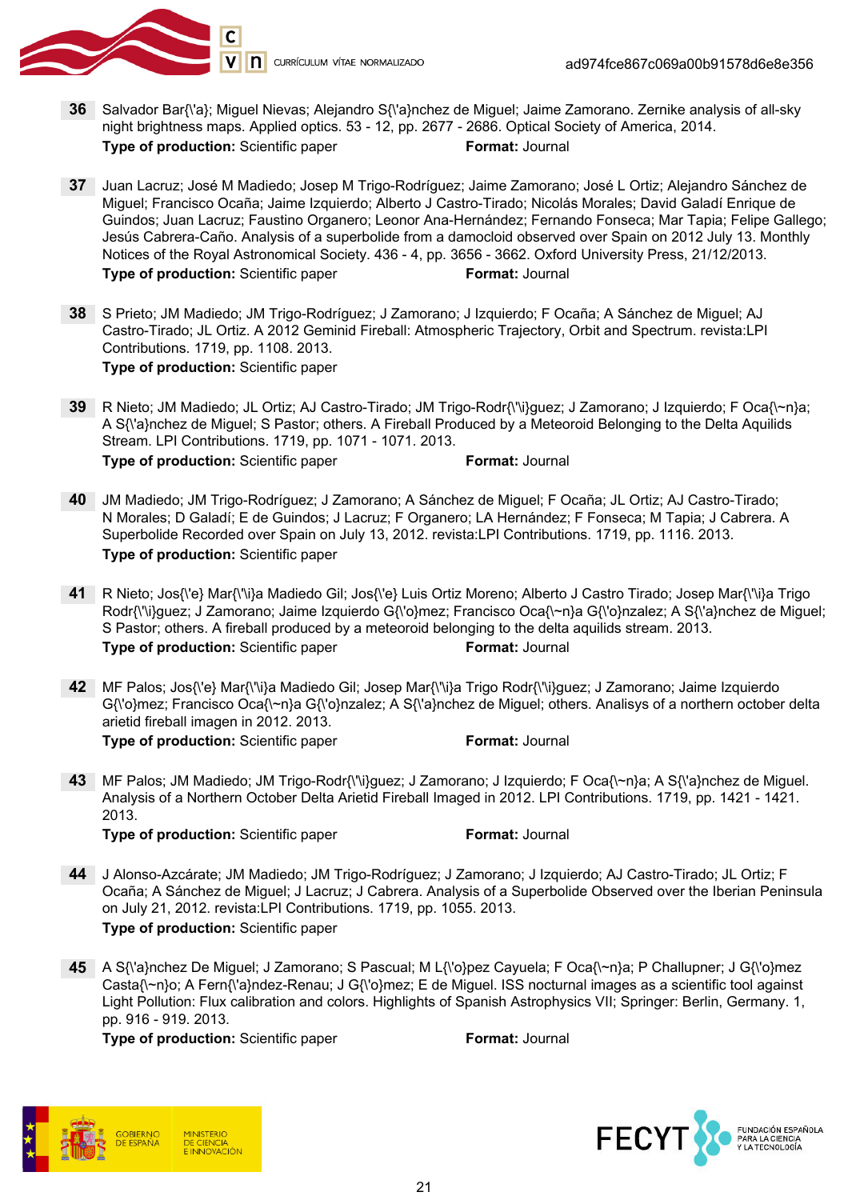

- 36 Salvador Bar{\'a}; Miguel Nievas; Alejandro S{\'a}nchez de Miguel; Jaime Zamorano. Zernike analysis of all-sky night brightness maps. Applied optics. 53 - 12, pp. 2677 - 2686. Optical Society of America, 2014. Type of production: Scientific paper Format: Journal
- 37 Juan Lacruz; José M Madiedo; Josep M Trigo-Rodríguez; Jaime Zamorano; José L Ortiz; Alejandro Sánchez de Miguel; Francisco Ocaña; Jaime Izquierdo; Alberto J Castro-Tirado; Nicolás Morales; David Galadí Enrique de Guindos; Juan Lacruz; Faustino Organero; Leonor Ana-Hernández; Fernando Fonseca; Mar Tapia; Felipe Gallego; Jesús Cabrera-Caño. Analysis of a superbolide from a damocloid observed over Spain on 2012 July 13. Monthly Notices of the Royal Astronomical Society. 436 - 4, pp. 3656 - 3662. Oxford University Press, 21/12/2013. **Type of production:** Scientific paper Format: Journal
- 38 S Prieto; JM Madiedo; JM Trigo-Rodríguez; J Zamorano; J Izquierdo; F Ocaña; A Sánchez de Miguel; AJ Castro-Tirado; JL Ortiz. A 2012 Geminid Fireball: Atmospheric Trajectory, Orbit and Spectrum. revista:LPI Contributions. 1719, pp. 1108. 2013. Type of production: Scientific paper
- 39 R Nieto; JM Madiedo; JL Ortiz; AJ Castro-Tirado; JM Trigo-Rodr{\'\i}guez; J Zamorano; J Izquierdo; F Oca{\~n}a; A S{\'a}nchez de Miguel; S Pastor; others. A Fireball Produced by a Meteoroid Belonging to the Delta Aquilids Stream. LPI Contributions. 1719, pp. 1071 - 1071. 2013. **Type of production:** Scientific paper Format: Journal
- 40 JM Madiedo; JM Trigo-Rodríguez; J Zamorano; A Sánchez de Miguel; F Ocaña; JL Ortiz; AJ Castro-Tirado; N Morales; D Galadí; E de Guindos; J Lacruz; F Organero; LA Hernández; F Fonseca; M Tapia; J Cabrera. A Superbolide Recorded over Spain on July 13, 2012. revista:LPI Contributions. 1719, pp. 1116. 2013. Type of production: Scientific paper
- 41 R Nieto; Jos{\'e} Mar{\'\i}a Madiedo Gil; Jos{\'e} Luis Ortiz Moreno; Alberto J Castro Tirado; Josep Mar{\'\i}a Trigo Rodr{\'\i}guez; J Zamorano; Jaime Izquierdo G{\'o}mez; Francisco Oca{\~n}a G{\'o}nzalez; A S{\'a}nchez de Miguel; S Pastor; others. A fireball produced by a meteoroid belonging to the delta aquilids stream. 2013. **Type of production:** Scientific paper Format: Journal
- 42 MF Palos; Jos{\'e} Mar{\'\i}a Madiedo Gil; Josep Mar{\'\i}a Trigo Rodr{\'\i}guez; J Zamorano; Jaime Izquierdo G{\'o}mez; Francisco Oca{\~n}a G{\'o}nzalez; A S{\'a}nchez de Miguel; others. Analisys of a northern october delta arietid fireball imagen in 2012. 2013. **Type of production:** Scientific paper Format: Journal
- 43 MF Palos; JM Madiedo; JM Trigo-Rodr{\'\i}guez; J Zamorano; J Izquierdo; F Oca{\~n}a; A S{\'a}nchez de Miguel. Analysis of a Northern October Delta Arietid Fireball Imaged in 2012. LPI Contributions. 1719, pp. 1421 - 1421. 2013.

**Type of production:** Scientific paper Format: Journal

- 44 J Alonso-Azcárate; JM Madiedo; JM Trigo-Rodríguez; J Zamorano; J Izquierdo; AJ Castro-Tirado; JL Ortiz; F Ocaña; A Sánchez de Miguel; J Lacruz; J Cabrera. Analysis of a Superbolide Observed over the Iberian Peninsula on July 21, 2012. revista:LPI Contributions. 1719, pp. 1055. 2013. Type of production: Scientific paper
- 45 A S{\'a}nchez De Miguel; J Zamorano; S Pascual; M L{\'o}pez Cayuela; F Oca{\~n}a; P Challupner; J G{\'o}mez Casta{\~n}o; A Fern{\'a}ndez-Renau; J G{\'o}mez; E de Miguel. ISS nocturnal images as a scientific tool against Light Pollution: Flux calibration and colors. Highlights of Spanish Astrophysics VII; Springer: Berlin, Germany. 1, pp. 916 - 919. 2013.



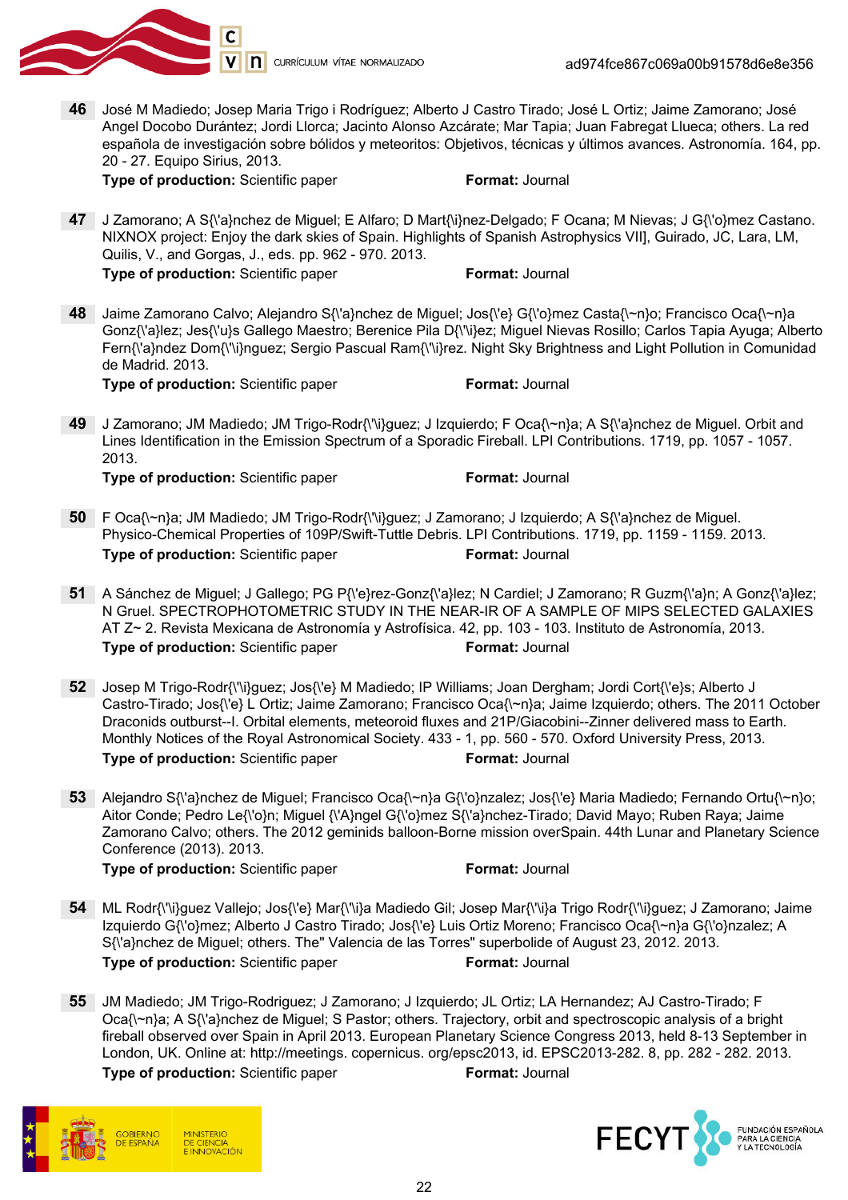

46 José M Madiedo; Josep Maria Trigo i Rodríguez; Alberto J Castro Tirado; José L Ortiz; Jaime Zamorano; José Angel Docobo Durántez; Jordi Llorca; Jacinto Alonso Azcárate; Mar Tapia; Juan Fabregat Llueca; others. La red española de investigación sobre bólidos y meteoritos: Objetivos, técnicas y últimos avances. Astronomía. 164, pp. 20 - 27. Equipo Sirius, 2013.

**Type of production:** Scientific paper Format: Journal

47 J Zamorano; A S{\'a}nchez de Miguel; E Alfaro; D Mart{\i}nez-Delgado; F Ocana; M Nievas; J G{\'o}mez Castano. NIXNOX project: Enjoy the dark skies of Spain. Highlights of Spanish Astrophysics VII], Guirado, JC, Lara, LM, Quilis, V., and Gorgas, J., eds. pp. 962 - 970. 2013. **Type of production:** Scientific paper Format: Journal

48 Jaime Zamorano Calvo; Alejandro S{\'a}nchez de Miguel; Jos{\'e} G{\'o}mez Casta{\~n}o; Francisco Oca{\~n}a Gonz{\'a}lez; Jes{\'u}s Gallego Maestro; Berenice Pila D{\'\i}ez; Miguel Nievas Rosillo; Carlos Tapia Ayuga; Alberto Fern{\'a}ndez Dom{\'\i}nguez; Sergio Pascual Ram{\'\i}rez. Night Sky Brightness and Light Pollution in Comunidad de Madrid. 2013.

**Type of production:** Scientific paper Format: Journal

49 J Zamorano; JM Madiedo; JM Trigo-Rodr{\'\i}guez; J Izquierdo; F Oca{\~n}a; A S{\'a}nchez de Miguel. Orbit and Lines Identification in the Emission Spectrum of a Sporadic Fireball. LPI Contributions. 1719, pp. 1057 - 1057. 2013.

**Type of production:** Scientific paper Format: Journal

- 50 F Oca{\~n}a; JM Madiedo; JM Trigo-Rodr{\'\i}guez; J Zamorano; J Izquierdo; A S{\'a}nchez de Miguel. Physico-Chemical Properties of 109P/Swift-Tuttle Debris. LPI Contributions. 1719, pp. 1159 - 1159. 2013. **Type of production:** Scientific paper Format: Journal
- 51 A Sánchez de Miguel; J Gallego; PG P{\'e}rez-Gonz{\'a}lez; N Cardiel; J Zamorano; R Guzm{\'a}n; A Gonz{\'a}lez; N Gruel. SPECTROPHOTOMETRIC STUDY IN THE NEAR-IR OF A SAMPLE OF MIPS SELECTED GALAXIES AT Z~ 2. Revista Mexicana de Astronomía y Astrofísica. 42, pp. 103 - 103. Instituto de Astronomía, 2013. **Type of production:** Scientific paper Format: Journal
- 52 Josep M Trigo-Rodr{\'\i}guez; Jos{\'e} M Madiedo; IP Williams; Joan Dergham; Jordi Cort{\'e}s; Alberto J Castro-Tirado; Jos{\'e} L Ortiz; Jaime Zamorano; Francisco Oca{\~n}a; Jaime Izquierdo; others. The 2011 October Draconids outburst--I. Orbital elements, meteoroid fluxes and 21P/Giacobini--Zinner delivered mass to Earth. Monthly Notices of the Royal Astronomical Society. 433 - 1, pp. 560 - 570. Oxford University Press, 2013. **Type of production:** Scientific paper Format: Journal
- 53 Alejandro S{\'a}nchez de Miguel; Francisco Oca{\~n}a G{\'o}nzalez; Jos{\'e} Maria Madiedo; Fernando Ortu{\~n}o; Aitor Conde; Pedro Le{\'o}n; Miguel {\'A}ngel G{\'o}mez S{\'a}nchez-Tirado; David Mayo; Ruben Raya; Jaime Zamorano Calvo; others. The 2012 geminids balloon-Borne mission overSpain. 44th Lunar and Planetary Science Conference (2013). 2013.

- 54 ML Rodr{\'\i}guez Vallejo; Jos{\'e} Mar{\'\i}a Madiedo Gil; Josep Mar{\'\i}a Trigo Rodr{\'\i}guez; J Zamorano; Jaime Izquierdo G{\'o}mez; Alberto J Castro Tirado; Jos{\'e} Luis Ortiz Moreno; Francisco Oca{\~n}a G{\'o}nzalez; A S{\'a}nchez de Miguel; others. The" Valencia de las Torres" superbolide of August 23, 2012. 2013. **Type of production:** Scientific paper Format: Journal
- 55 JM Madiedo; JM Trigo-Rodriguez; J Zamorano; J Izquierdo; JL Ortiz; LA Hernandez; AJ Castro-Tirado; F Oca{\~n}a; A S{\'a}nchez de Miguel; S Pastor; others. Trajectory, orbit and spectroscopic analysis of a bright fireball observed over Spain in April 2013. European Planetary Science Congress 2013, held 8-13 September in London, UK. Online at: http://meetings. copernicus. org/epsc2013, id. EPSC2013-282. 8, pp. 282 - 282. 2013. **Type of production:** Scientific paper Format: Journal



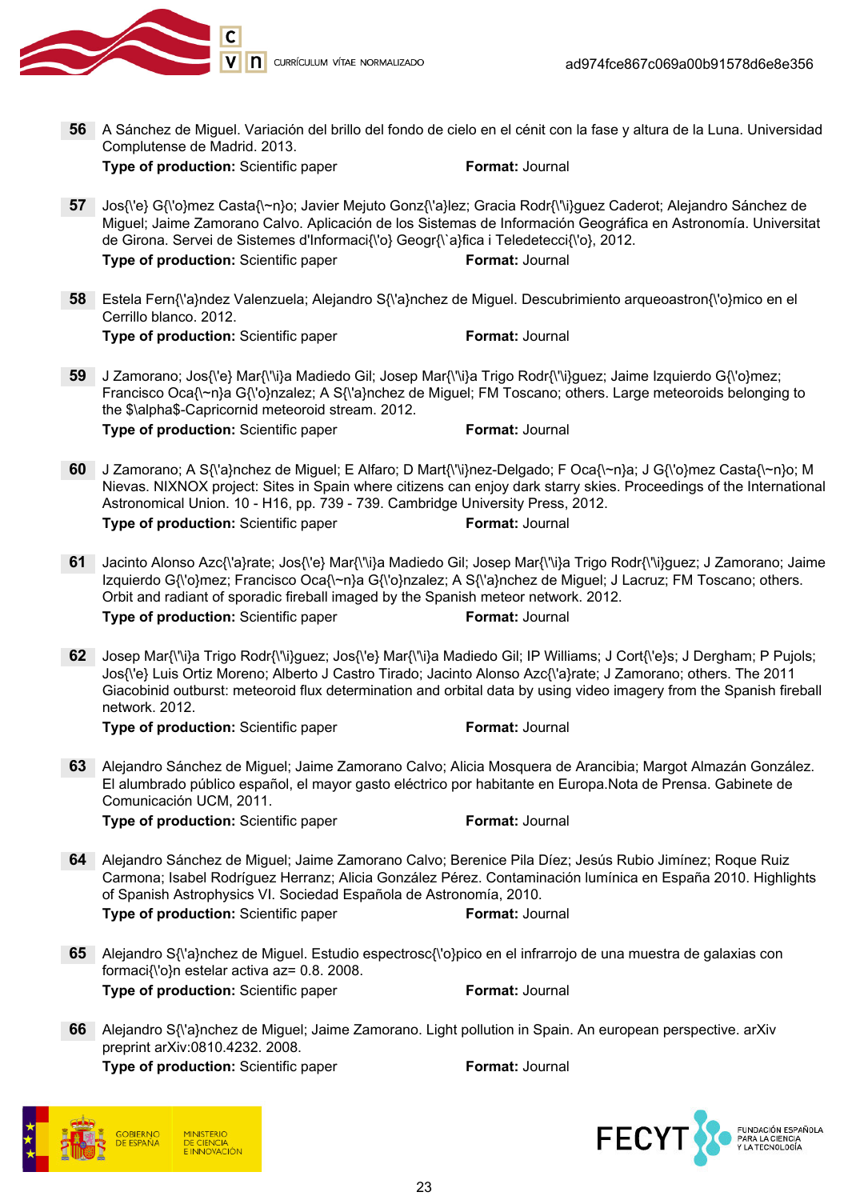

56 A Sánchez de Miguel. Variación del brillo del fondo de cielo en el cénit con la fase y altura de la Luna. Universidad Complutense de Madrid. 2013. **Type of production:** Scientific paper Format: Journal 57 Jos{\'e} G{\'o}mez Casta{\~n}o; Javier Mejuto Gonz{\'a}lez; Gracia Rodr{\'\i}guez Caderot; Alejandro Sánchez de Miguel; Jaime Zamorano Calvo. Aplicación de los Sistemas de Información Geográfica en Astronomía. Universitat de Girona. Servei de Sistemes d'Informaci{\'o} Geogr{\`a}fica i Teledetecci{\'o}, 2012. **Type of production:** Scientific paper Format: Journal 58 Estela Fern{\'a}ndez Valenzuela; Alejandro S{\'a}nchez de Miguel. Descubrimiento arqueoastron{\'o}mico en el Cerrillo blanco. 2012. **Type of production:** Scientific paper Format: Journal 59 J Zamorano; Jos{\'e} Mar{\'\i}a Madiedo Gil; Josep Mar{\'\i}a Trigo Rodr{\'\i}guez; Jaime Izquierdo G{\'o}mez; Francisco Oca{\~n}a G{\'o}nzalez; A S{\'a}nchez de Miguel; FM Toscano; others. Large meteoroids belonging to the \$\alpha\$-Capricornid meteoroid stream. 2012. **Type of production:** Scientific paper Format: Journal 60 J Zamorano; A S{\'a}nchez de Miguel; E Alfaro; D Mart{\'\i}nez-Delgado; F Oca{\~n}a; J G{\'o}mez Casta{\~n}o; M Nievas. NIXNOX project: Sites in Spain where citizens can enjoy dark starry skies. Proceedings of the International Astronomical Union. 10 - H16, pp. 739 - 739. Cambridge University Press, 2012. **Type of production:** Scientific paper Format: Journal 61 Jacinto Alonso Azc{\'a}rate; Jos{\'e} Mar{\'\i}a Madiedo Gil; Josep Mar{\'\i}a Trigo Rodr{\'\i}guez; J Zamorano; Jaime Izquierdo G{\'o}mez; Francisco Oca{\~n}a G{\'o}nzalez; A S{\'a}nchez de Miguel; J Lacruz; FM Toscano; others. Orbit and radiant of sporadic fireball imaged by the Spanish meteor network. 2012. **Type of production:** Scientific paper Format: Journal 62 Josep Mar{\'\i}a Trigo Rodr{\'\i}guez; Jos{\'e} Mar{\'\i}a Madiedo Gil; IP Williams; J Cort{\'e}s; J Dergham; P Pujols; Jos{\'e} Luis Ortiz Moreno; Alberto J Castro Tirado; Jacinto Alonso Azc{\'a}rate; J Zamorano; others. The 2011 Giacobinid outburst: meteoroid flux determination and orbital data by using video imagery from the Spanish fireball network. 2012. **Type of production:** Scientific paper Format: Journal 63 Alejandro Sánchez de Miguel; Jaime Zamorano Calvo; Alicia Mosquera de Arancibia; Margot Almazán González. El alumbrado público español, el mayor gasto eléctrico por habitante en Europa.Nota de Prensa. Gabinete de Comunicación UCM, 2011. Type of production: Scientific paper Format: Journal 64 Alejandro Sánchez de Miguel; Jaime Zamorano Calvo; Berenice Pila Díez; Jesús Rubio Jimínez; Roque Ruiz Carmona; Isabel Rodríguez Herranz; Alicia González Pérez. Contaminación lumínica en España 2010. Highlights of Spanish Astrophysics VI. Sociedad Española de Astronomía, 2010. **Type of production:** Scientific paper Format: Journal 65 Alejandro S{\'a}nchez de Miguel. Estudio espectrosc{\'o}pico en el infrarrojo de una muestra de galaxias con formaci{\'o}n estelar activa az= 0.8. 2008. **Type of production:** Scientific paper Format: Journal 66 Alejandro S{\'a}nchez de Miguel; Jaime Zamorano. Light pollution in Spain. An european perspective. arXiv preprint arXiv:0810.4232. 2008. Type of production: Scientific paper Format: Journal



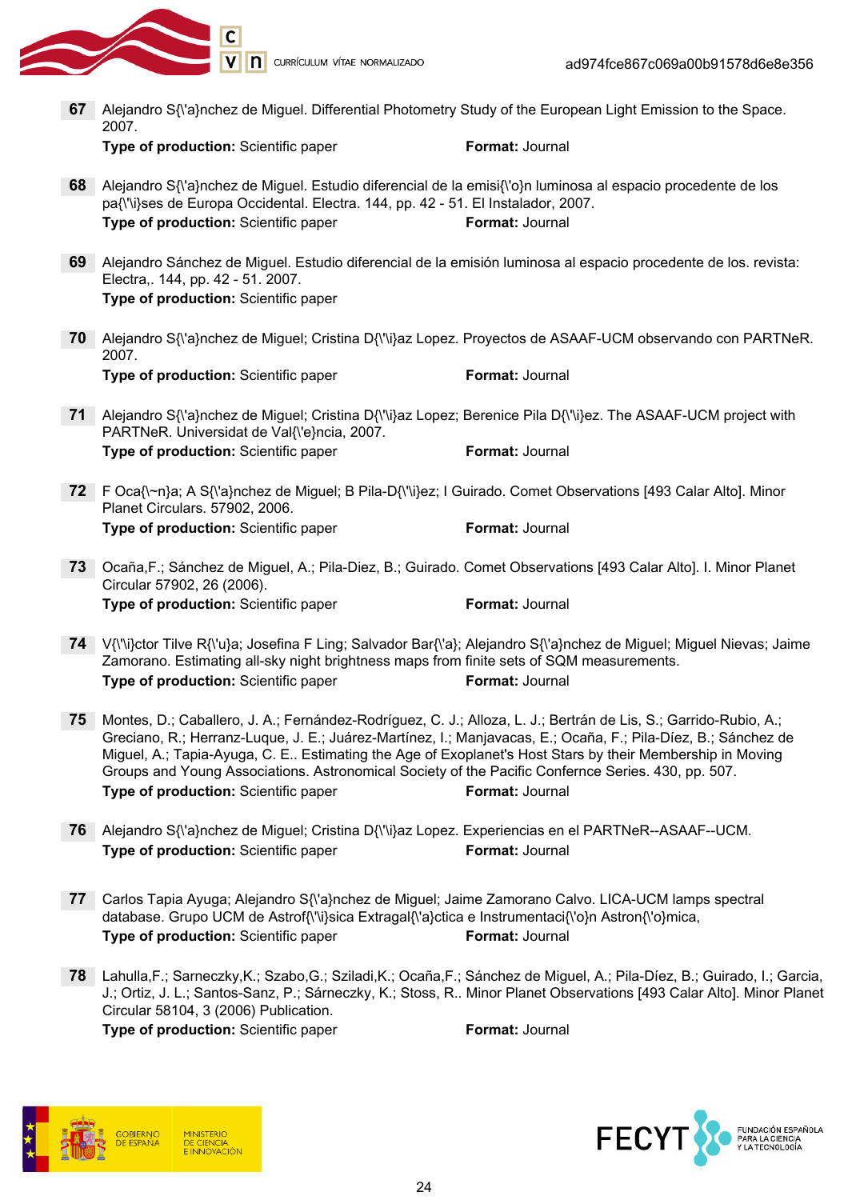

V n currículum vítae normalizado

- 67 Alejandro S{\'a}nchez de Miguel. Differential Photometry Study of the European Light Emission to the Space. 2007. Type of production: Scientific paper Format: Journal 68 Alejandro S{\'a}nchez de Miguel. Estudio diferencial de la emisi{\'o}n luminosa al espacio procedente de los pa{\'\i}ses de Europa Occidental. Electra. 144, pp. 42 - 51. El Instalador, 2007. Type of production: Scientific paper Format: Journal 69 Alejandro Sánchez de Miguel. Estudio diferencial de la emisión luminosa al espacio procedente de los. revista: Electra,. 144, pp. 42 - 51. 2007. Type of production: Scientific paper 70 Alejandro S{\'a}nchez de Miguel; Cristina D{\'\i}az Lopez. Proyectos de ASAAF-UCM observando con PARTNeR. 2007. **Type of production:** Scientific paper Format: Journal 71 Alejandro S{\'a}nchez de Miguel; Cristina D{\'\i}az Lopez; Berenice Pila D{\'\i}ez. The ASAAF-UCM project with PARTNeR. Universidat de Val{\'e}ncia, 2007. **Type of production:** Scientific paper Format: Journal 72 F Oca{\~n}a; A S{\'a}nchez de Miguel; B Pila-D{\'\i}ez; I Guirado. Comet Observations [493 Calar Alto]. Minor Planet Circulars. 57902, 2006. **Type of production:** Scientific paper Format: Journal 73 Ocaña,F.; Sánchez de Miguel, A.; Pila-Diez, B.; Guirado. Comet Observations [493 Calar Alto]. I. Minor Planet Circular 57902, 26 (2006). **Type of production:** Scientific paper Format: Journal 74 V{\'\i}ctor Tilve R{\'u}a; Josefina F Ling; Salvador Bar{\'a}; Alejandro S{\'a}nchez de Miguel; Miguel Nievas; Jaime Zamorano. Estimating all-sky night brightness maps from finite sets of SQM measurements. Type of production: Scientific paper Format: Journal 75 Montes, D.; Caballero, J. A.; Fernández-Rodríguez, C. J.; Alloza, L. J.; Bertrán de Lis, S.; Garrido-Rubio, A.; Greciano, R.; Herranz-Luque, J. E.; Juárez-Martínez, I.; Manjavacas, E.; Ocaña, F.; Pila-Díez, B.; Sánchez de Miguel, A.; Tapia-Ayuga, C. E.. Estimating the Age of Exoplanet's Host Stars by their Membership in Moving Groups and Young Associations. Astronomical Society of the Pacific Confernce Series. 430, pp. 507. **Type of production:** Scientific paper Format: Journal 76 Alejandro S{\'a}nchez de Miguel; Cristina D{\'\i}az Lopez. Experiencias en el PARTNeR--ASAAF--UCM. Type of production: Scientific paper Format: Journal 77 Carlos Tapia Ayuga; Alejandro S{\'a}nchez de Miguel; Jaime Zamorano Calvo. LICA-UCM lamps spectral
	- database. Grupo UCM de Astrof{\'\i}sica Extragal{\'a}ctica e Instrumentaci{\'o}n Astron{\'o}mica, **Type of production:** Scientific paper Format: Journal
	- 78 Lahulla,F.; Sarneczky,K.; Szabo,G.; Sziladi,K.; Ocaña,F.; Sánchez de Miguel, A.; Pila-Díez, B.; Guirado, I.; Garcia, J.; Ortiz, J. L.; Santos-Sanz, P.; Sárneczky, K.; Stoss, R.. Minor Planet Observations [493 Calar Alto]. Minor Planet Circular 58104, 3 (2006) Publication.



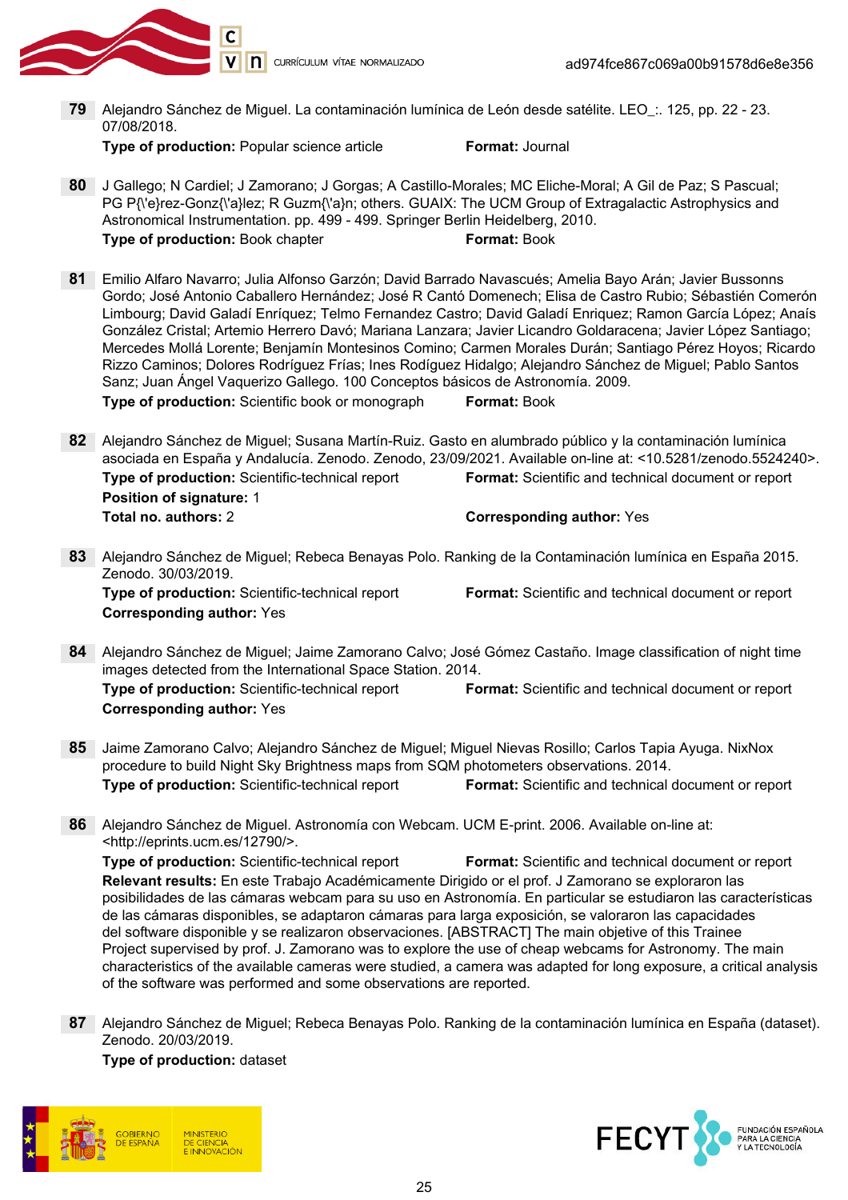

79 Alejandro Sánchez de Miguel. La contaminación lumínica de León desde satélite. LEO\_:. 125, pp. 22 - 23. 07/08/2018.

Type of production: Popular science article Format: Journal

- 80 J Gallego; N Cardiel; J Zamorano; J Gorgas; A Castillo-Morales; MC Eliche-Moral; A Gil de Paz; S Pascual; PG P{\'e}rez-Gonz{\'a}lez; R Guzm{\'a}n; others. GUAIX: The UCM Group of Extragalactic Astrophysics and Astronomical Instrumentation. pp. 499 - 499. Springer Berlin Heidelberg, 2010. **Type of production:** Book chapter **Format: Book**
- 81 Emilio Alfaro Navarro; Julia Alfonso Garzón; David Barrado Navascués; Amelia Bayo Arán; Javier Bussonns Gordo; José Antonio Caballero Hernández; José R Cantó Domenech; Elisa de Castro Rubio; Sébastién Comerón Limbourg; David Galadí Enríquez; Telmo Fernandez Castro; David Galadí Enriquez; Ramon García López; Anaís González Cristal; Artemio Herrero Davó; Mariana Lanzara; Javier Licandro Goldaracena; Javier López Santiago; Mercedes Mollá Lorente; Benjamín Montesinos Comino; Carmen Morales Durán; Santiago Pérez Hoyos; Ricardo Rizzo Caminos; Dolores Rodríguez Frías; Ines Rodíguez Hidalgo; Alejandro Sánchez de Miguel; Pablo Santos Sanz; Juan Ángel Vaquerizo Gallego. 100 Conceptos básicos de Astronomía. 2009. **Type of production:** Scientific book or monograph **Format: Book**

82 Alejandro Sánchez de Miguel; Susana Martín-Ruiz. Gasto en alumbrado público y la contaminación lumínica asociada en España y Andalucía. Zenodo. Zenodo, 23/09/2021. Available on-line at: <10.5281/zenodo.5524240>. Type of production: Scientific-technical report Format: Scientific and technical document or report Position of signature: 1 Total no. authors: 2 Corresponding author: Yes

- 83 Alejandro Sánchez de Miguel; Rebeca Benayas Polo. Ranking de la Contaminación lumínica en España 2015. Zenodo. 30/03/2019. Type of production: Scientific-technical report Format: Scientific and technical document or report Corresponding author: Yes
- 84 Aleiandro Sánchez de Miguel; Jaime Zamorano Calvo; José Gómez Castaño. Image classification of night time images detected from the International Space Station. 2014. Type of production: Scientific-technical report Format: Scientific and technical document or report Corresponding author: Yes
- 85 Jaime Zamorano Calvo; Alejandro Sánchez de Miguel; Miguel Nievas Rosillo; Carlos Tapia Ayuga. NixNox procedure to build Night Sky Brightness maps from SQM photometers observations. 2014. Type of production: Scientific-technical report Format: Scientific and technical document or report
- 86 Alejandro Sánchez de Miguel. Astronomía con Webcam. UCM E-print. 2006. Available on-line at: <http://eprints.ucm.es/12790/>.

Type of production: Scientific-technical report Format: Scientific and technical document or report Relevant results: En este Trabajo Académicamente Dirigido or el prof. J Zamorano se exploraron las posibilidades de las cámaras webcam para su uso en Astronomía. En particular se estudiaron las características de las cámaras disponibles, se adaptaron cámaras para larga exposición, se valoraron las capacidades del software disponible y se realizaron observaciones. [ABSTRACT] The main objetive of this Trainee Project supervised by prof. J. Zamorano was to explore the use of cheap webcams for Astronomy. The main characteristics of the available cameras were studied, a camera was adapted for long exposure, a critical analysis of the software was performed and some observations are reported.

87 Alejandro Sánchez de Miguel; Rebeca Benayas Polo. Ranking de la contaminación lumínica en España (dataset). Zenodo. 20/03/2019.

Type of production: dataset



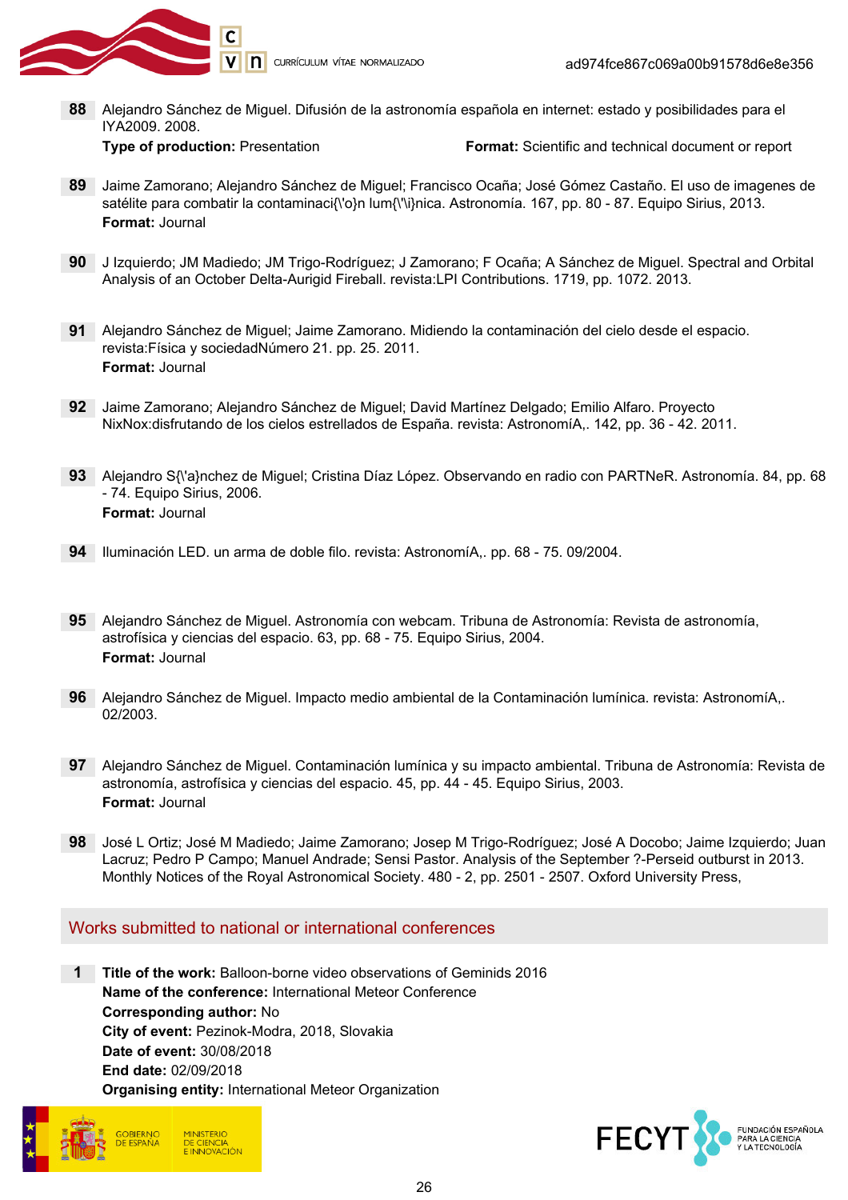

88 Alejandro Sánchez de Miguel. Difusión de la astronomía española en internet: estado y posibilidades para el IYA2009. 2008.

Type of production: Presentation Format: Scientific and technical document or report

- 89 Jaime Zamorano; Alejandro Sánchez de Miguel; Francisco Ocaña; José Gómez Castaño. El uso de imagenes de satélite para combatir la contaminaci{\'o}n lum{\'\i}nica. Astronomía. 167, pp. 80 - 87. Equipo Sirius, 2013. Format: Journal
- 90 J Izquierdo; JM Madiedo; JM Trigo-Rodríguez; J Zamorano; F Ocaña; A Sánchez de Miguel. Spectral and Orbital Analysis of an October Delta-Aurigid Fireball. revista:LPI Contributions. 1719, pp. 1072. 2013.
- 91 Alejandro Sánchez de Miguel; Jaime Zamorano. Midiendo la contaminación del cielo desde el espacio. revista:Física y sociedadNúmero 21. pp. 25. 2011. Format: Journal
- 92 Jaime Zamorano; Alejandro Sánchez de Miguel; David Martínez Delgado; Emilio Alfaro. Proyecto NixNox:disfrutando de los cielos estrellados de España. revista: AstronomíA,. 142, pp. 36 - 42. 2011.
- 93 Alejandro S{\'a}nchez de Miguel; Cristina Díaz López. Observando en radio con PARTNeR. Astronomía. 84, pp. 68 - 74. Equipo Sirius, 2006. Format: Journal
- 94 Iluminación LED. un arma de doble filo. revista: AstronomíA,. pp. 68 75. 09/2004.
- 95 Alejandro Sánchez de Miguel. Astronomía con webcam. Tribuna de Astronomía: Revista de astronomía, astrofísica y ciencias del espacio. 63, pp. 68 - 75. Equipo Sirius, 2004. Format: Journal
- 96 Alejandro Sánchez de Miguel. Impacto medio ambiental de la Contaminación lumínica. revista: AstronomíA,. 02/2003.
- 97 Alejandro Sánchez de Miguel. Contaminación lumínica y su impacto ambiental. Tribuna de Astronomía: Revista de astronomía, astrofísica y ciencias del espacio. 45, pp. 44 - 45. Equipo Sirius, 2003. Format: Journal
- 98 José L Ortiz; José M Madiedo; Jaime Zamorano; Josep M Trigo-Rodríguez; José A Docobo; Jaime Izquierdo; Juan Lacruz; Pedro P Campo; Manuel Andrade; Sensi Pastor. Analysis of the September ?-Perseid outburst in 2013. Monthly Notices of the Royal Astronomical Society. 480 - 2, pp. 2501 - 2507. Oxford University Press,

#### Works submitted to national or international conferences

1 Title of the work: Balloon-borne video observations of Geminids 2016 Name of the conference: International Meteor Conference Corresponding author: No City of event: Pezinok-Modra, 2018, Slovakia Date of event: 30/08/2018 End date: 02/09/2018 Organising entity: International Meteor Organization



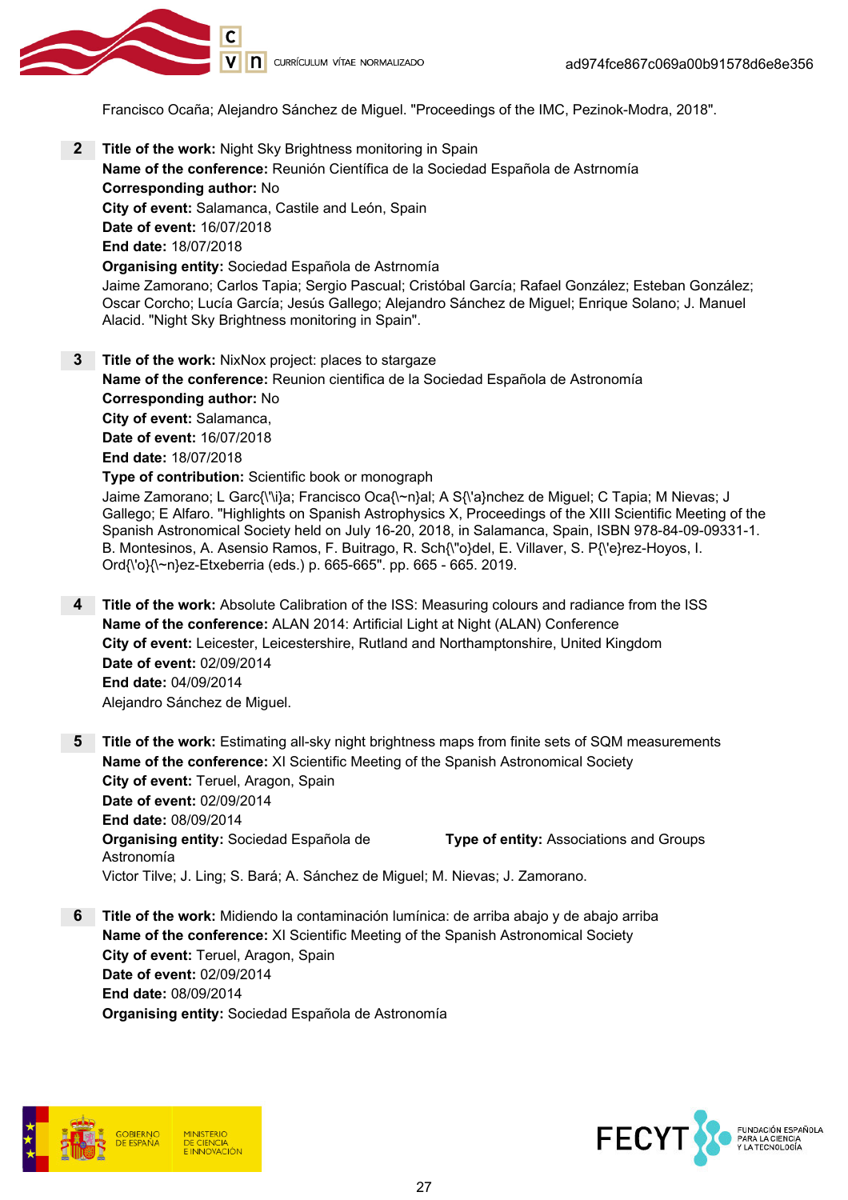

Francisco Ocaña; Alejandro Sánchez de Miguel. "Proceedings of the IMC, Pezinok-Modra, 2018".

- **2** Title of the work: Night Sky Brightness monitoring in Spain Name of the conference: Reunión Científica de la Sociedad Española de Astrnomía Corresponding author: No City of event: Salamanca, Castile and León, Spain Date of event: 16/07/2018 End date: 18/07/2018 Organising entity: Sociedad Española de Astrnomía Jaime Zamorano; Carlos Tapia; Sergio Pascual; Cristóbal García; Rafael González; Esteban González; Oscar Corcho; Lucía García; Jesús Gallego; Alejandro Sánchez de Miguel; Enrique Solano; J. Manuel Alacid. "Night Sky Brightness monitoring in Spain".
- **3** Title of the work: NixNox project: places to stargaze Name of the conference: Reunion cientifica de la Sociedad Española de Astronomía Corresponding author: No City of event: Salamanca, Date of event: 16/07/2018 End date: 18/07/2018 Type of contribution: Scientific book or monograph Jaime Zamorano; L Garc{\'\i}a; Francisco Oca{\~n}al; A S{\'a}nchez de Miguel; C Tapia; M Nievas; J Gallego; E Alfaro. "Highlights on Spanish Astrophysics X, Proceedings of the XIII Scientific Meeting of the Spanish Astronomical Society held on July 16-20, 2018, in Salamanca, Spain, ISBN 978-84-09-09331-1. B. Montesinos, A. Asensio Ramos, F. Buitrago, R. Sch{\"o}del, E. Villaver, S. P{\'e}rez-Hoyos, I. Ord{\'o}{\~n}ez-Etxeberria (eds.) p. 665-665". pp. 665 - 665. 2019.
- 4 Title of the work: Absolute Calibration of the ISS: Measuring colours and radiance from the ISS Name of the conference: ALAN 2014: Artificial Light at Night (ALAN) Conference City of event: Leicester, Leicestershire, Rutland and Northamptonshire, United Kingdom Date of event: 02/09/2014 End date: 04/09/2014 Alejandro Sánchez de Miguel.
- **5** Title of the work: Estimating all-sky night brightness maps from finite sets of SQM measurements Name of the conference: XI Scientific Meeting of the Spanish Astronomical Society City of event: Teruel, Aragon, Spain Date of event: 02/09/2014 End date: 08/09/2014 Organising entity: Sociedad Española de Astronomía Type of entity: Associations and Groups Victor Tilve; J. Ling; S. Bará; A. Sánchez de Miguel; M. Nievas; J. Zamorano.
- 6 Title of the work: Midiendo la contaminación lumínica: de arriba abajo y de abajo arriba Name of the conference: XI Scientific Meeting of the Spanish Astronomical Society City of event: Teruel, Aragon, Spain Date of event: 02/09/2014 End date: 08/09/2014 Organising entity: Sociedad Española de Astronomía



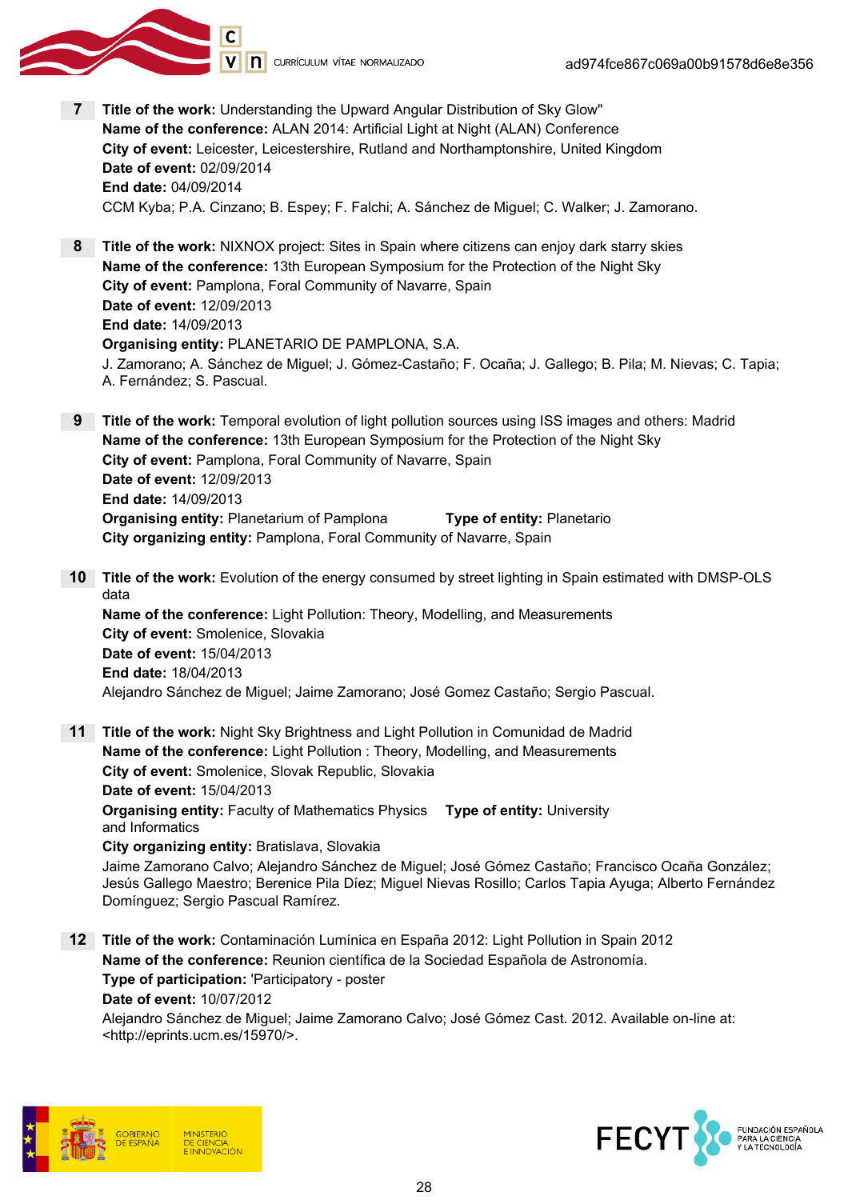

- 7 Title of the work: Understanding the Upward Angular Distribution of Sky Glow" Name of the conference: ALAN 2014: Artificial Light at Night (ALAN) Conference City of event: Leicester, Leicestershire, Rutland and Northamptonshire, United Kingdom Date of event: 02/09/2014 End date: 04/09/2014 CCM Kyba; P.A. Cinzano; B. Espey; F. Falchi; A. Sánchez de Miguel; C. Walker; J. Zamorano.
- 8 Title of the work: NIXNOX project: Sites in Spain where citizens can enjoy dark starry skies Name of the conference: 13th European Symposium for the Protection of the Night Sky City of event: Pamplona, Foral Community of Navarre, Spain Date of event: 12/09/2013 End date: 14/09/2013 Organising entity: PLANETARIO DE PAMPLONA, S.A. J. Zamorano; A. Sánchez de Miguel; J. Gómez-Castaño; F. Ocaña; J. Gallego; B. Pila; M. Nievas; C. Tapia; A. Fernández; S. Pascual.
- **9** Title of the work: Temporal evolution of light pollution sources using ISS images and others: Madrid Name of the conference: 13th European Symposium for the Protection of the Night Sky City of event: Pamplona, Foral Community of Navarre, Spain Date of event: 12/09/2013 End date: 14/09/2013 Organising entity: Planetarium of Pamplona Type of entity: Planetario City organizing entity: Pamplona, Foral Community of Navarre, Spain
- 10 Title of the work: Evolution of the energy consumed by street lighting in Spain estimated with DMSP-OLS data Name of the conference: Light Pollution: Theory, Modelling, and Measurements City of event: Smolenice, Slovakia Date of event: 15/04/2013 End date: 18/04/2013 Alejandro Sánchez de Miguel; Jaime Zamorano; José Gomez Castaño; Sergio Pascual.
- 11 Title of the work: Night Sky Brightness and Light Pollution in Comunidad de Madrid Name of the conference: Light Pollution : Theory, Modelling, and Measurements City of event: Smolenice, Slovak Republic, Slovakia Date of event: 15/04/2013 **Organising entity:** Faculty of Mathematics Physics Type of entity: University and Informatics City organizing entity: Bratislava, Slovakia
	- Jaime Zamorano Calvo; Alejandro Sánchez de Miguel; José Gómez Castaño; Francisco Ocaña González; Jesús Gallego Maestro; Berenice Pila Díez; Miguel Nievas Rosillo; Carlos Tapia Ayuga; Alberto Fernández Domínguez; Sergio Pascual Ramírez.
- 12 Title of the work: Contaminación Lumínica en España 2012: Light Pollution in Spain 2012 Name of the conference: Reunion científica de la Sociedad Española de Astronomía. Type of participation: 'Participatory - poster Date of event: 10/07/2012 Alejandro Sánchez de Miguel; Jaime Zamorano Calvo; José Gómez Cast. 2012. Available on-line at: <http://eprints.ucm.es/15970/>.



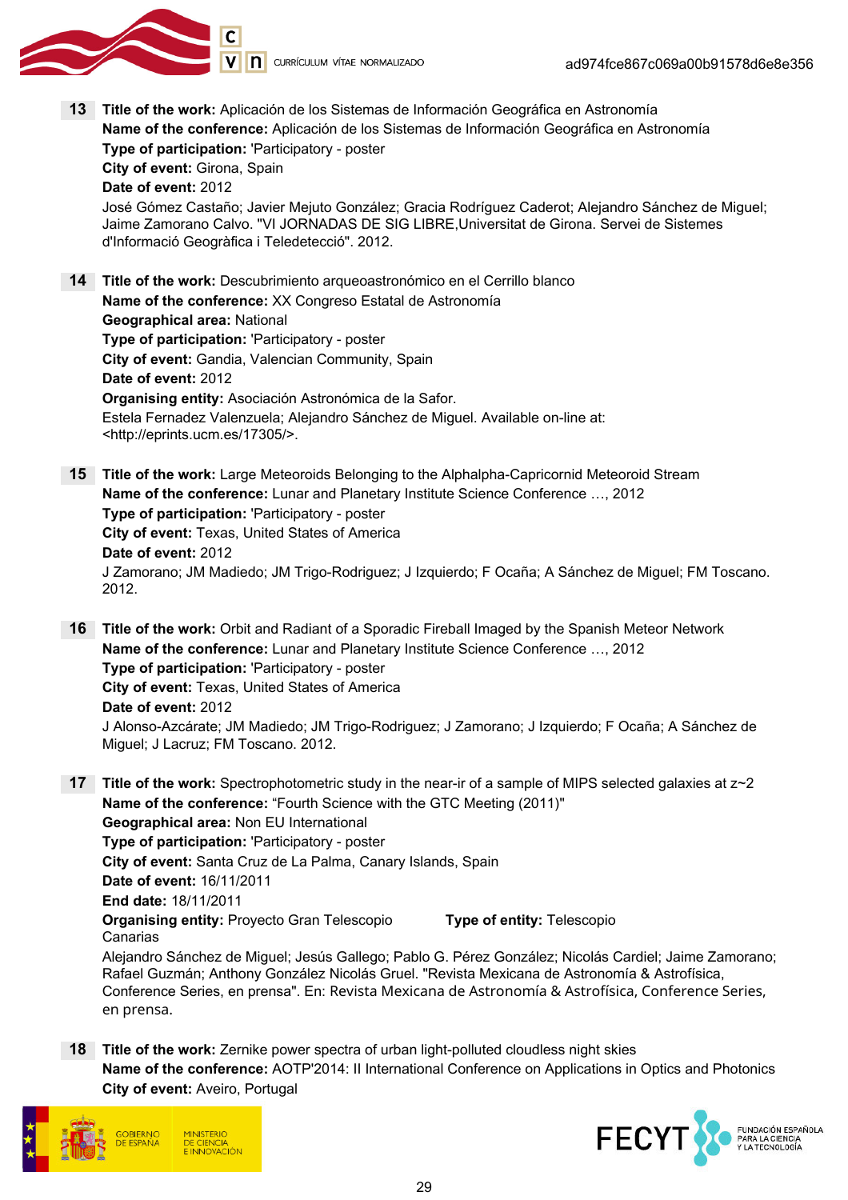

13 Title of the work: Aplicación de los Sistemas de Información Geográfica en Astronomía Name of the conference: Aplicación de los Sistemas de Información Geográfica en Astronomía Type of participation: 'Participatory - poster City of event: Girona, Spain Date of event: 2012

José Gómez Castaño; Javier Mejuto González; Gracia Rodríguez Caderot; Alejandro Sánchez de Miguel; Jaime Zamorano Calvo. "VI JORNADAS DE SIG LIBRE,Universitat de Girona. Servei de Sistemes d'Informació Geogràfica i Teledetecció". 2012.

14 Title of the work: Descubrimiento arqueoastronómico en el Cerrillo blanco Name of the conference: XX Congreso Estatal de Astronomía Geographical area: National Type of participation: 'Participatory - poster City of event: Gandia, Valencian Community, Spain Date of event: 2012 Organising entity: Asociación Astronómica de la Safor. Estela Fernadez Valenzuela; Alejandro Sánchez de Miguel. Available on-line at: <http://eprints.ucm.es/17305/>.

**15 Title of the work:** Large Meteoroids Belonging to the Alphalpha-Capricornid Meteoroid Stream Name of the conference: Lunar and Planetary Institute Science Conference …, 2012 Type of participation: 'Participatory - poster City of event: Texas, United States of America Date of event: 2012 J Zamorano; JM Madiedo; JM Trigo-Rodriguez; J Izquierdo; F Ocaña; A Sánchez de Miguel; FM Toscano. 2012.

16 Title of the work: Orbit and Radiant of a Sporadic Fireball Imaged by the Spanish Meteor Network Name of the conference: Lunar and Planetary Institute Science Conference …, 2012 Type of participation: 'Participatory - poster City of event: Texas, United States of America Date of event: 2012 J Alonso-Azcárate; JM Madiedo; JM Trigo-Rodriguez; J Zamorano; J Izquierdo; F Ocaña; A Sánchez de Miguel; J Lacruz; FM Toscano. 2012.

17 Title of the work: Spectrophotometric study in the near-ir of a sample of MIPS selected galaxies at  $z\sim2$ Name of the conference: "Fourth Science with the GTC Meeting (2011)" Geographical area: Non EU International Type of participation: 'Participatory - poster City of event: Santa Cruz de La Palma, Canary Islands, Spain Date of event: 16/11/2011 End date: 18/11/2011 Organising entity: Proyecto Gran Telescopio Canarias Type of entity: Telescopio Alejandro Sánchez de Miguel; Jesús Gallego; Pablo G. Pérez González; Nicolás Cardiel; Jaime Zamorano; Rafael Guzmán; Anthony González Nicolás Gruel. "Revista Mexicana de Astronomía & Astrofísica, Conference Series, en prensa". En: Revista Mexicana de Astronomía & Astrofísica, Conference Series,

en prensa. 18 Title of the work: Zernike power spectra of urban light-polluted cloudless night skies

Name of the conference: AOTP'2014: II International Conference on Applications in Optics and Photonics City of event: Aveiro, Portugal



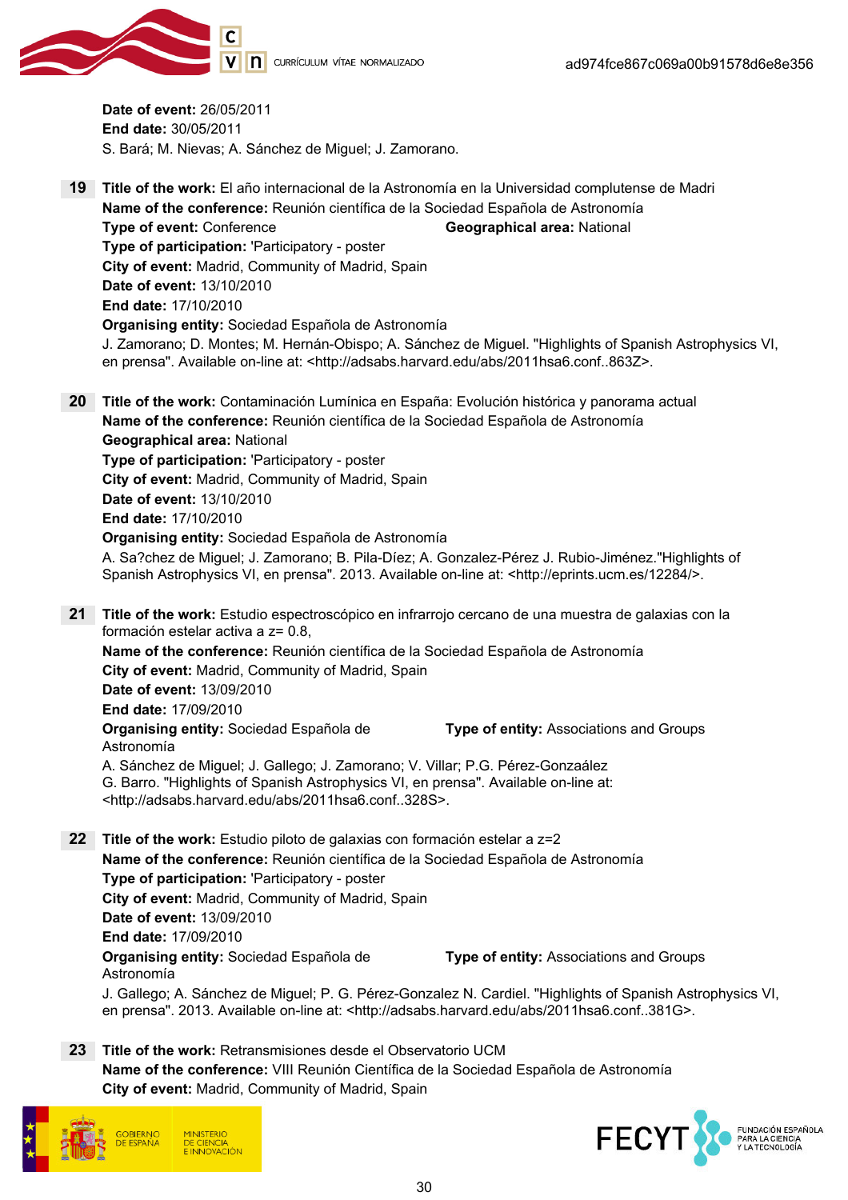

Date of event: 26/05/2011 End date: 30/05/2011 S. Bará; M. Nievas; A. Sánchez de Miguel; J. Zamorano.

19 Title of the work: El año internacional de la Astronomía en la Universidad complutense de Madri Name of the conference: Reunión científica de la Sociedad Española de Astronomía Type of event: Conference Geographical area: National Type of participation: 'Participatory - poster City of event: Madrid, Community of Madrid, Spain Date of event: 13/10/2010 End date: 17/10/2010 Organising entity: Sociedad Española de Astronomía J. Zamorano; D. Montes; M. Hernán-Obispo; A. Sánchez de Miguel. "Highlights of Spanish Astrophysics VI, en prensa". Available on-line at: <http://adsabs.harvard.edu/abs/2011hsa6.conf..863Z>. 20 Title of the work: Contaminación Lumínica en España: Evolución histórica y panorama actual Name of the conference: Reunión científica de la Sociedad Española de Astronomía Geographical area: National Type of participation: 'Participatory - poster City of event: Madrid, Community of Madrid, Spain Date of event: 13/10/2010 End date: 17/10/2010 Organising entity: Sociedad Española de Astronomía A. Sa?chez de Miguel; J. Zamorano; B. Pila-Díez; A. Gonzalez-Pérez J. Rubio-Jiménez."Highlights of Spanish Astrophysics VI, en prensa". 2013. Available on-line at: <http://eprints.ucm.es/12284/>. 21 Title of the work: Estudio espectroscópico en infrarrojo cercano de una muestra de galaxias con la formación estelar activa a z= 0.8, Name of the conference: Reunión científica de la Sociedad Española de Astronomía City of event: Madrid, Community of Madrid, Spain Date of event: 13/09/2010 End date: 17/09/2010 Organising entity: Sociedad Española de Astronomía Type of entity: Associations and Groups A. Sánchez de Miguel; J. Gallego; J. Zamorano; V. Villar; P.G. Pérez-Gonzaález G. Barro. "Highlights of Spanish Astrophysics VI, en prensa". Available on-line at: <http://adsabs.harvard.edu/abs/2011hsa6.conf..328S>. 22 Title of the work: Estudio piloto de galaxias con formación estelar a z=2 Name of the conference: Reunión científica de la Sociedad Española de Astronomía Type of participation: 'Participatory - poster City of event: Madrid, Community of Madrid, Spain Date of event: 13/09/2010 End date: 17/09/2010

Organising entity: Sociedad Española de Astronomía

Type of entity: Associations and Groups

J. Gallego; A. Sánchez de Miguel; P. G. Pérez-Gonzalez N. Cardiel. "Highlights of Spanish Astrophysics VI, en prensa". 2013. Available on-line at: <http://adsabs.harvard.edu/abs/2011hsa6.conf..381G>.

23 Title of the work: Retransmisiones desde el Observatorio UCM Name of the conference: VIII Reunión Científica de la Sociedad Española de Astronomía City of event: Madrid, Community of Madrid, Spain



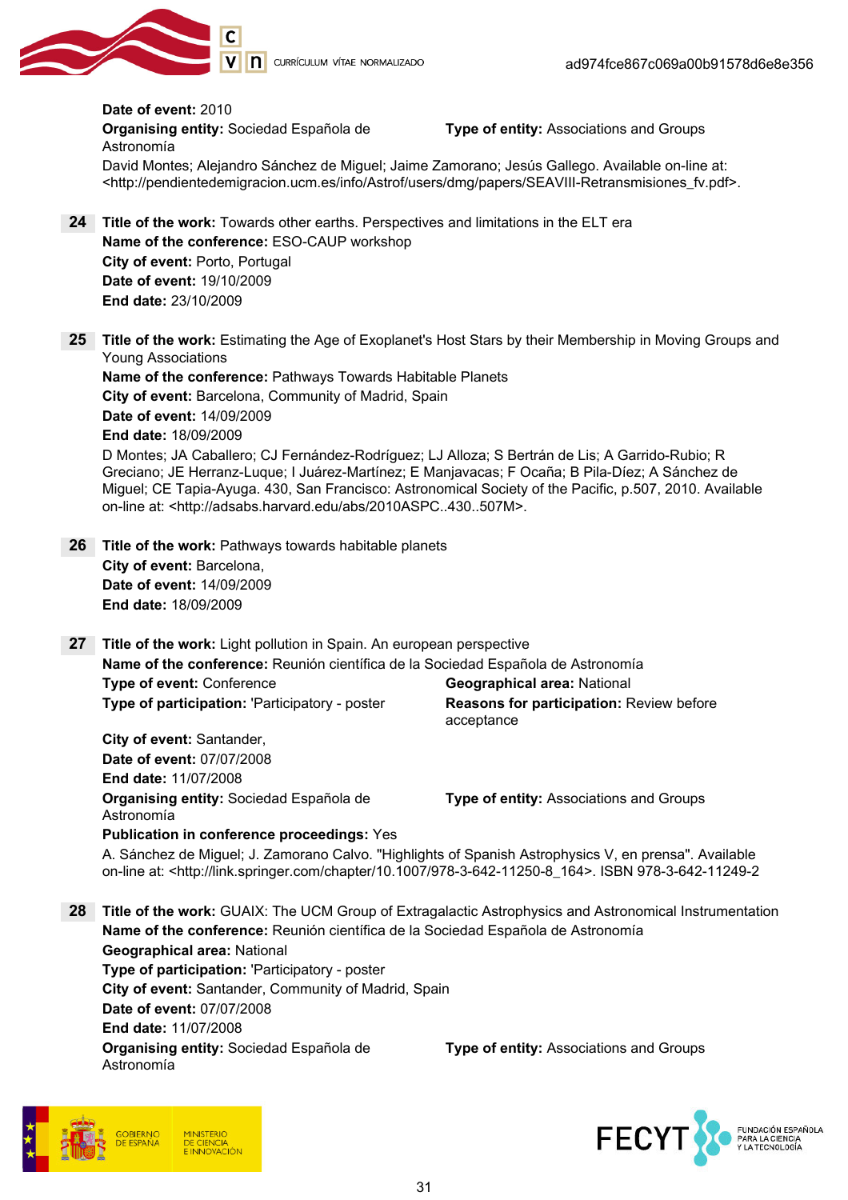

Date of event: 2010 Organising entity: Sociedad Española de Astronomía Type of entity: Associations and Groups David Montes; Alejandro Sánchez de Miguel; Jaime Zamorano; Jesús Gallego. Available on-line at: <http://pendientedemigracion.ucm.es/info/Astrof/users/dmg/papers/SEAVIII-Retransmisiones\_fv.pdf>.

- 24 Title of the work: Towards other earths. Perspectives and limitations in the ELT era Name of the conference: ESO-CAUP workshop City of event: Porto, Portugal Date of event: 19/10/2009 End date: 23/10/2009
- 25 Title of the work: Estimating the Age of Exoplanet's Host Stars by their Membership in Moving Groups and Young Associations

Name of the conference: Pathways Towards Habitable Planets City of event: Barcelona, Community of Madrid, Spain Date of event: 14/09/2009 End date: 18/09/2009

D Montes; JA Caballero; CJ Fernández-Rodríguez; LJ Alloza; S Bertrán de Lis; A Garrido-Rubio; R Greciano; JE Herranz-Luque; I Juárez-Martínez; E Manjavacas; F Ocaña; B Pila-Díez; A Sánchez de Miguel; CE Tapia-Ayuga. 430, San Francisco: Astronomical Society of the Pacific, p.507, 2010. Available on-line at: <http://adsabs.harvard.edu/abs/2010ASPC..430..507M>.

- 26 Title of the work: Pathways towards habitable planets City of event: Barcelona, Date of event: 14/09/2009 End date: 18/09/2009
- 27 Title of the work: Light pollution in Spain. An european perspective Name of the conference: Reunión científica de la Sociedad Española de Astronomía **Type of event:** Conference Geographical area: National Type of participation: 'Participatory - poster Reasons for participation: Review before acceptance

City of event: Santander, Date of event: 07/07/2008 End date: 11/07/2008 Organising entity: Sociedad Española de Astronomía Publication in conference proceedings: Yes

Type of entity: Associations and Groups

A. Sánchez de Miguel; J. Zamorano Calvo. "Highlights of Spanish Astrophysics V, en prensa". Available on-line at: <http://link.springer.com/chapter/10.1007/978-3-642-11250-8\_164>. ISBN 978-3-642-11249-2

28 Title of the work: GUAIX: The UCM Group of Extragalactic Astrophysics and Astronomical Instrumentation Name of the conference: Reunión científica de la Sociedad Española de Astronomía Geographical area: National Type of participation: 'Participatory - poster City of event: Santander, Community of Madrid, Spain Date of event: 07/07/2008 End date: 11/07/2008 Organising entity: Sociedad Española de Astronomía Type of entity: Associations and Groups



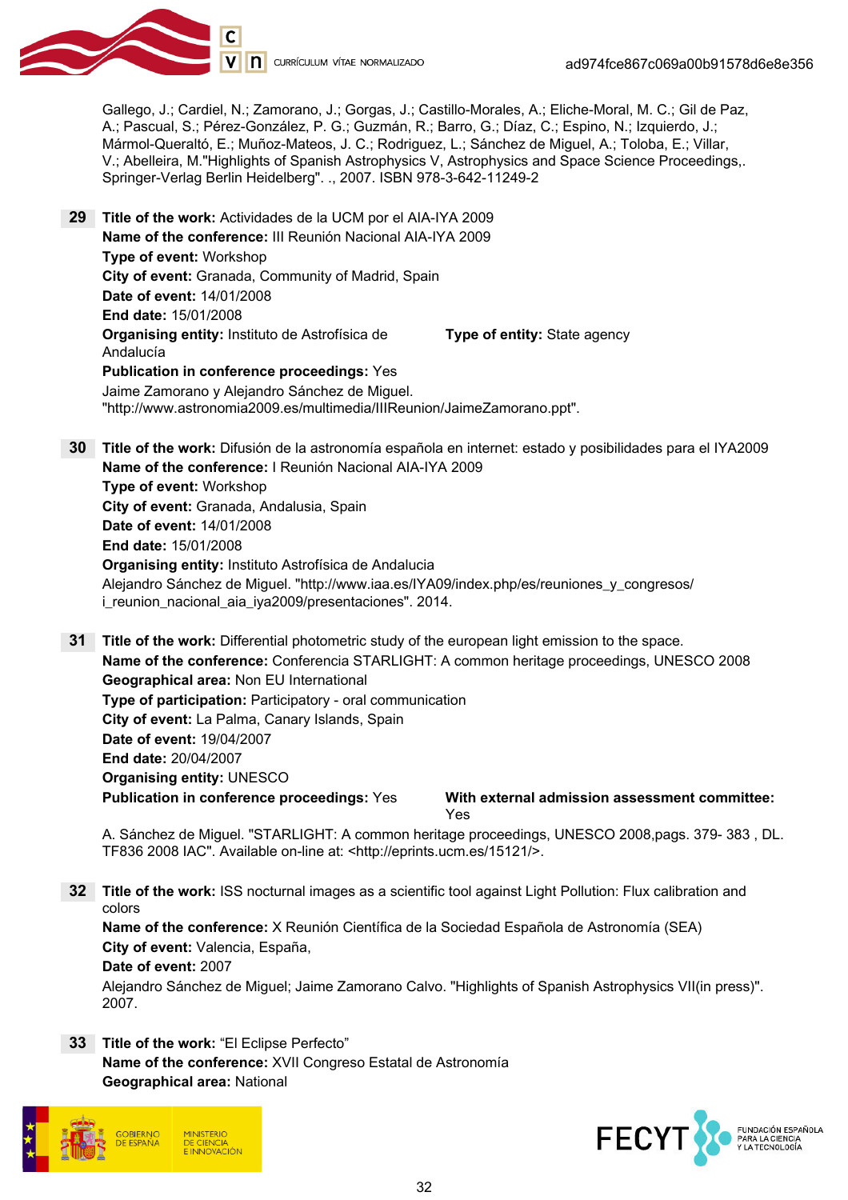

Gallego, J.; Cardiel, N.; Zamorano, J.; Gorgas, J.; Castillo-Morales, A.; Eliche-Moral, M. C.; Gil de Paz, A.; Pascual, S.; Pérez-González, P. G.; Guzmán, R.; Barro, G.; Díaz, C.; Espino, N.; Izquierdo, J.; Mármol-Queraltó, E.; Muñoz-Mateos, J. C.; Rodriguez, L.; Sánchez de Miguel, A.; Toloba, E.; Villar, V.; Abelleira, M."Highlights of Spanish Astrophysics V, Astrophysics and Space Science Proceedings,. Springer-Verlag Berlin Heidelberg". ., 2007. ISBN 978-3-642-11249-2

- 29 Title of the work: Actividades de la UCM por el AIA-IYA 2009 Name of the conference: III Reunión Nacional AIA-IYA 2009 Type of event: Workshop City of event: Granada, Community of Madrid, Spain Date of event: 14/01/2008 End date: 15/01/2008 Organising entity: Instituto de Astrofísica de Andalucía Type of entity: State agency Publication in conference proceedings: Yes Jaime Zamorano y Alejandro Sánchez de Miguel.
	- "http://www.astronomia2009.es/multimedia/IIIReunion/JaimeZamorano.ppt".
- 30 Title of the work: Difusión de la astronomía española en internet: estado y posibilidades para el IYA2009 Name of the conference: I Reunión Nacional AIA-IYA 2009 Type of event: Workshop City of event: Granada, Andalusia, Spain Date of event: 14/01/2008 End date: 15/01/2008 Organising entity: Instituto Astrofísica de Andalucia Alejandro Sánchez de Miguel. "http://www.iaa.es/IYA09/index.php/es/reuniones\_y\_congresos/ i\_reunion\_nacional\_aia\_iya2009/presentaciones". 2014.

31 Title of the work: Differential photometric study of the european light emission to the space. Name of the conference: Conferencia STARLIGHT: A common heritage proceedings, UNESCO 2008 Geographical area: Non EU International Type of participation: Participatory - oral communication City of event: La Palma, Canary Islands, Spain Date of event: 19/04/2007 End date: 20/04/2007 Organising entity: UNESCO Publication in conference proceedings: Yes With external admission assessment committee: Yes

A. Sánchez de Miguel. "STARLIGHT: A common heritage proceedings, UNESCO 2008,pags. 379- 383 , DL. TF836 2008 IAC". Available on-line at: <http://eprints.ucm.es/15121/>.

32 Title of the work: ISS nocturnal images as a scientific tool against Light Pollution: Flux calibration and colors

Name of the conference: X Reunión Científica de la Sociedad Española de Astronomía (SEA) City of event: Valencia, España, Date of event: 2007 Alejandro Sánchez de Miguel; Jaime Zamorano Calvo. "Highlights of Spanish Astrophysics VII(in press)".

33 Title of the work: "El Eclipse Perfecto" Name of the conference: XVII Congreso Estatal de Astronomía Geographical area: National



2007.

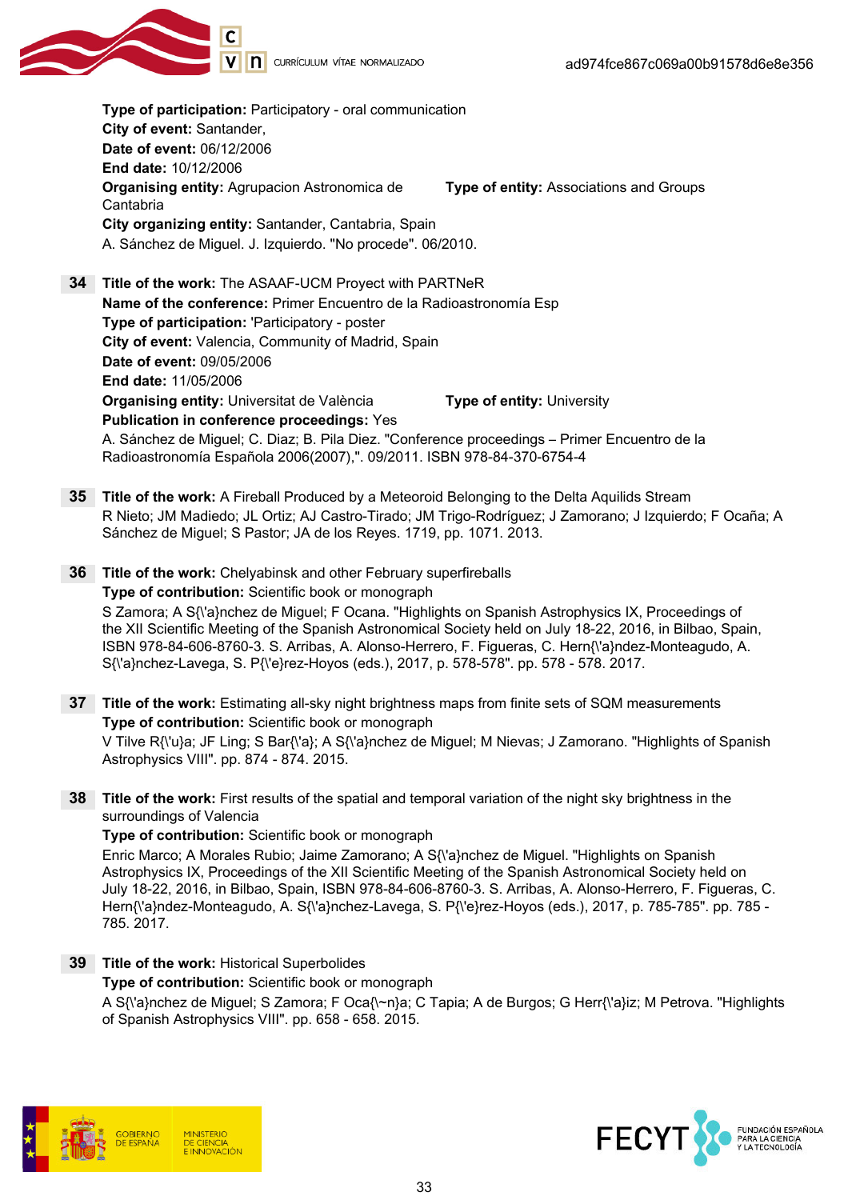Type of participation: Participatory - oral communication City of event: Santander, Date of event: 06/12/2006 End date: 10/12/2006 **Organising entity: Agrupacion Astronomica de** Cantabria Type of entity: Associations and Groups City organizing entity: Santander, Cantabria, Spain A. Sánchez de Miguel. J. Izquierdo. "No procede". 06/2010. 34 Title of the work: The ASAAF-UCM Proyect with PARTNeR Name of the conference: Primer Encuentro de la Radioastronomía Esp Type of participation: 'Participatory - poster City of event: Valencia, Community of Madrid, Spain Date of event: 09/05/2006 End date: 11/05/2006 Organising entity: Universitat de València Type of entity: University Publication in conference proceedings: Yes A. Sánchez de Miguel; C. Diaz; B. Pila Diez. "Conference proceedings – Primer Encuentro de la Radioastronomía Española 2006(2007),". 09/2011. ISBN 978-84-370-6754-4

- 35 Title of the work: A Fireball Produced by a Meteoroid Belonging to the Delta Aquilids Stream R Nieto; JM Madiedo; JL Ortiz; AJ Castro-Tirado; JM Trigo-Rodríguez; J Zamorano; J Izquierdo; F Ocaña; A Sánchez de Miguel; S Pastor; JA de los Reyes. 1719, pp. 1071. 2013.
- 36 Title of the work: Chelyabinsk and other February superfireballs Type of contribution: Scientific book or monograph S Zamora; A S{\'a}nchez de Miguel; F Ocana. "Highlights on Spanish Astrophysics IX, Proceedings of the XII Scientific Meeting of the Spanish Astronomical Society held on July 18-22, 2016, in Bilbao, Spain, ISBN 978-84-606-8760-3. S. Arribas, A. Alonso-Herrero, F. Figueras, C. Hern{\'a}ndez-Monteagudo, A. S{\'a}nchez-Lavega, S. P{\'e}rez-Hoyos (eds.), 2017, p. 578-578". pp. 578 - 578. 2017.
- **37 Title of the work:** Estimating all-sky night brightness maps from finite sets of SQM measurements Type of contribution: Scientific book or monograph V Tilve R{\'u}a; JF Ling; S Bar{\'a}; A S{\'a}nchez de Miguel; M Nievas; J Zamorano. "Highlights of Spanish Astrophysics VIII". pp. 874 - 874. 2015.
- 38 Title of the work: First results of the spatial and temporal variation of the night sky brightness in the surroundings of Valencia

#### Type of contribution: Scientific book or monograph

Enric Marco; A Morales Rubio; Jaime Zamorano; A S{\'a}nchez de Miguel. "Highlights on Spanish Astrophysics IX, Proceedings of the XII Scientific Meeting of the Spanish Astronomical Society held on July 18-22, 2016, in Bilbao, Spain, ISBN 978-84-606-8760-3. S. Arribas, A. Alonso-Herrero, F. Figueras, C. Hern{\'a}ndez-Monteagudo, A. S{\'a}nchez-Lavega, S. P{\'e}rez-Hoyos (eds.), 2017, p. 785-785". pp. 785 - 785. 2017.

39 Title of the work: Historical Superbolides

Type of contribution: Scientific book or monograph

A S{\'a}nchez de Miguel; S Zamora; F Oca{\~n}a; C Tapia; A de Burgos; G Herr{\'a}iz; M Petrova. "Highlights of Spanish Astrophysics VIII". pp. 658 - 658. 2015.



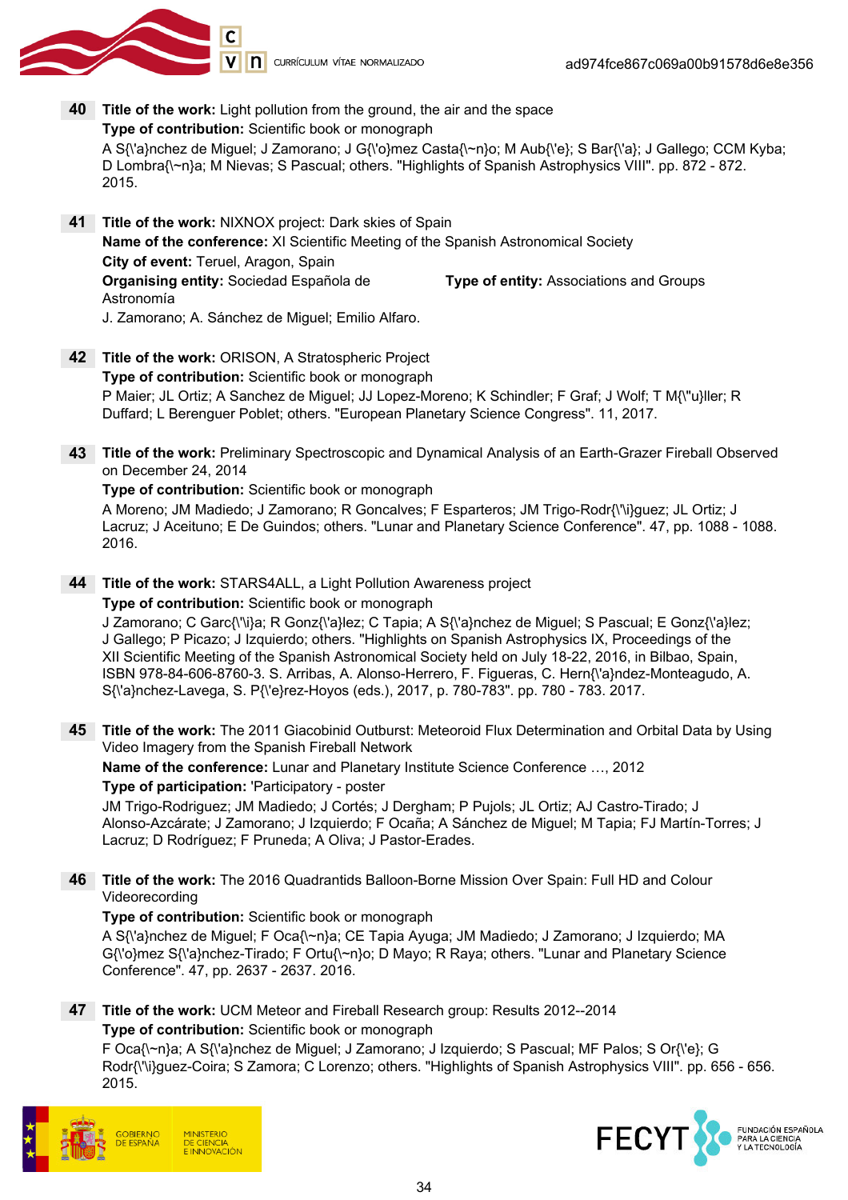

- 40 Title of the work: Light pollution from the ground, the air and the space Type of contribution: Scientific book or monograph A S{\'a}nchez de Miguel; J Zamorano; J G{\'o}mez Casta{\~n}o; M Aub{\'e}; S Bar{\'a}; J Gallego; CCM Kyba; D Lombra{\~n}a; M Nievas; S Pascual; others. "Highlights of Spanish Astrophysics VIII". pp. 872 - 872. 2015.
- 41 Title of the work: NIXNOX project: Dark skies of Spain Name of the conference: XI Scientific Meeting of the Spanish Astronomical Society City of event: Teruel, Aragon, Spain Organising entity: Sociedad Española de Astronomía Type of entity: Associations and Groups J. Zamorano; A. Sánchez de Miguel; Emilio Alfaro.
- 42 Title of the work: ORISON, A Stratospheric Project Type of contribution: Scientific book or monograph P Maier; JL Ortiz; A Sanchez de Miguel; JJ Lopez-Moreno; K Schindler; F Graf; J Wolf; T M{\"u}ller; R Duffard; L Berenguer Poblet; others. "European Planetary Science Congress". 11, 2017.
- 43 Title of the work: Preliminary Spectroscopic and Dynamical Analysis of an Earth-Grazer Fireball Observed on December 24, 2014

#### Type of contribution: Scientific book or monograph

A Moreno; JM Madiedo; J Zamorano; R Goncalves; F Esparteros; JM Trigo-Rodr{\'\i}guez; JL Ortiz; J Lacruz; J Aceituno; E De Guindos; others. "Lunar and Planetary Science Conference". 47, pp. 1088 - 1088. 2016.

44 Title of the work: STARS4ALL, a Light Pollution Awareness project

#### Type of contribution: Scientific book or monograph

J Zamorano; C Garc{\'\i}a; R Gonz{\'a}lez; C Tapia; A S{\'a}nchez de Miguel; S Pascual; E Gonz{\'a}lez; J Gallego; P Picazo; J Izquierdo; others. "Highlights on Spanish Astrophysics IX, Proceedings of the XII Scientific Meeting of the Spanish Astronomical Society held on July 18-22, 2016, in Bilbao, Spain, ISBN 978-84-606-8760-3. S. Arribas, A. Alonso-Herrero, F. Figueras, C. Hern{\'a}ndez-Monteagudo, A. S{\'a}nchez-Lavega, S. P{\'e}rez-Hoyos (eds.), 2017, p. 780-783". pp. 780 - 783. 2017.

45 Title of the work: The 2011 Giacobinid Outburst: Meteoroid Flux Determination and Orbital Data by Using Video Imagery from the Spanish Fireball Network

Name of the conference: Lunar and Planetary Institute Science Conference …, 2012

#### Type of participation: 'Participatory - poster

JM Trigo-Rodriguez; JM Madiedo; J Cortés; J Dergham; P Pujols; JL Ortiz; AJ Castro-Tirado; J Alonso-Azcárate; J Zamorano; J Izquierdo; F Ocaña; A Sánchez de Miguel; M Tapia; FJ Martín-Torres; J Lacruz; D Rodríguez; F Pruneda; A Oliva; J Pastor-Erades.

46 Title of the work: The 2016 Quadrantids Balloon-Borne Mission Over Spain: Full HD and Colour Videorecording

#### Type of contribution: Scientific book or monograph

A S{\'a}nchez de Miguel; F Oca{\~n}a; CE Tapia Ayuga; JM Madiedo; J Zamorano; J Izquierdo; MA G{\'o}mez S{\'a}nchez-Tirado; F Ortu{\~n}o; D Mayo; R Raya; others. "Lunar and Planetary Science Conference". 47, pp. 2637 - 2637. 2016.

47 Title of the work: UCM Meteor and Fireball Research group: Results 2012--2014 Type of contribution: Scientific book or monograph

F Oca{\~n}a; A S{\'a}nchez de Miguel; J Zamorano; J Izquierdo; S Pascual; MF Palos; S Or{\'e}; G Rodr{\'\i}guez-Coira; S Zamora; C Lorenzo; others. "Highlights of Spanish Astrophysics VIII". pp. 656 - 656. 2015.



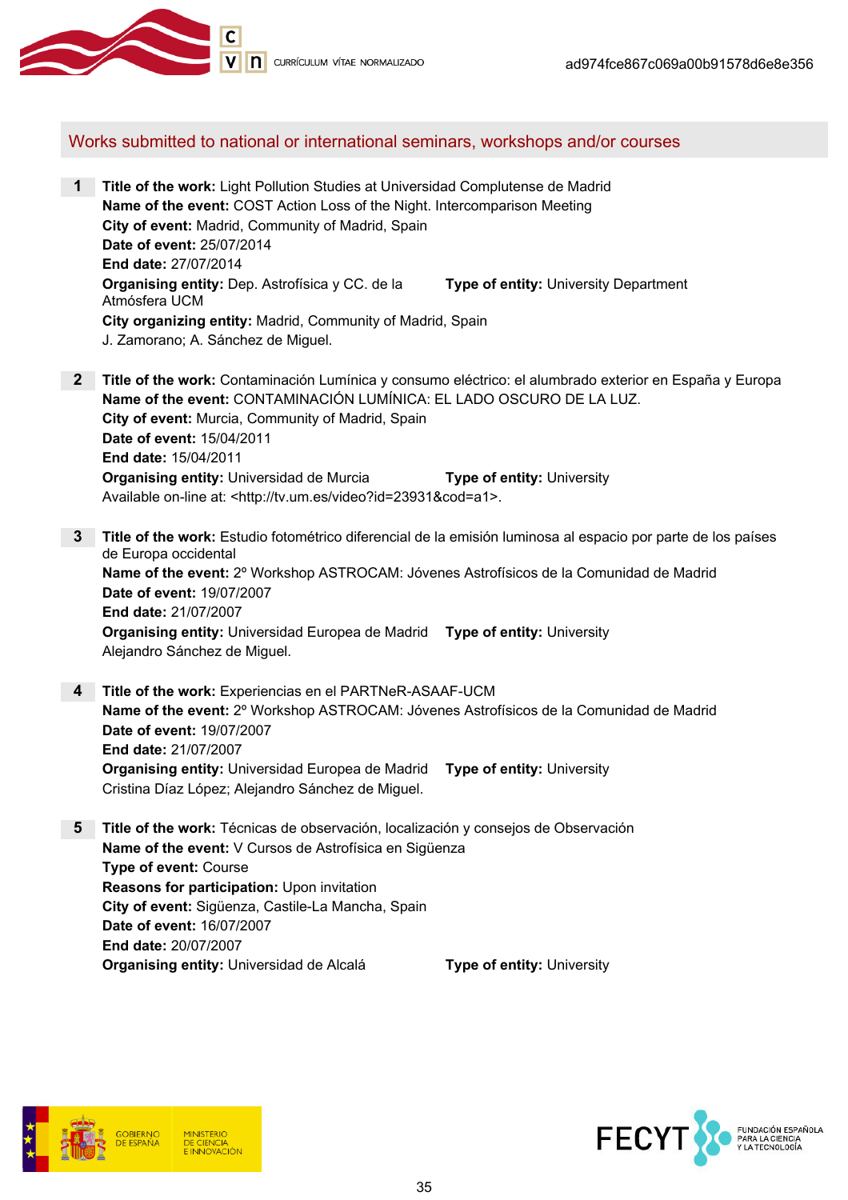

#### Works submitted to national or international seminars, workshops and/or courses

- 1 Title of the work: Light Pollution Studies at Universidad Complutense de Madrid Name of the event: COST Action Loss of the Night. Intercomparison Meeting City of event: Madrid, Community of Madrid, Spain Date of event: 25/07/2014 End date: 27/07/2014 Organising entity: Dep. Astrofísica y CC. de la Atmósfera UCM **Type of entity: University Department** City organizing entity: Madrid, Community of Madrid, Spain J. Zamorano; A. Sánchez de Miguel.
- 2 Title of the work: Contaminación Lumínica y consumo eléctrico: el alumbrado exterior en España y Europa Name of the event: CONTAMINACIÓN LUMÍNICA: EL LADO OSCURO DE LA LUZ. City of event: Murcia, Community of Madrid, Spain Date of event: 15/04/2011 End date: 15/04/2011 **Organising entity:** Universidad de Murcia **Type of entity: University** Available on-line at: <http://tv.um.es/video?id=23931&cod=a1>.
- 3 Title of the work: Estudio fotométrico diferencial de la emisión luminosa al espacio por parte de los países de Europa occidental Name of the event: 2º Workshop ASTROCAM: Jóvenes Astrofísicos de la Comunidad de Madrid Date of event: 19/07/2007 End date: 21/07/2007 Organising entity: Universidad Europea de Madrid Type of entity: University Alejandro Sánchez de Miguel.
- 4 Title of the work: Experiencias en el PARTNeR-ASAAF-UCM Name of the event: 2º Workshop ASTROCAM: Jóvenes Astrofísicos de la Comunidad de Madrid Date of event: 19/07/2007 End date: 21/07/2007 Organising entity: Universidad Europea de Madrid Type of entity: University Cristina Díaz López; Alejandro Sánchez de Miguel.
- 5 Title of the work: Técnicas de observación, localización y consejos de Observación Name of the event: V Cursos de Astrofísica en Sigüenza Type of event: Course Reasons for participation: Upon invitation City of event: Sigüenza, Castile-La Mancha, Spain Date of event: 16/07/2007 End date: 20/07/2007 Organising entity: Universidad de Alcalá Type of entity: University



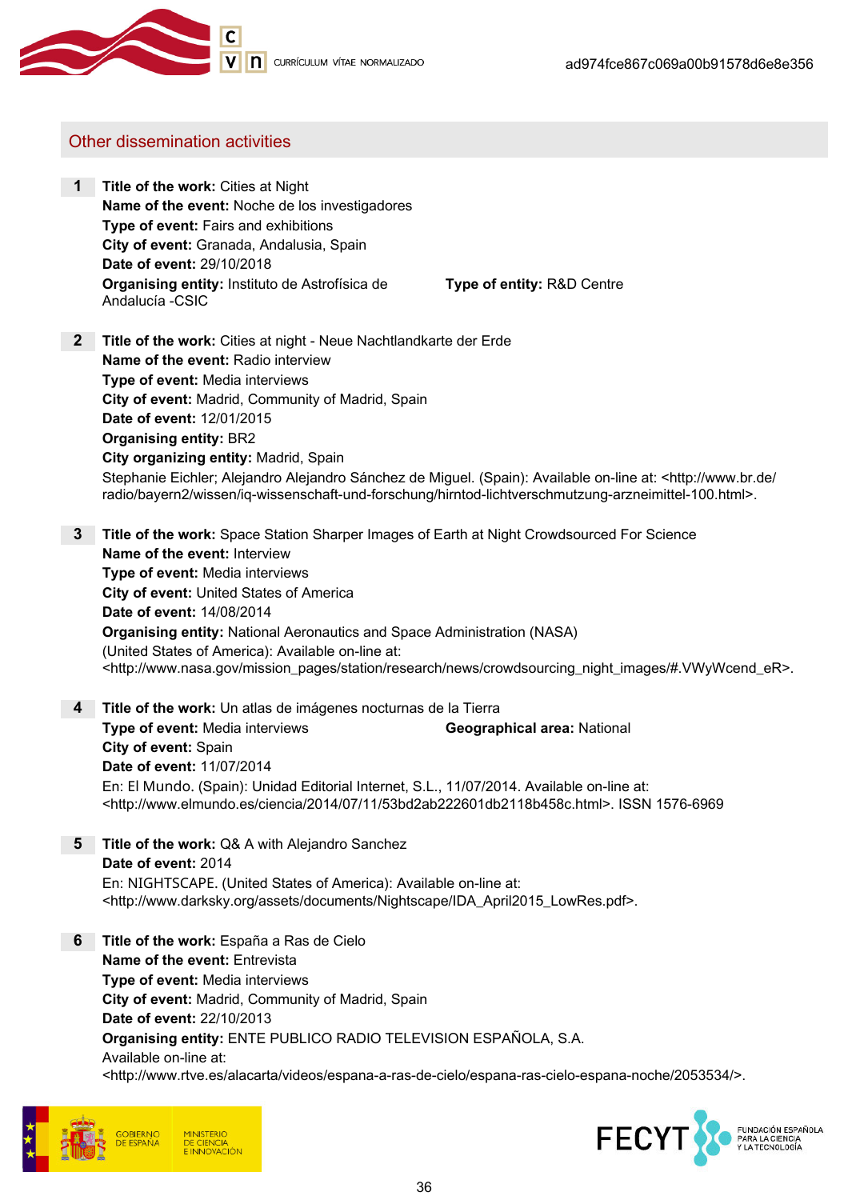

### Other dissemination activities

1 Title of the work: Cities at Night Name of the event: Noche de los investigadores Type of event: Fairs and exhibitions City of event: Granada, Andalusia, Spain Date of event: 29/10/2018 Organising entity: Instituto de Astrofísica de Andalucía -CSIC

Type of entity: R&D Centre

- **2** Title of the work: Cities at night Neue Nachtlandkarte der Erde Name of the event: Radio interview Type of event: Media interviews City of event: Madrid, Community of Madrid, Spain Date of event: 12/01/2015 Organising entity: BR2 City organizing entity: Madrid, Spain Stephanie Eichler; Alejandro Alejandro Sánchez de Miguel. (Spain): Available on-line at: <http://www.br.de/ radio/bayern2/wissen/iq-wissenschaft-und-forschung/hirntod-lichtverschmutzung-arzneimittel-100.html>.
- **3** Title of the work: Space Station Sharper Images of Earth at Night Crowdsourced For Science Name of the event: Interview Type of event: Media interviews City of event: United States of America Date of event: 14/08/2014 Organising entity: National Aeronautics and Space Administration (NASA) (United States of America): Available on-line at: <http://www.nasa.gov/mission\_pages/station/research/news/crowdsourcing\_night\_images/#.VWyWcend\_eR>.
- 4 Title of the work: Un atlas de imágenes nocturnas de la Tierra **Type of event:** Media interviews **Geographical area:** National City of event: Spain Date of event: 11/07/2014 En: El Mundo. (Spain): Unidad Editorial Internet, S.L., 11/07/2014. Available on-line at: <http://www.elmundo.es/ciencia/2014/07/11/53bd2ab222601db2118b458c.html>. ISSN 1576-6969
- **5** Title of the work: Q& A with Alejandro Sanchez Date of event: 2014 En: NIGHTSCAPE. (United States of America): Available on-line at: <http://www.darksky.org/assets/documents/Nightscape/IDA\_April2015\_LowRes.pdf>.
- **6** Title of the work: España a Ras de Cielo Name of the event: Entrevista Type of event: Media interviews City of event: Madrid, Community of Madrid, Spain Date of event: 22/10/2013 Organising entity: ENTE PUBLICO RADIO TELEVISION ESPAÑOLA, S.A. Available on-line at: <http://www.rtve.es/alacarta/videos/espana-a-ras-de-cielo/espana-ras-cielo-espana-noche/2053534/>.



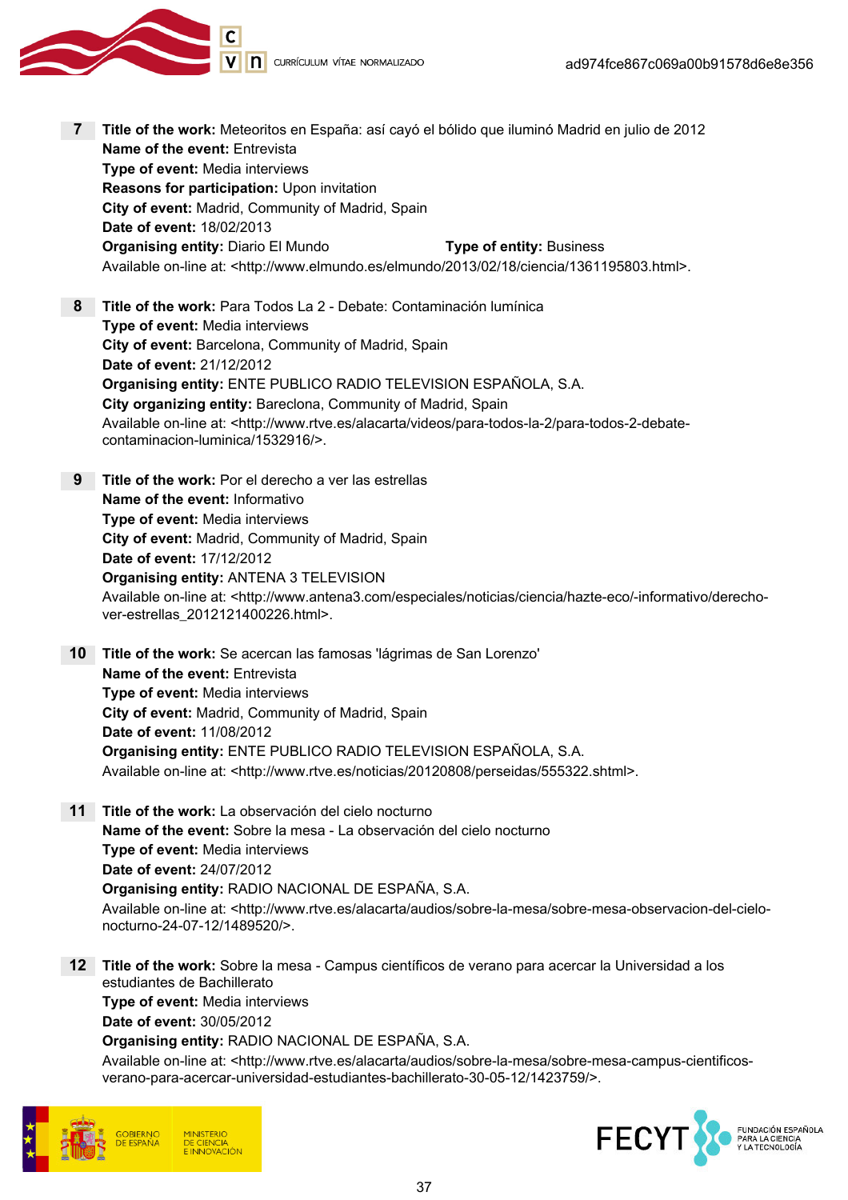V n currículum vítae normalizado

- 7 Title of the work: Meteoritos en España: así cayó el bólido que iluminó Madrid en julio de 2012 Name of the event: Entrevista Type of event: Media interviews Reasons for participation: Upon invitation City of event: Madrid, Community of Madrid, Spain Date of event: 18/02/2013 **Organising entity:** Diario El Mundo Type of entity: Business Available on-line at: <http://www.elmundo.es/elmundo/2013/02/18/ciencia/1361195803.html>. 8 Title of the work: Para Todos La 2 - Debate: Contaminación lumínica Type of event: Media interviews City of event: Barcelona, Community of Madrid, Spain Date of event: 21/12/2012 Organising entity: ENTE PUBLICO RADIO TELEVISION ESPAÑOLA, S.A. City organizing entity: Bareclona, Community of Madrid, Spain Available on-line at: <http://www.rtve.es/alacarta/videos/para-todos-la-2/para-todos-2-debatecontaminacion-luminica/1532916/>. 9 Title of the work: Por el derecho a ver las estrellas Name of the event: Informativo Type of event: Media interviews City of event: Madrid, Community of Madrid, Spain Date of event: 17/12/2012 Organising entity: ANTENA 3 TELEVISION Available on-line at: <http://www.antena3.com/especiales/noticias/ciencia/hazte-eco/-informativo/derechover-estrellas\_2012121400226.html>. 10 Title of the work: Se acercan las famosas 'lágrimas de San Lorenzo' Name of the event: Entrevista Type of event: Media interviews City of event: Madrid, Community of Madrid, Spain Date of event: 11/08/2012 Organising entity: ENTE PUBLICO RADIO TELEVISION ESPAÑOLA, S.A. Available on-line at: <http://www.rtve.es/noticias/20120808/perseidas/555322.shtml>. 11 Title of the work: La observación del cielo nocturno Name of the event: Sobre la mesa - La observación del cielo nocturno Type of event: Media interviews Date of event: 24/07/2012 Organising entity: RADIO NACIONAL DE ESPAÑA, S.A. Available on-line at: <http://www.rtve.es/alacarta/audios/sobre-la-mesa/sobre-mesa-observacion-del-cielonocturno-24-07-12/1489520/>. 12 Title of the work: Sobre la mesa - Campus científicos de verano para acercar la Universidad a los estudiantes de Bachillerato Type of event: Media interviews
	- Date of event: 30/05/2012

Organising entity: RADIO NACIONAL DE ESPAÑA, S.A.

Available on-line at: <http://www.rtve.es/alacarta/audios/sobre-la-mesa/sobre-mesa-campus-cientificosverano-para-acercar-universidad-estudiantes-bachillerato-30-05-12/1423759/>.



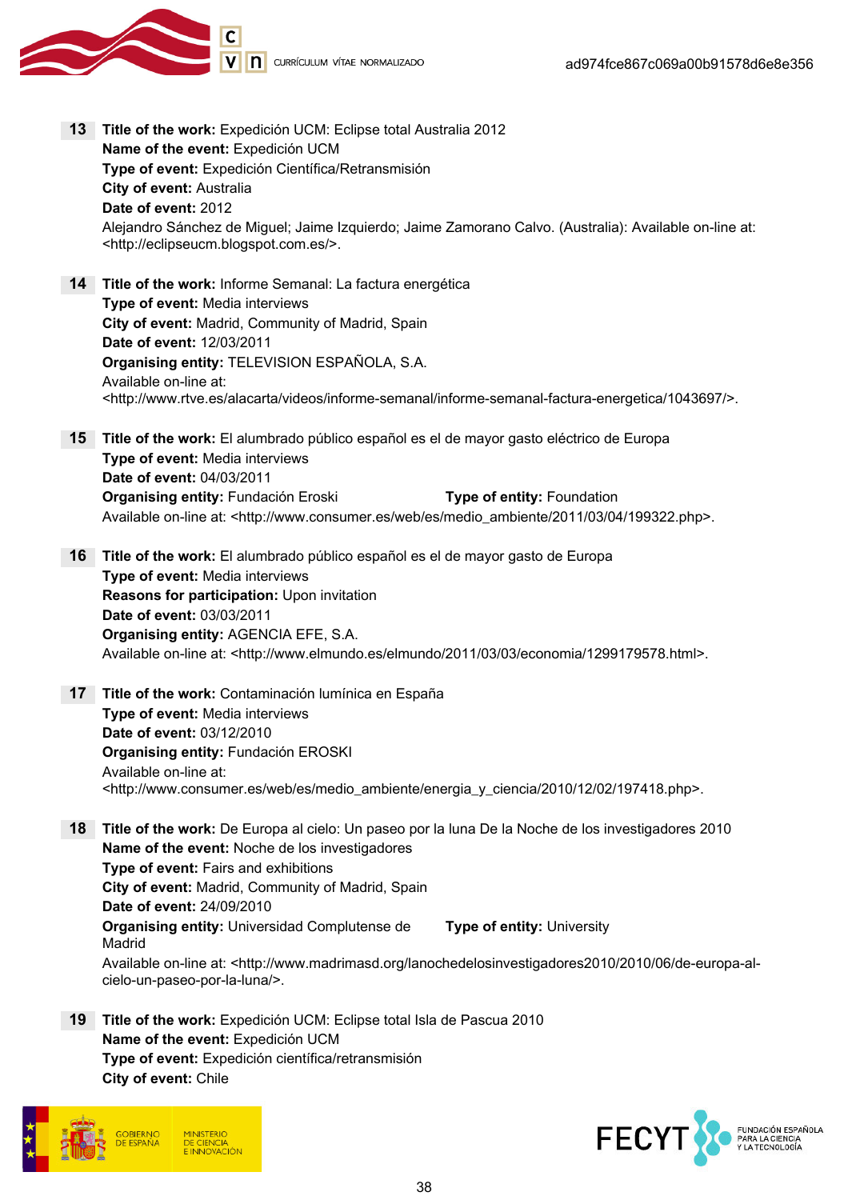

- 13 Title of the work: Expedición UCM: Eclipse total Australia 2012 Name of the event: Expedición UCM Type of event: Expedición Científica/Retransmisión City of event: Australia Date of event: 2012 Alejandro Sánchez de Miguel; Jaime Izquierdo; Jaime Zamorano Calvo. (Australia): Available on-line at: <http://eclipseucm.blogspot.com.es/>.
- 14 Title of the work: Informe Semanal: La factura energética Type of event: Media interviews City of event: Madrid, Community of Madrid, Spain Date of event: 12/03/2011 Organising entity: TELEVISION ESPAÑOLA, S.A. Available on-line at: <http://www.rtve.es/alacarta/videos/informe-semanal/informe-semanal-factura-energetica/1043697/>.
- 15 Title of the work: El alumbrado público español es el de mayor gasto eléctrico de Europa Type of event: Media interviews Date of event: 04/03/2011 Organising entity: Fundación Eroski Type of entity: Foundation Available on-line at: <http://www.consumer.es/web/es/medio\_ambiente/2011/03/04/199322.php>.
- 16 Title of the work: El alumbrado público español es el de mayor gasto de Europa Type of event: Media interviews Reasons for participation: Upon invitation Date of event: 03/03/2011 Organising entity: AGENCIA EFE, S.A. Available on-line at: <http://www.elmundo.es/elmundo/2011/03/03/economia/1299179578.html>.
- 17 Title of the work: Contaminación lumínica en España Type of event: Media interviews Date of event: 03/12/2010 Organising entity: Fundación EROSKI Available on-line at: <http://www.consumer.es/web/es/medio\_ambiente/energia\_y\_ciencia/2010/12/02/197418.php>.
- 18 Title of the work: De Europa al cielo: Un paseo por la luna De la Noche de los investigadores 2010 Name of the event: Noche de los investigadores Type of event: Fairs and exhibitions City of event: Madrid, Community of Madrid, Spain Date of event: 24/09/2010 Organising entity: Universidad Complutense de Madrid Type of entity: University Available on-line at: <http://www.madrimasd.org/lanochedelosinvestigadores2010/2010/06/de-europa-al-
- 19 Title of the work: Expedición UCM: Eclipse total Isla de Pascua 2010 Name of the event: Expedición UCM Type of event: Expedición científica/retransmisión City of event: Chile



cielo-un-paseo-por-la-luna/>.

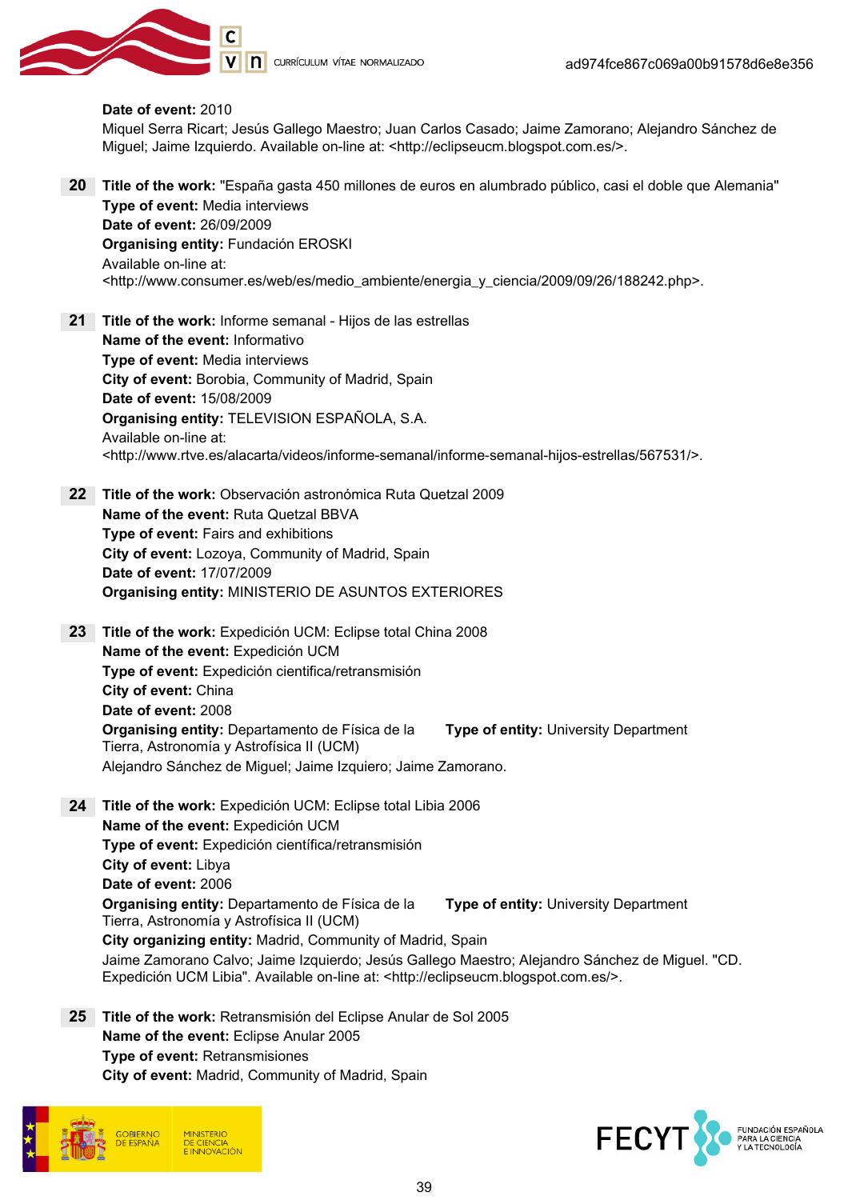

#### Date of event: 2010

Miquel Serra Ricart; Jesús Gallego Maestro; Juan Carlos Casado; Jaime Zamorano; Alejandro Sánchez de Miguel; Jaime Izquierdo. Available on-line at: <http://eclipseucm.blogspot.com.es/>.

- 20 Title of the work: "España gasta 450 millones de euros en alumbrado público, casi el doble que Alemania" Type of event: Media interviews Date of event: 26/09/2009 Organising entity: Fundación EROSKI Available on-line at: <http://www.consumer.es/web/es/medio\_ambiente/energia\_y\_ciencia/2009/09/26/188242.php>.
- 21 Title of the work: Informe semanal Hijos de las estrellas Name of the event: Informativo Type of event: Media interviews City of event: Borobia, Community of Madrid, Spain Date of event: 15/08/2009 Organising entity: TELEVISION ESPAÑOLA, S.A. Available on-line at: <http://www.rtve.es/alacarta/videos/informe-semanal/informe-semanal-hijos-estrellas/567531/>.
- 22 Title of the work: Observación astronómica Ruta Quetzal 2009 Name of the event: Ruta Quetzal BBVA Type of event: Fairs and exhibitions City of event: Lozoya, Community of Madrid, Spain Date of event: 17/07/2009 Organising entity: MINISTERIO DE ASUNTOS EXTERIORES

23 Title of the work: Expedición UCM: Eclipse total China 2008 Name of the event: Expedición UCM Type of event: Expedición cientifica/retransmisión City of event: China Date of event: 2008 Organising entity: Departamento de Física de la Tierra, Astronomía y Astrofísica II (UCM) Type of entity: University Department Alejandro Sánchez de Miguel; Jaime Izquiero; Jaime Zamorano.

- 24 Title of the work: Expedición UCM: Eclipse total Libia 2006 Name of the event: Expedición UCM Type of event: Expedición científica/retransmisión City of event: Libya Date of event: 2006 Organising entity: Departamento de Física de la Tierra, Astronomía y Astrofísica II (UCM) Type of entity: University Department City organizing entity: Madrid, Community of Madrid, Spain Jaime Zamorano Calvo; Jaime Izquierdo; Jesús Gallego Maestro; Alejandro Sánchez de Miguel. "CD. Expedición UCM Libia". Available on-line at: <http://eclipseucm.blogspot.com.es/>.
- 25 Title of the work: Retransmisión del Eclipse Anular de Sol 2005 Name of the event: Eclipse Anular 2005 Type of event: Retransmisiones City of event: Madrid, Community of Madrid, Spain



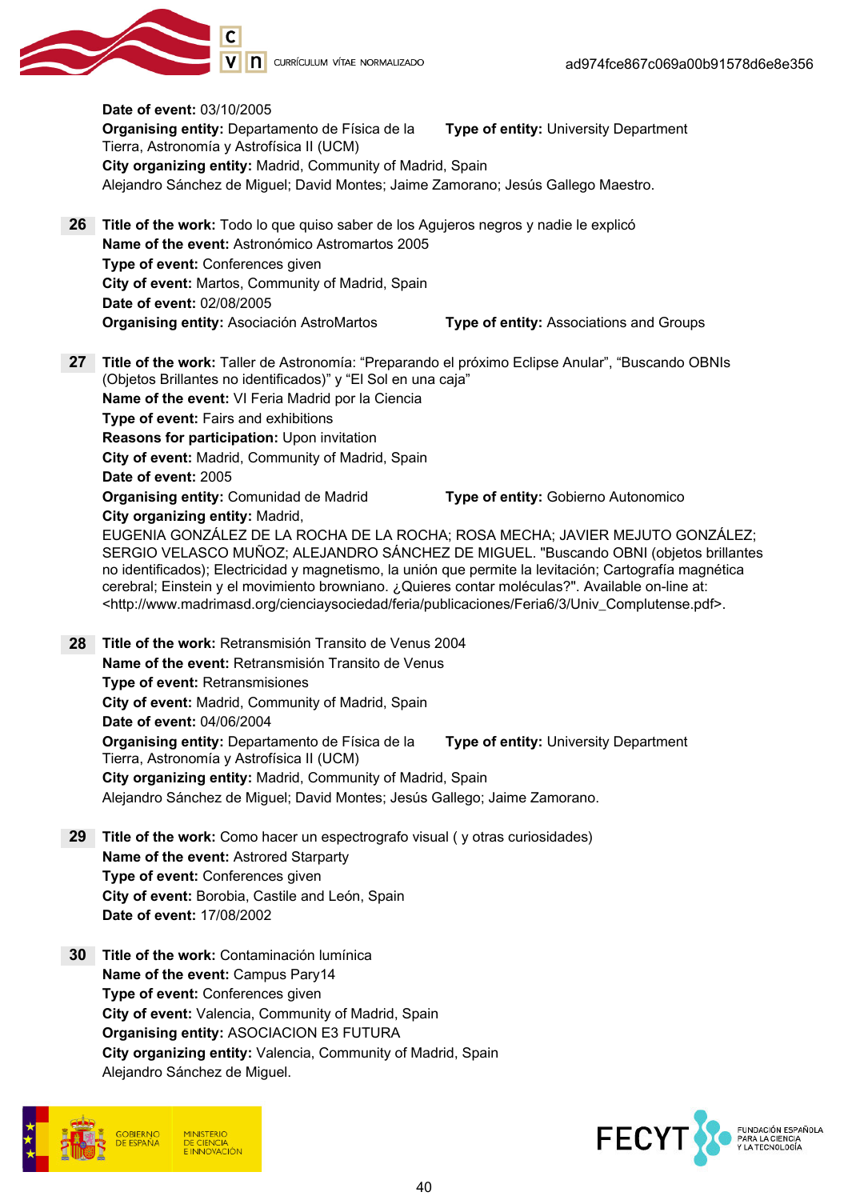

Date of event: 03/10/2005 Organising entity: Departamento de Física de la Tierra, Astronomía y Astrofísica II (UCM) Type of entity: University Department City organizing entity: Madrid, Community of Madrid, Spain Alejandro Sánchez de Miguel; David Montes; Jaime Zamorano; Jesús Gallego Maestro. 26 Title of the work: Todo lo que quiso saber de los Agujeros negros y nadie le explicó Name of the event: Astronómico Astromartos 2005 Type of event: Conferences given City of event: Martos, Community of Madrid, Spain Date of event: 02/08/2005 Organising entity: Asociación AstroMartos Type of entity: Associations and Groups 27 Title of the work: Taller de Astronomía: "Preparando el próximo Eclipse Anular", "Buscando OBNIs (Objetos Brillantes no identificados)" y "El Sol en una caja" Name of the event: VI Feria Madrid por la Ciencia Type of event: Fairs and exhibitions Reasons for participation: Upon invitation City of event: Madrid, Community of Madrid, Spain Date of event: 2005 Organising entity: Comunidad de Madrid Type of entity: Gobierno Autonomico City organizing entity: Madrid, EUGENIA GONZÁLEZ DE LA ROCHA DE LA ROCHA; ROSA MECHA; JAVIER MEJUTO GONZÁLEZ; SERGIO VELASCO MUÑOZ; ALEJANDRO SÁNCHEZ DE MIGUEL. "Buscando OBNI (objetos brillantes no identificados); Electricidad y magnetismo, la unión que permite la levitación; Cartografía magnética cerebral; Einstein y el movimiento browniano. ¿Quieres contar moléculas?". Available on-line at: <http://www.madrimasd.org/cienciaysociedad/feria/publicaciones/Feria6/3/Univ\_Complutense.pdf>. 28 Title of the work: Retransmisión Transito de Venus 2004 Name of the event: Retransmisión Transito de Venus Type of event: Retransmisiones City of event: Madrid, Community of Madrid, Spain Date of event: 04/06/2004 Organising entity: Departamento de Física de la Tierra, Astronomía y Astrofísica II (UCM) Type of entity: University Department City organizing entity: Madrid, Community of Madrid, Spain Alejandro Sánchez de Miguel; David Montes; Jesús Gallego; Jaime Zamorano. 29 Title of the work: Como hacer un espectrografo visual (y otras curiosidades) Name of the event: Astrored Starparty Type of event: Conferences given City of event: Borobia, Castile and León, Spain Date of event: 17/08/2002 30 Title of the work: Contaminación lumínica

Name of the event: Campus Pary14 Type of event: Conferences given City of event: Valencia, Community of Madrid, Spain Organising entity: ASOCIACION E3 FUTURA City organizing entity: Valencia, Community of Madrid, Spain Alejandro Sánchez de Miguel.



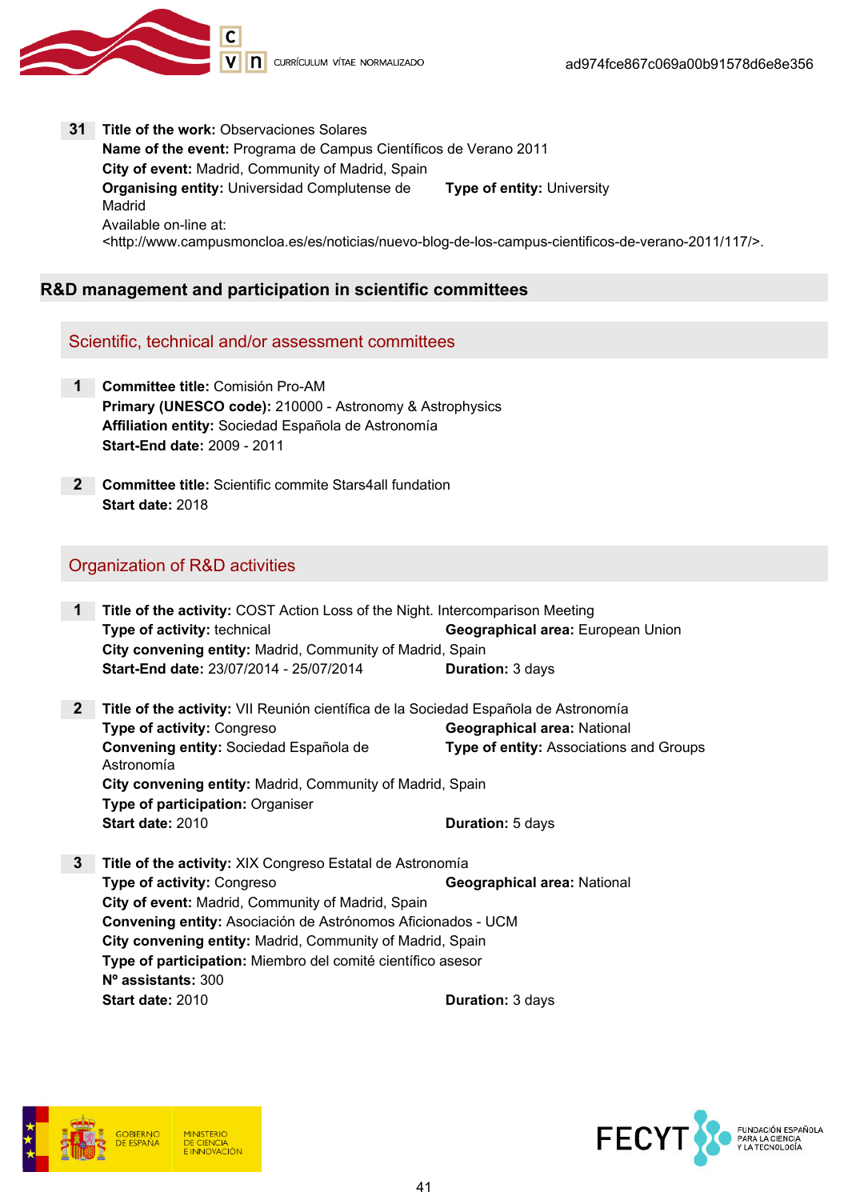

31 Title of the work: Observaciones Solares Name of the event: Programa de Campus Científicos de Verano 2011 City of event: Madrid, Community of Madrid, Spain Organising entity: Universidad Complutense de Madrid Type of entity: University Available on-line at: <http://www.campusmoncloa.es/es/noticias/nuevo-blog-de-los-campus-cientificos-de-verano-2011/117/>.

## R&D management and participation in scientific committees

#### Scientific, technical and/or assessment committees

- 1 Committee title: Comisión Pro-AM Primary (UNESCO code): 210000 - Astronomy & Astrophysics Affiliation entity: Sociedad Española de Astronomía Start-End date: 2009 - 2011
- 2 Committee title: Scientific commite Stars4all fundation Start date: 2018

#### Organization of R&D activities

- 1 Title of the activity: COST Action Loss of the Night. Intercomparison Meeting Type of activity: technical **Geographical area:** European Union City convening entity: Madrid, Community of Madrid, Spain **Start-End date: 23/07/2014 - 25/07/2014 Duration: 3 days**
- 2 Title of the activity: VII Reunión científica de la Sociedad Española de Astronomía **Type of activity:** Congreso Geographical area: National Convening entity: Sociedad Española de Astronomía Type of entity: Associations and Groups City convening entity: Madrid, Community of Madrid, Spain Type of participation: Organiser Start date: 2010 Case Contractor: 5 days
- 3 Title of the activity: XIX Congreso Estatal de Astronomía **Type of activity:** Congreso **Geographical area:** National City of event: Madrid, Community of Madrid, Spain Convening entity: Asociación de Astrónomos Aficionados - UCM City convening entity: Madrid, Community of Madrid, Spain Type of participation: Miembro del comité científico asesor Nº assistants: 300 **Start date: 2010 Duration: 3 days**



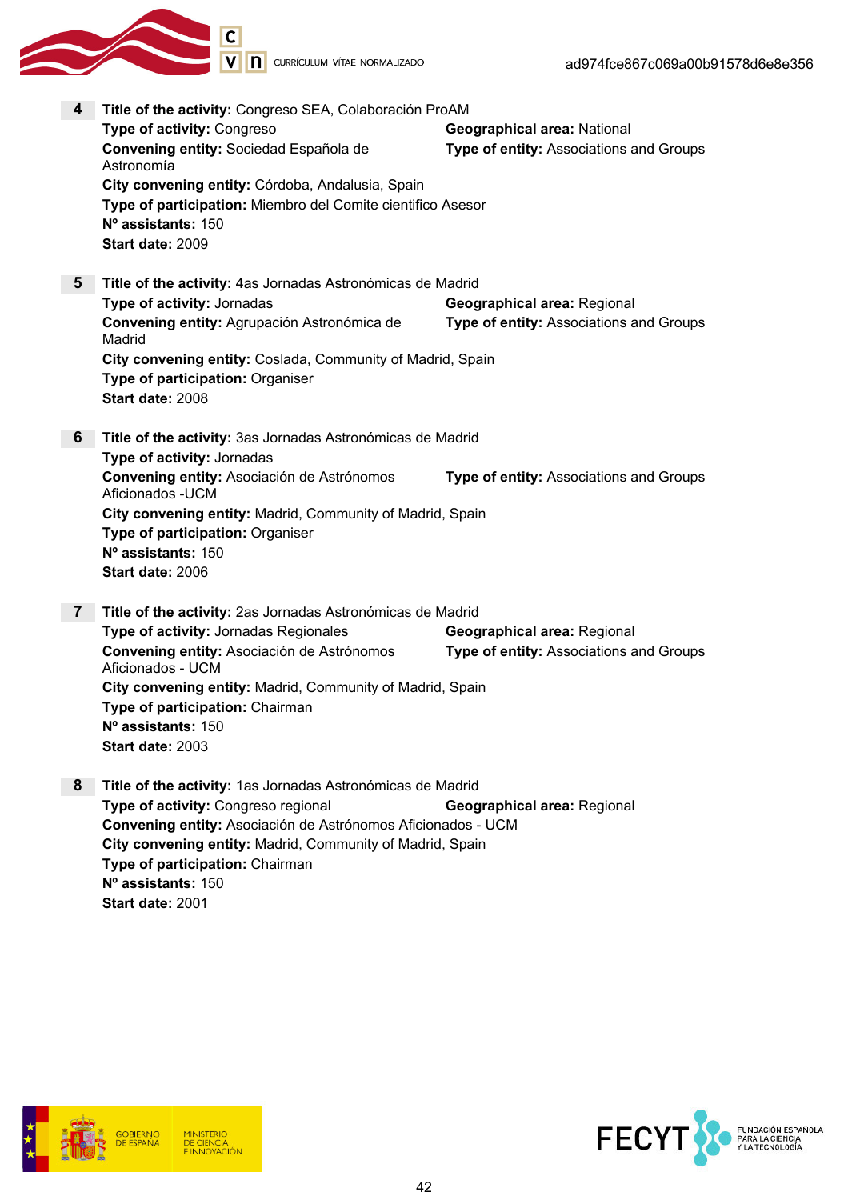

| 4              | Title of the activity: Congreso SEA, Colaboración ProAM<br>Type of activity: Congreso<br>Convening entity: Sociedad Española de<br>Astronomía<br>City convening entity: Córdoba, Andalusia, Spain<br>Type of participation: Miembro del Comite cientifico Asesor<br>N° assistants: 150<br>Start date: 2009       | Geographical area: National<br>Type of entity: Associations and Groups        |
|----------------|------------------------------------------------------------------------------------------------------------------------------------------------------------------------------------------------------------------------------------------------------------------------------------------------------------------|-------------------------------------------------------------------------------|
| 5 <sup>5</sup> | Title of the activity: 4as Jornadas Astronómicas de Madrid<br>Type of activity: Jornadas<br>Convening entity: Agrupación Astronómica de<br>Madrid<br>City convening entity: Coslada, Community of Madrid, Spain<br>Type of participation: Organiser<br>Start date: 2008                                          | <b>Geographical area: Regional</b><br>Type of entity: Associations and Groups |
| 6              | Title of the activity: 3as Jornadas Astronómicas de Madrid<br>Type of activity: Jornadas<br>Convening entity: Asociación de Astrónomos<br>Aficionados - UCM<br>City convening entity: Madrid, Community of Madrid, Spain<br>Type of participation: Organiser<br>Nº assistants: 150<br>Start date: 2006           | Type of entity: Associations and Groups                                       |
| $\mathbf{7}$   | Title of the activity: 2as Jornadas Astronómicas de Madrid<br>Type of activity: Jornadas Regionales<br>Convening entity: Asociación de Astrónomos<br>Aficionados - UCM<br>City convening entity: Madrid, Community of Madrid, Spain<br>Type of participation: Chairman<br>N° assistants: 150<br>Start date: 2003 | <b>Geographical area: Regional</b><br>Type of entity: Associations and Groups |
| 8              | Title of the activity: 1as Jornadas Astronómicas de Madrid<br>Type of activity: Congreso regional<br>Convening entity: Asociación de Astrónomos Aficionados - UCM<br>City convening entity: Madrid, Community of Madrid, Spain<br>Type of participation: Chairman<br>Nº assistants: 150<br>Start date: 2001      | <b>Geographical area: Regional</b>                                            |





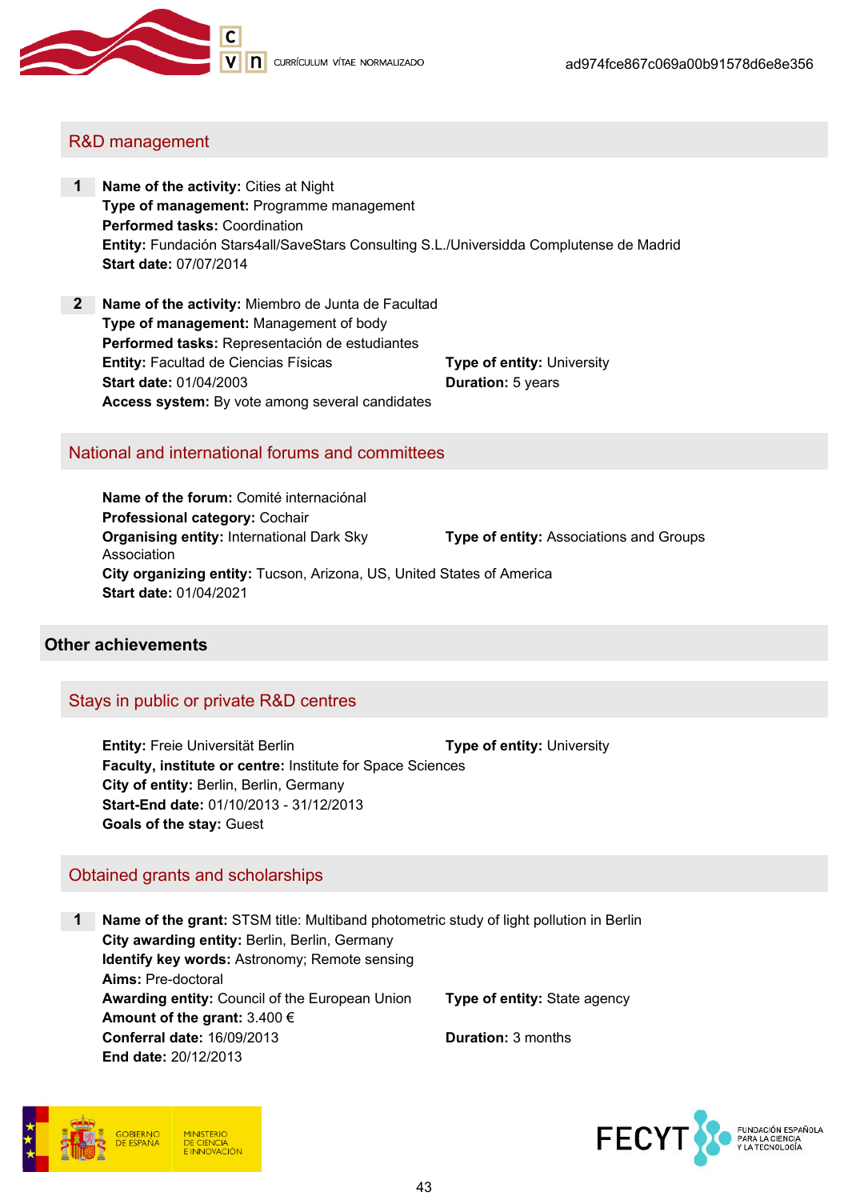

## R&D management

- 1 Name of the activity: Cities at Night Type of management: Programme management Performed tasks: Coordination Entity: Fundación Stars4all/SaveStars Consulting S.L./Universidda Complutense de Madrid Start date: 07/07/2014
- 2 Name of the activity: Miembro de Junta de Facultad Type of management: Management of body Performed tasks: Representación de estudiantes **Entity:** Facultad de Ciencias Físicas Type of entity: University Start date: 01/04/2003 Duration: 5 years Access system: By vote among several candidates

#### National and international forums and committees

Name of the forum: Comité internaciónal Professional category: Cochair Organising entity: International Dark Sky Association Type of entity: Associations and Groups City organizing entity: Tucson, Arizona, US, United States of America Start date: 01/04/2021

#### Other achievements

#### Stays in public or private R&D centres

Entity: Freie Universität Berlin Type of entity: University Faculty, institute or centre: Institute for Space Sciences City of entity: Berlin, Berlin, Germany Start-End date: 01/10/2013 - 31/12/2013 Goals of the stay: Guest

#### Obtained grants and scholarships

1 Name of the grant: STSM title: Multiband photometric study of light pollution in Berlin City awarding entity: Berlin, Berlin, Germany Identify key words: Astronomy; Remote sensing Aims: Pre-doctoral Awarding entity: Council of the European Union Type of entity: State agency Amount of the grant:  $3.400 \in$ Conferral date: 16/09/2013 Duration: 3 months End date: 20/12/2013



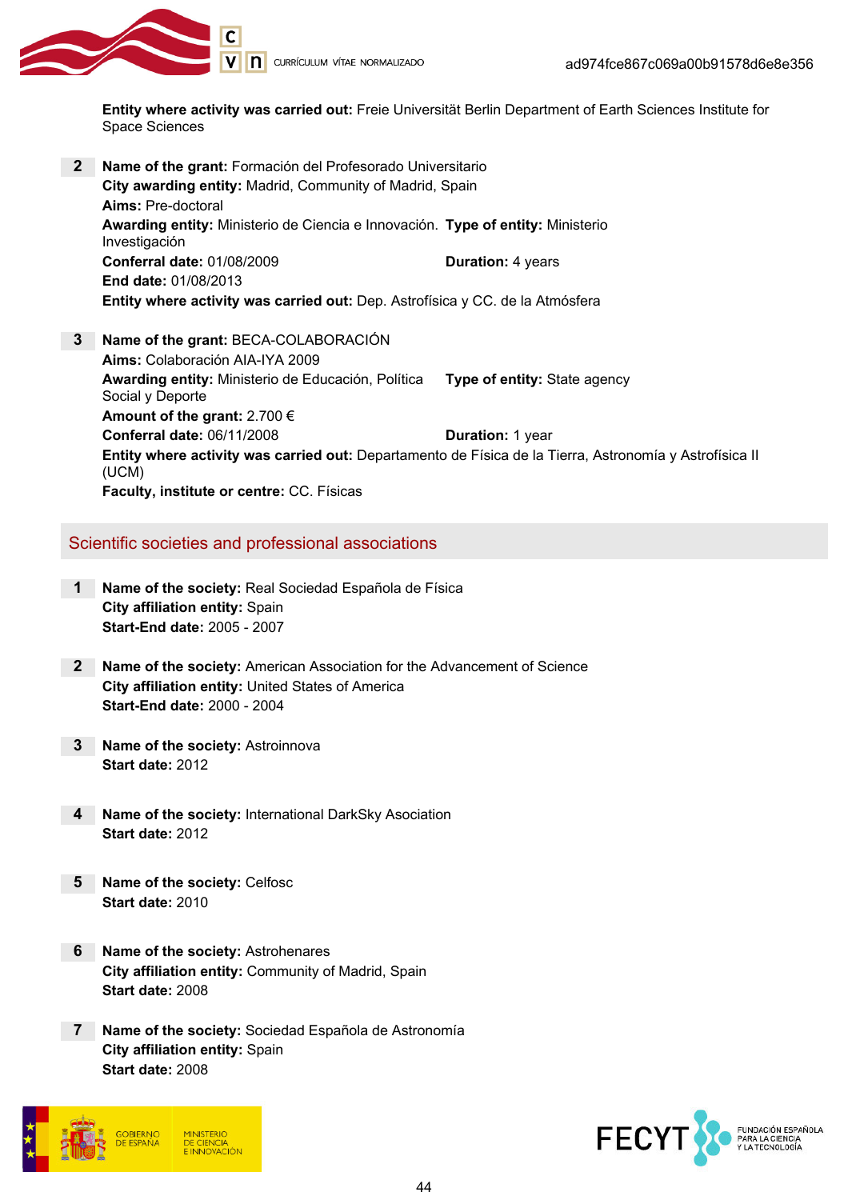

Entity where activity was carried out: Freie Universität Berlin Department of Earth Sciences Institute for Space Sciences

2 Name of the grant: Formación del Profesorado Universitario City awarding entity: Madrid, Community of Madrid, Spain Aims: Pre-doctoral **Awarding entity:** Ministerio de Ciencia e Innovación. Type of entity: Ministerio Investigación Conferral date: 01/08/2009 Duration: 4 years End date: 01/08/2013 Entity where activity was carried out: Dep. Astrofísica y CC. de la Atmósfera 3 Name of the grant: BECA-COLABORACIÓN Aims: Colaboración AIA-IYA 2009 Awarding entity: Ministerio de Educación, Política Social y Deporte Type of entity: State agency Amount of the grant: 2.700 € Conferral date: 06/11/2008 Duration: 1 year Entity where activity was carried out: Departamento de Física de la Tierra, Astronomía y Astrofísica II (UCM)

Faculty, institute or centre: CC. Físicas

#### Scientific societies and professional associations

- 1 Name of the society: Real Sociedad Española de Física City affiliation entity: Spain Start-End date: 2005 - 2007
- 2 Name of the society: American Association for the Advancement of Science City affiliation entity: United States of America Start-End date: 2000 - 2004
- 3 Name of the society: Astroinnova Start date: 2012
- 4 Name of the society: International DarkSky Asociation Start date: 2012
- 5 Name of the society: Celfosc Start date: 2010
- 6 Name of the society: Astrohenares City affiliation entity: Community of Madrid, Spain Start date: 2008
- 7 Name of the society: Sociedad Española de Astronomía City affiliation entity: Spain Start date: 2008



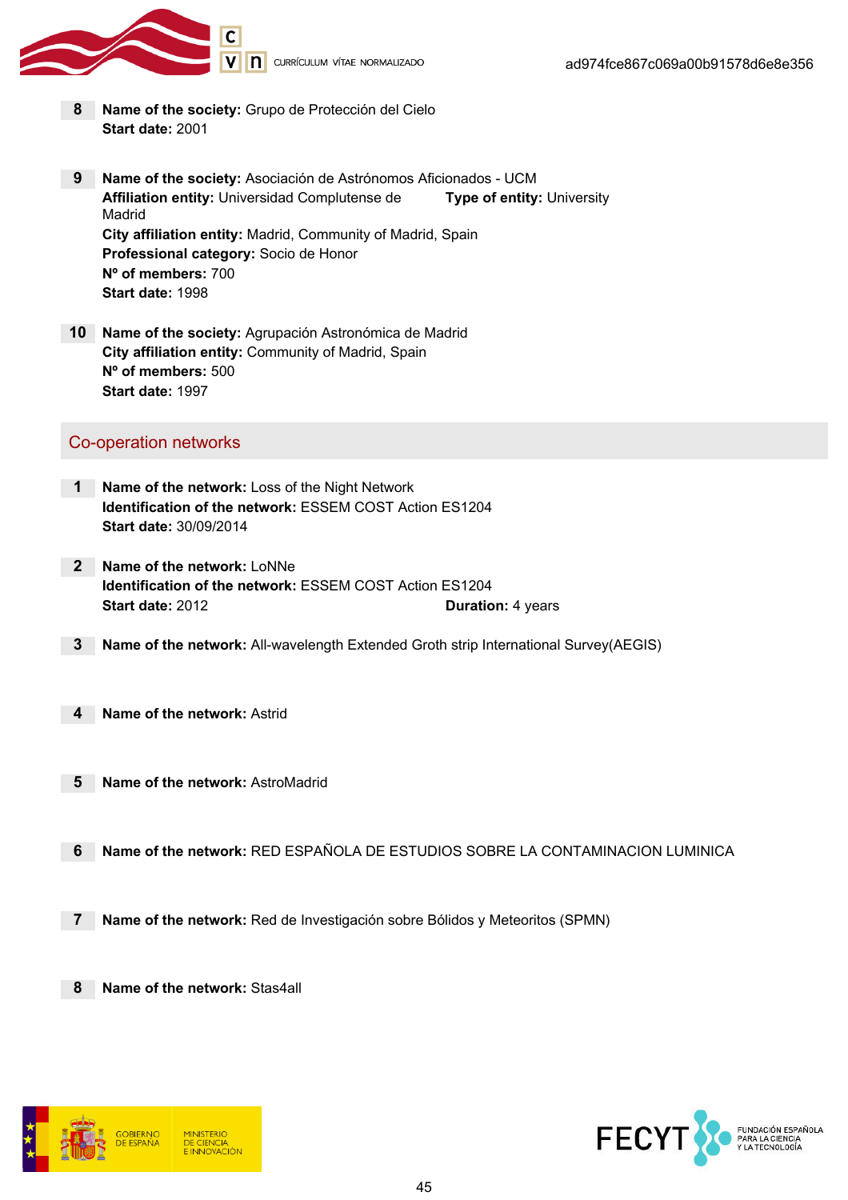

- 8 Name of the society: Grupo de Protección del Cielo Start date: 2001
- 9 Name of the society: Asociación de Astrónomos Aficionados UCM Affiliation entity: Universidad Complutense de Madrid Type of entity: University City affiliation entity: Madrid, Community of Madrid, Spain Professional category: Socio de Honor Nº of members: 700 Start date: 1998
- 10 Name of the society: Agrupación Astronómica de Madrid City affiliation entity: Community of Madrid, Spain Nº of members: 500 Start date: 1997

#### Co-operation networks

- 1 Name of the network: Loss of the Night Network Identification of the network: ESSEM COST Action ES1204 Start date: 30/09/2014
- 2 Name of the network: LoNNe Identification of the network: ESSEM COST Action ES1204 Start date: 2012 **Duration: 4 years**
- 3 Name of the network: All-wavelength Extended Groth strip International Survey(AEGIS)
- 4 Name of the network: Astrid
- 5 Name of the network: AstroMadrid
- 6 Name of the network: RED ESPAÑOLA DE ESTUDIOS SOBRE LA CONTAMINACION LUMINICA
- 7 Name of the network: Red de Investigación sobre Bólidos y Meteoritos (SPMN)
- 8 Name of the network: Stas4all